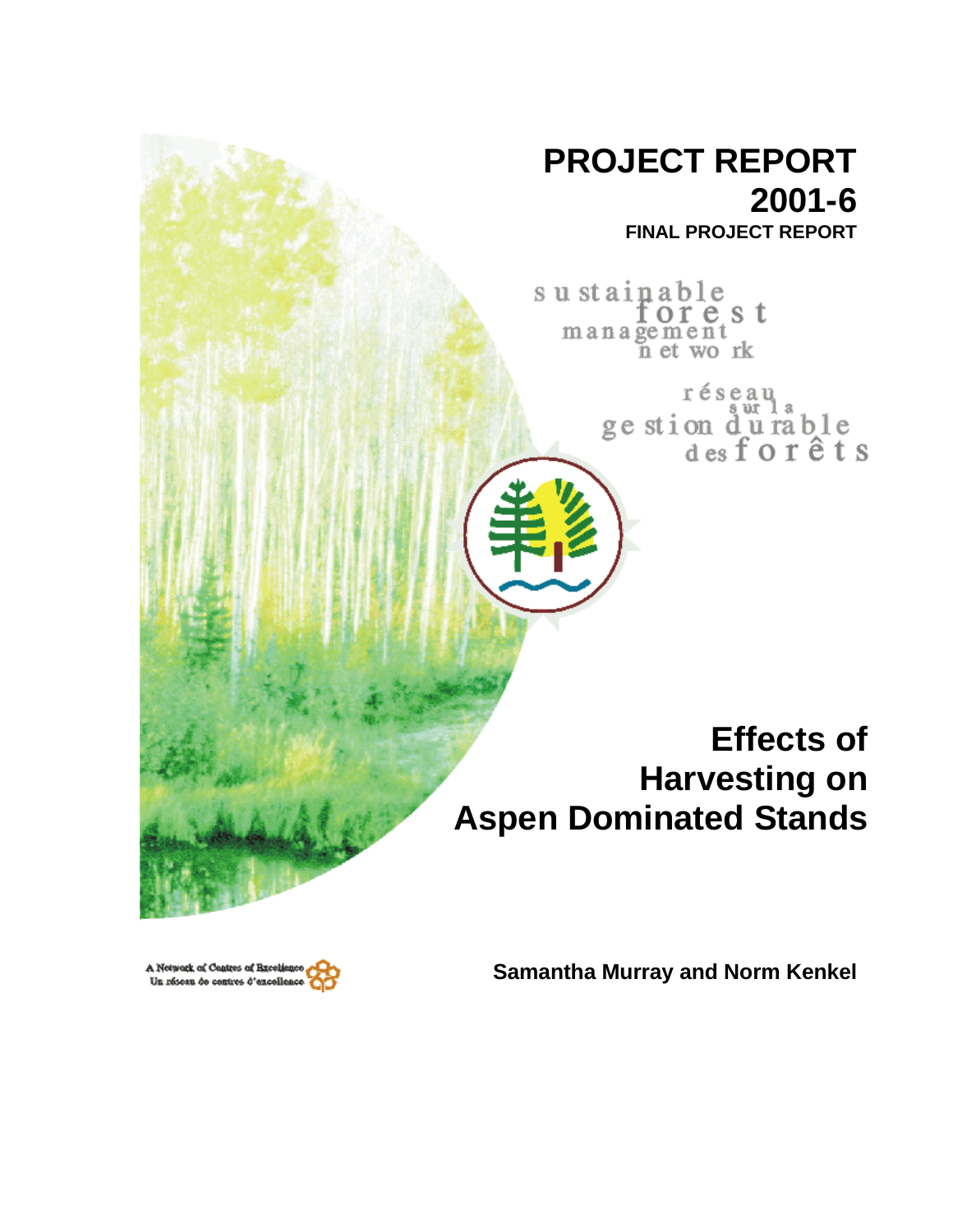# **PROJECT REPORT 2001-6**

**FINAL PROJECT REPORT**

sustainable management<br>management<br>net wo rk

> réseau ge stion durable<br>desforêts

**Effects of Harvesting on Aspen Dominated Stands**

A Network of Centres of Breeke Un réseau de centres d'excellence **Samantha Murray and Norm Kenkel**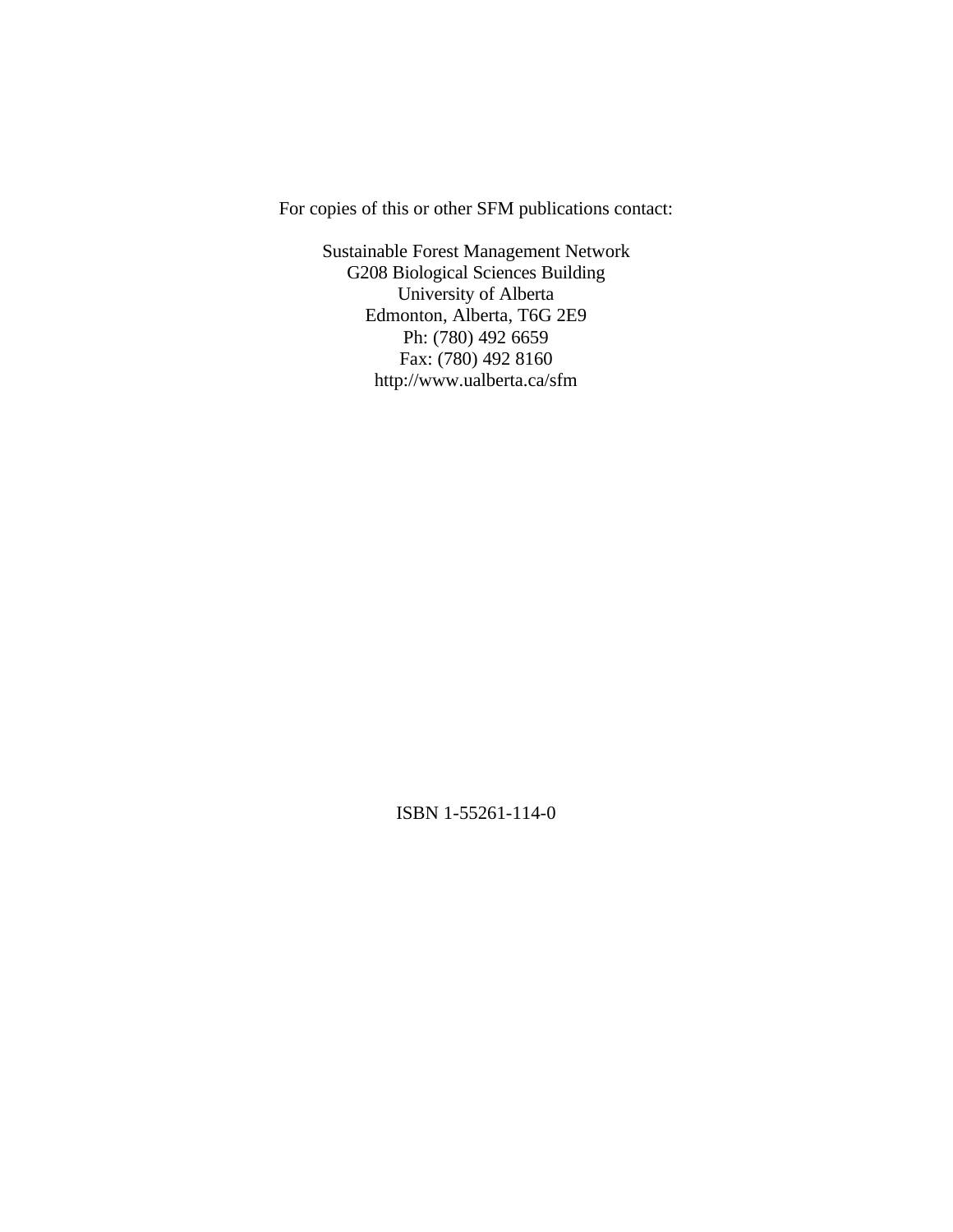For copies of this or other SFM publications contact:

Sustainable Forest Management Network G208 Biological Sciences Building University of Alberta Edmonton, Alberta, T6G 2E9 Ph: (780) 492 6659 Fax: (780) 492 8160 http://www.ualberta.ca/sfm

ISBN 1-55261-114-0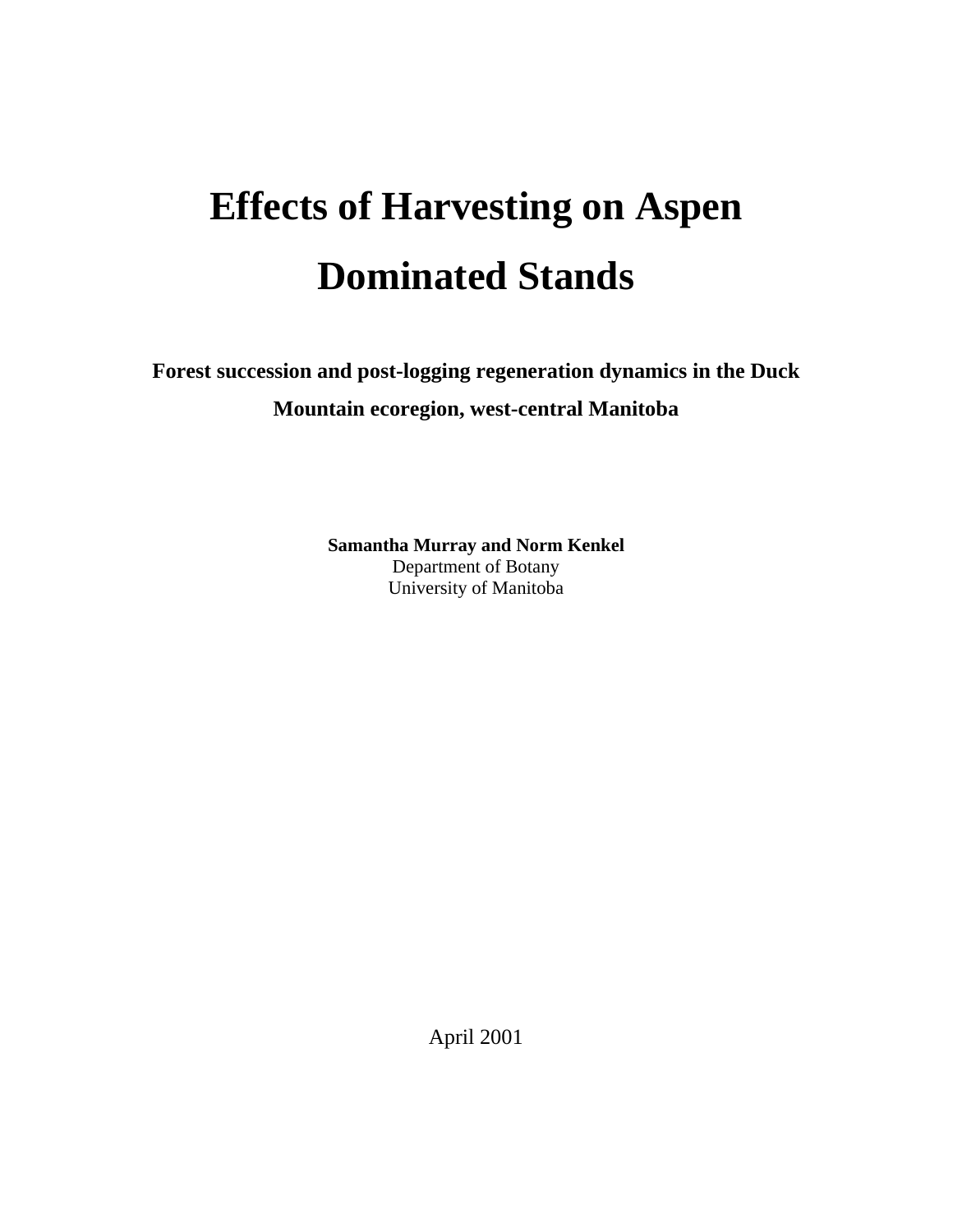# **Effects of Harvesting on Aspen Dominated Stands**

**Forest succession and post-logging regeneration dynamics in the Duck Mountain ecoregion, west-central Manitoba**

> **Samantha Murray and Norm Kenkel** Department of Botany University of Manitoba

> > April 2001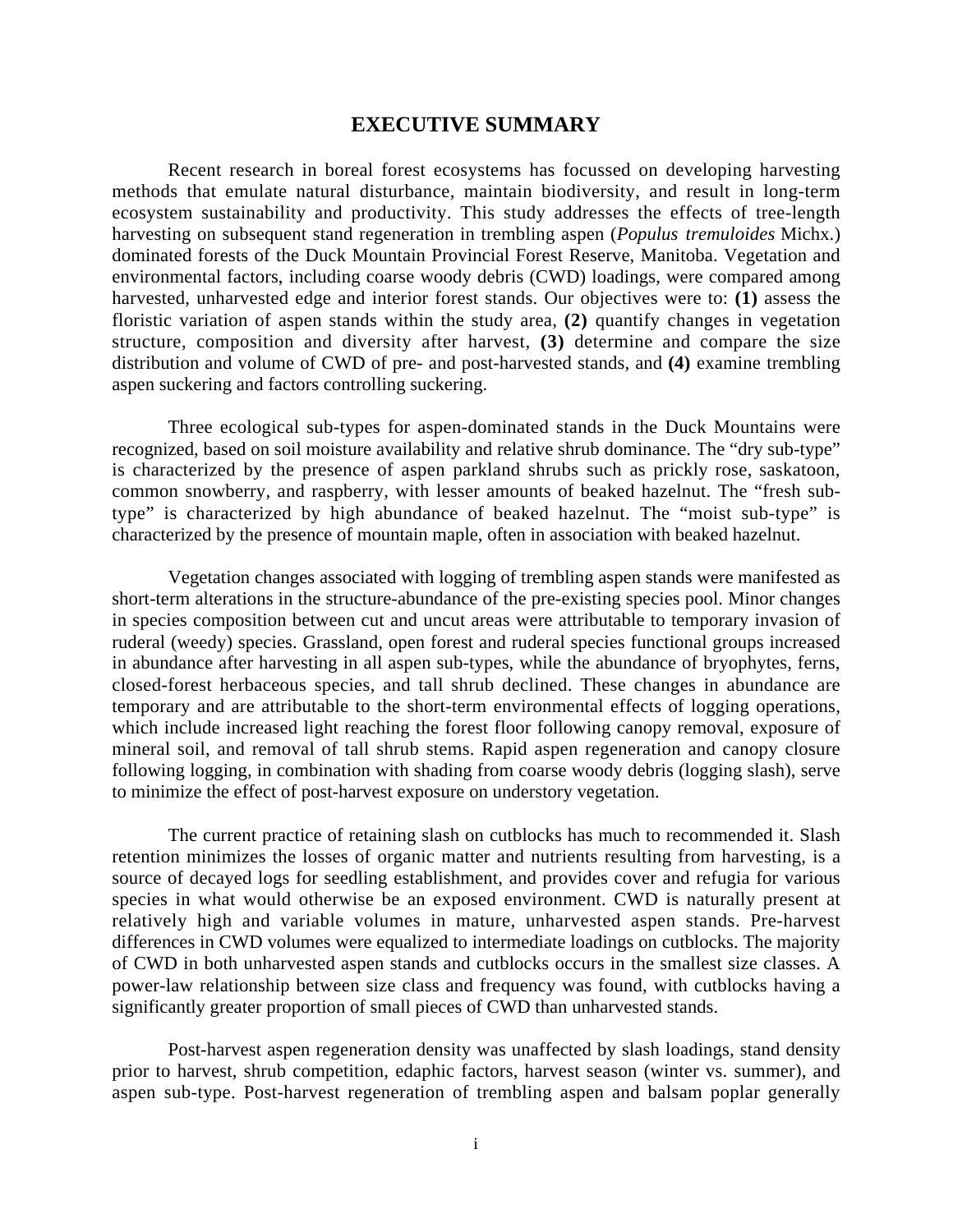## **EXECUTIVE SUMMARY**

Recent research in boreal forest ecosystems has focussed on developing harvesting methods that emulate natural disturbance, maintain biodiversity, and result in long-term ecosystem sustainability and productivity. This study addresses the effects of tree-length harvesting on subsequent stand regeneration in trembling aspen (*Populus tremuloides* Michx.) dominated forests of the Duck Mountain Provincial Forest Reserve, Manitoba. Vegetation and environmental factors, including coarse woody debris (CWD) loadings, were compared among harvested, unharvested edge and interior forest stands. Our objectives were to: **(1)** assess the floristic variation of aspen stands within the study area, **(2)** quantify changes in vegetation structure, composition and diversity after harvest, **(3)** determine and compare the size distribution and volume of CWD of pre- and post-harvested stands, and **(4)** examine trembling aspen suckering and factors controlling suckering.

Three ecological sub-types for aspen-dominated stands in the Duck Mountains were recognized, based on soil moisture availability and relative shrub dominance. The "dry sub-type" is characterized by the presence of aspen parkland shrubs such as prickly rose, saskatoon, common snowberry, and raspberry, with lesser amounts of beaked hazelnut. The "fresh subtype" is characterized by high abundance of beaked hazelnut. The "moist sub-type" is characterized by the presence of mountain maple, often in association with beaked hazelnut.

Vegetation changes associated with logging of trembling aspen stands were manifested as short-term alterations in the structure-abundance of the pre-existing species pool. Minor changes in species composition between cut and uncut areas were attributable to temporary invasion of ruderal (weedy) species. Grassland, open forest and ruderal species functional groups increased in abundance after harvesting in all aspen sub-types, while the abundance of bryophytes, ferns, closed-forest herbaceous species, and tall shrub declined. These changes in abundance are temporary and are attributable to the short-term environmental effects of logging operations, which include increased light reaching the forest floor following canopy removal, exposure of mineral soil, and removal of tall shrub stems. Rapid aspen regeneration and canopy closure following logging, in combination with shading from coarse woody debris (logging slash), serve to minimize the effect of post-harvest exposure on understory vegetation.

The current practice of retaining slash on cutblocks has much to recommended it. Slash retention minimizes the losses of organic matter and nutrients resulting from harvesting, is a source of decayed logs for seedling establishment, and provides cover and refugia for various species in what would otherwise be an exposed environment. CWD is naturally present at relatively high and variable volumes in mature, unharvested aspen stands. Pre-harvest differences in CWD volumes were equalized to intermediate loadings on cutblocks. The majority of CWD in both unharvested aspen stands and cutblocks occurs in the smallest size classes. A power-law relationship between size class and frequency was found, with cutblocks having a significantly greater proportion of small pieces of CWD than unharvested stands.

Post-harvest aspen regeneration density was unaffected by slash loadings, stand density prior to harvest, shrub competition, edaphic factors, harvest season (winter vs. summer), and aspen sub-type. Post-harvest regeneration of trembling aspen and balsam poplar generally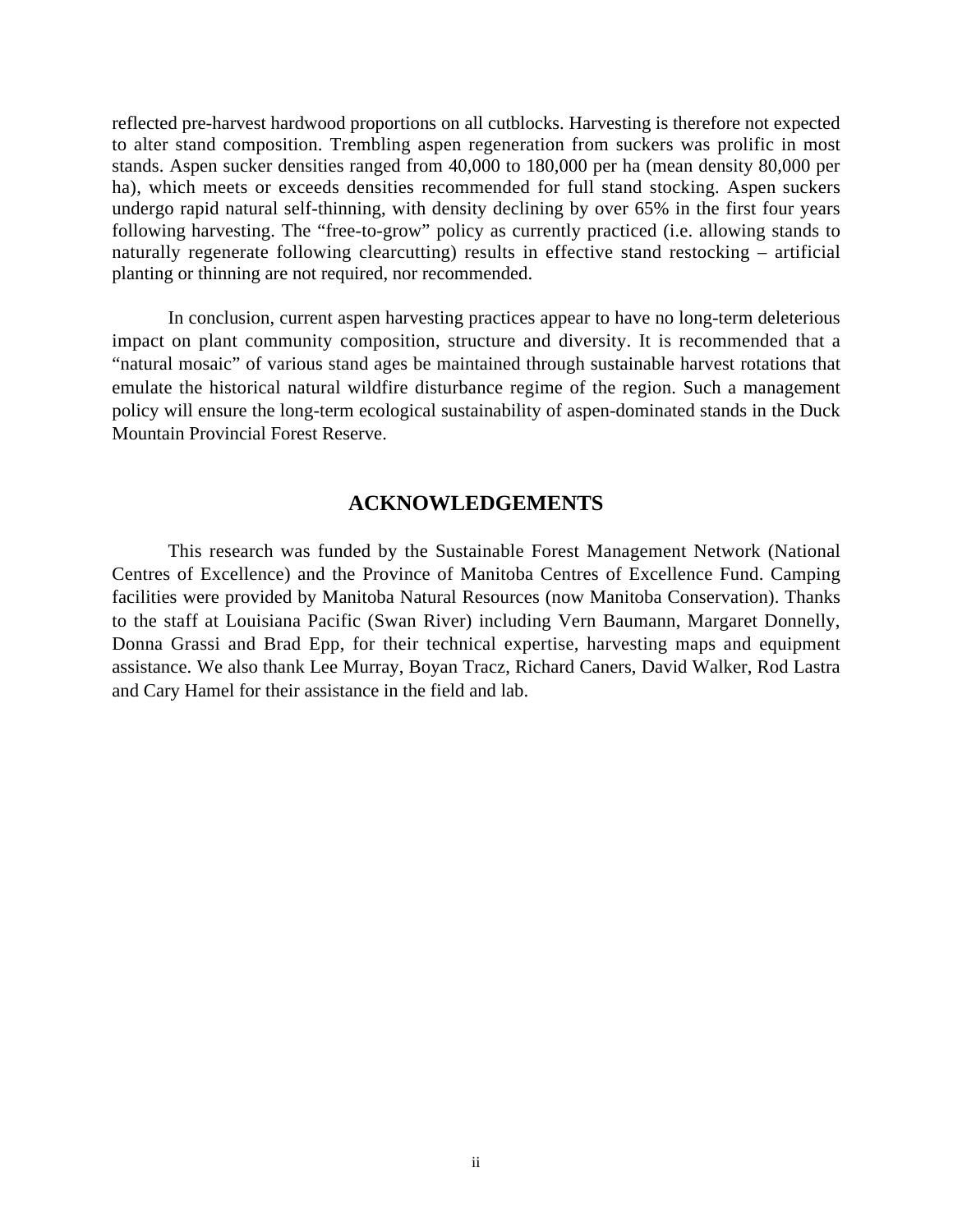reflected pre-harvest hardwood proportions on all cutblocks. Harvesting is therefore not expected to alter stand composition. Trembling aspen regeneration from suckers was prolific in most stands. Aspen sucker densities ranged from 40,000 to 180,000 per ha (mean density 80,000 per ha), which meets or exceeds densities recommended for full stand stocking. Aspen suckers undergo rapid natural self-thinning, with density declining by over 65% in the first four years following harvesting. The "free-to-grow" policy as currently practiced (i.e. allowing stands to naturally regenerate following clearcutting) results in effective stand restocking – artificial planting or thinning are not required, nor recommended.

In conclusion, current aspen harvesting practices appear to have no long-term deleterious impact on plant community composition, structure and diversity. It is recommended that a "natural mosaic" of various stand ages be maintained through sustainable harvest rotations that emulate the historical natural wildfire disturbance regime of the region. Such a management policy will ensure the long-term ecological sustainability of aspen-dominated stands in the Duck Mountain Provincial Forest Reserve.

# **ACKNOWLEDGEMENTS**

This research was funded by the Sustainable Forest Management Network (National Centres of Excellence) and the Province of Manitoba Centres of Excellence Fund. Camping facilities were provided by Manitoba Natural Resources (now Manitoba Conservation). Thanks to the staff at Louisiana Pacific (Swan River) including Vern Baumann, Margaret Donnelly, Donna Grassi and Brad Epp, for their technical expertise, harvesting maps and equipment assistance. We also thank Lee Murray, Boyan Tracz, Richard Caners, David Walker, Rod Lastra and Cary Hamel for their assistance in the field and lab.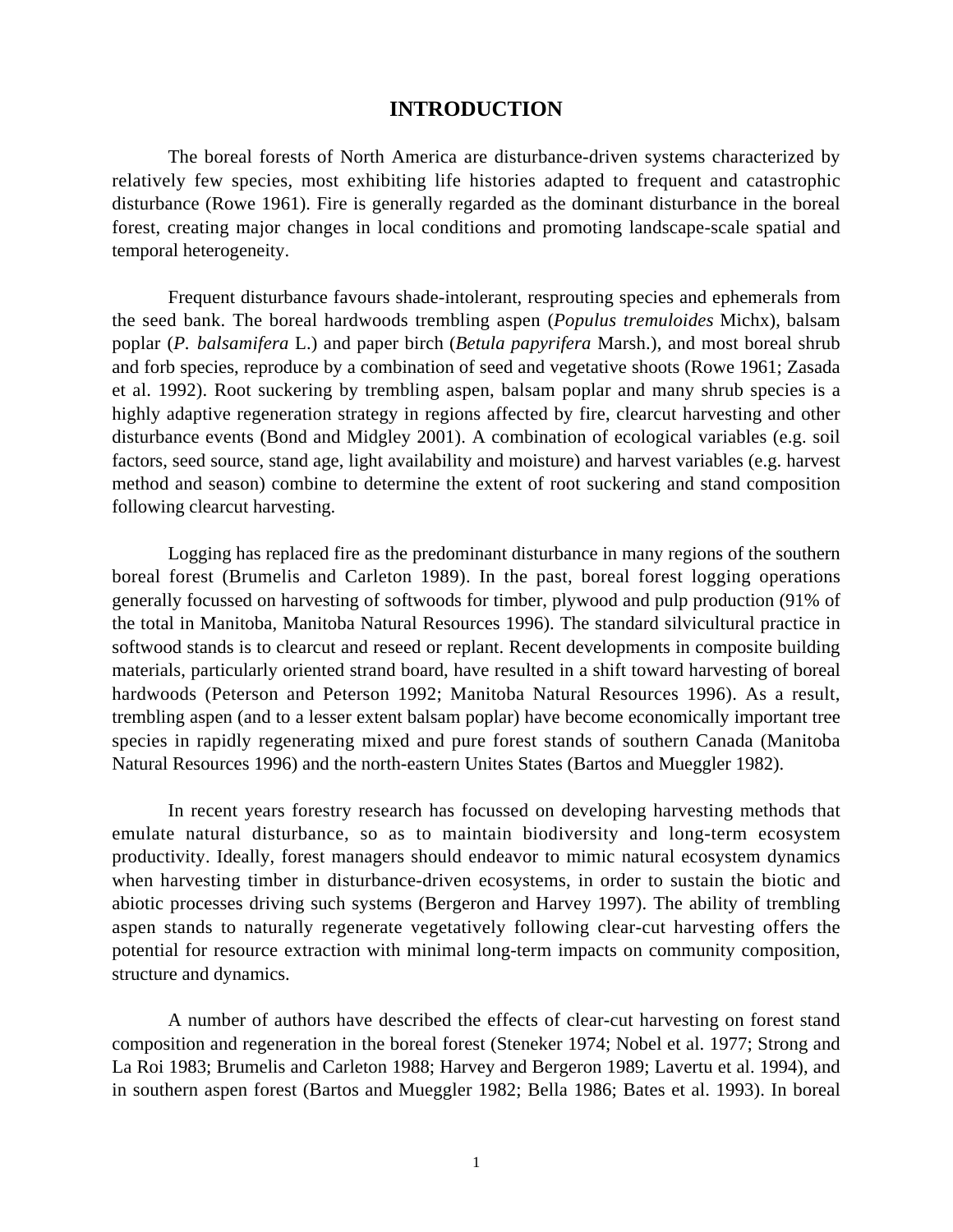# **INTRODUCTION**

The boreal forests of North America are disturbance-driven systems characterized by relatively few species, most exhibiting life histories adapted to frequent and catastrophic disturbance (Rowe 1961). Fire is generally regarded as the dominant disturbance in the boreal forest, creating major changes in local conditions and promoting landscape-scale spatial and temporal heterogeneity.

Frequent disturbance favours shade-intolerant, resprouting species and ephemerals from the seed bank. The boreal hardwoods trembling aspen (*Populus tremuloides* Michx), balsam poplar (*P. balsamifera* L.) and paper birch (*Betula papyrifera* Marsh.), and most boreal shrub and forb species, reproduce by a combination of seed and vegetative shoots (Rowe 1961; Zasada et al. 1992). Root suckering by trembling aspen, balsam poplar and many shrub species is a highly adaptive regeneration strategy in regions affected by fire, clearcut harvesting and other disturbance events (Bond and Midgley 2001). A combination of ecological variables (e.g. soil factors, seed source, stand age, light availability and moisture) and harvest variables (e.g. harvest method and season) combine to determine the extent of root suckering and stand composition following clearcut harvesting.

Logging has replaced fire as the predominant disturbance in many regions of the southern boreal forest (Brumelis and Carleton 1989). In the past, boreal forest logging operations generally focussed on harvesting of softwoods for timber, plywood and pulp production (91% of the total in Manitoba, Manitoba Natural Resources 1996). The standard silvicultural practice in softwood stands is to clearcut and reseed or replant. Recent developments in composite building materials, particularly oriented strand board, have resulted in a shift toward harvesting of boreal hardwoods (Peterson and Peterson 1992; Manitoba Natural Resources 1996). As a result, trembling aspen (and to a lesser extent balsam poplar) have become economically important tree species in rapidly regenerating mixed and pure forest stands of southern Canada (Manitoba Natural Resources 1996) and the north-eastern Unites States (Bartos and Mueggler 1982).

In recent years forestry research has focussed on developing harvesting methods that emulate natural disturbance, so as to maintain biodiversity and long-term ecosystem productivity. Ideally, forest managers should endeavor to mimic natural ecosystem dynamics when harvesting timber in disturbance-driven ecosystems, in order to sustain the biotic and abiotic processes driving such systems (Bergeron and Harvey 1997). The ability of trembling aspen stands to naturally regenerate vegetatively following clear-cut harvesting offers the potential for resource extraction with minimal long-term impacts on community composition, structure and dynamics.

A number of authors have described the effects of clear-cut harvesting on forest stand composition and regeneration in the boreal forest (Steneker 1974; Nobel et al. 1977; Strong and La Roi 1983; Brumelis and Carleton 1988; Harvey and Bergeron 1989; Lavertu et al. 1994), and in southern aspen forest (Bartos and Mueggler 1982; Bella 1986; Bates et al. 1993). In boreal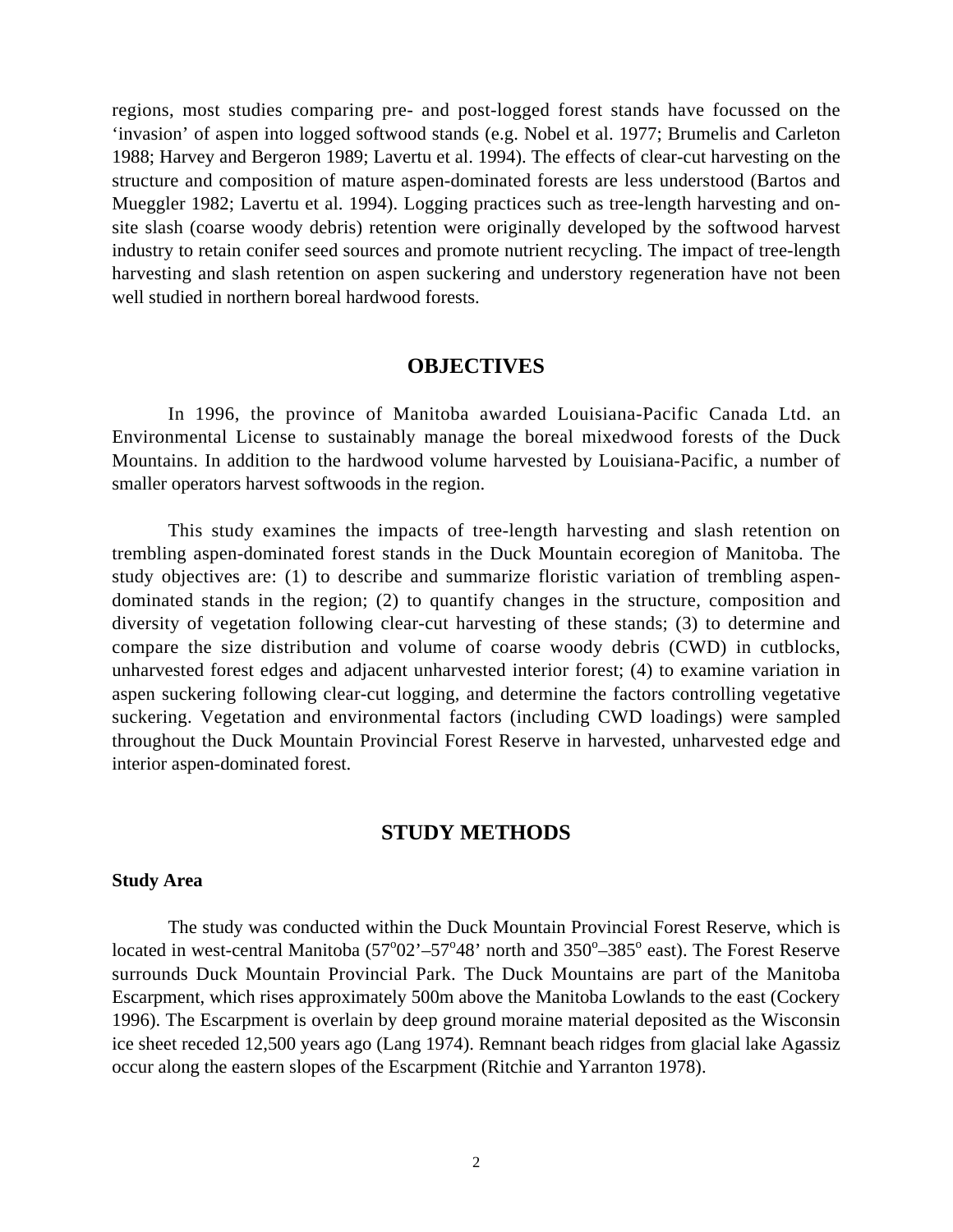regions, most studies comparing pre- and post-logged forest stands have focussed on the 'invasion' of aspen into logged softwood stands (e.g. Nobel et al. 1977; Brumelis and Carleton 1988; Harvey and Bergeron 1989; Lavertu et al. 1994). The effects of clear-cut harvesting on the structure and composition of mature aspen-dominated forests are less understood (Bartos and Mueggler 1982; Lavertu et al. 1994). Logging practices such as tree-length harvesting and onsite slash (coarse woody debris) retention were originally developed by the softwood harvest industry to retain conifer seed sources and promote nutrient recycling. The impact of tree-length harvesting and slash retention on aspen suckering and understory regeneration have not been well studied in northern boreal hardwood forests.

### **OBJECTIVES**

In 1996, the province of Manitoba awarded Louisiana-Pacific Canada Ltd. an Environmental License to sustainably manage the boreal mixedwood forests of the Duck Mountains. In addition to the hardwood volume harvested by Louisiana-Pacific, a number of smaller operators harvest softwoods in the region.

This study examines the impacts of tree-length harvesting and slash retention on trembling aspen-dominated forest stands in the Duck Mountain ecoregion of Manitoba. The study objectives are: (1) to describe and summarize floristic variation of trembling aspendominated stands in the region; (2) to quantify changes in the structure, composition and diversity of vegetation following clear-cut harvesting of these stands; (3) to determine and compare the size distribution and volume of coarse woody debris (CWD) in cutblocks, unharvested forest edges and adjacent unharvested interior forest; (4) to examine variation in aspen suckering following clear-cut logging, and determine the factors controlling vegetative suckering. Vegetation and environmental factors (including CWD loadings) were sampled throughout the Duck Mountain Provincial Forest Reserve in harvested, unharvested edge and interior aspen-dominated forest.

# **STUDY METHODS**

#### **Study Area**

The study was conducted within the Duck Mountain Provincial Forest Reserve, which is located in west-central Manitoba  $(57^{\circ}02^{\circ}-57^{\circ}48^{\circ}$  north and  $350^{\circ}-385^{\circ}$  east). The Forest Reserve surrounds Duck Mountain Provincial Park. The Duck Mountains are part of the Manitoba Escarpment, which rises approximately 500m above the Manitoba Lowlands to the east (Cockery 1996). The Escarpment is overlain by deep ground moraine material deposited as the Wisconsin ice sheet receded 12,500 years ago (Lang 1974). Remnant beach ridges from glacial lake Agassiz occur along the eastern slopes of the Escarpment (Ritchie and Yarranton 1978).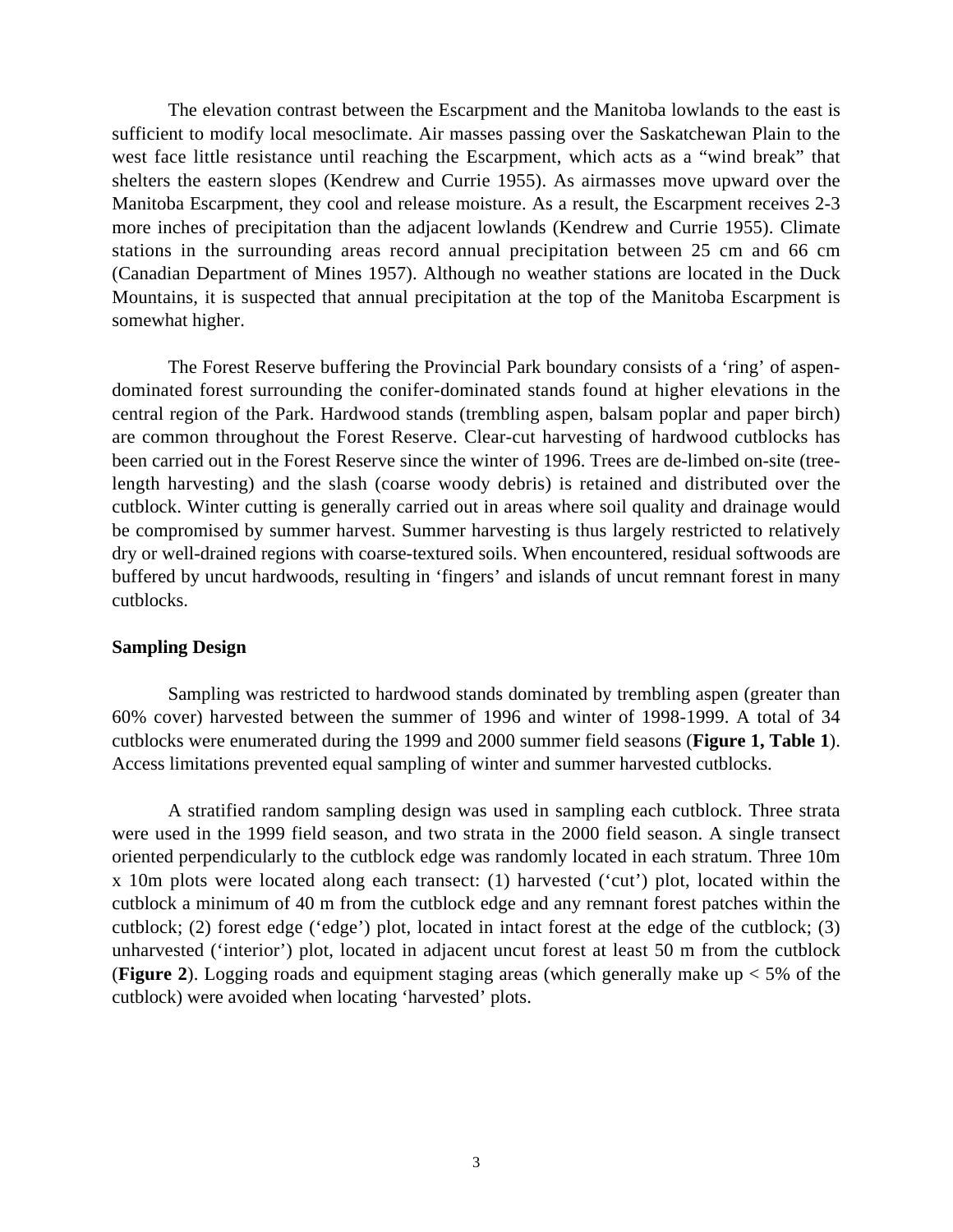The elevation contrast between the Escarpment and the Manitoba lowlands to the east is sufficient to modify local mesoclimate. Air masses passing over the Saskatchewan Plain to the west face little resistance until reaching the Escarpment, which acts as a "wind break" that shelters the eastern slopes (Kendrew and Currie 1955). As airmasses move upward over the Manitoba Escarpment, they cool and release moisture. As a result, the Escarpment receives 2-3 more inches of precipitation than the adjacent lowlands (Kendrew and Currie 1955). Climate stations in the surrounding areas record annual precipitation between 25 cm and 66 cm (Canadian Department of Mines 1957). Although no weather stations are located in the Duck Mountains, it is suspected that annual precipitation at the top of the Manitoba Escarpment is somewhat higher.

The Forest Reserve buffering the Provincial Park boundary consists of a 'ring' of aspendominated forest surrounding the conifer-dominated stands found at higher elevations in the central region of the Park. Hardwood stands (trembling aspen, balsam poplar and paper birch) are common throughout the Forest Reserve. Clear-cut harvesting of hardwood cutblocks has been carried out in the Forest Reserve since the winter of 1996. Trees are de-limbed on-site (treelength harvesting) and the slash (coarse woody debris) is retained and distributed over the cutblock. Winter cutting is generally carried out in areas where soil quality and drainage would be compromised by summer harvest. Summer harvesting is thus largely restricted to relatively dry or well-drained regions with coarse-textured soils. When encountered, residual softwoods are buffered by uncut hardwoods, resulting in 'fingers' and islands of uncut remnant forest in many cutblocks.

#### **Sampling Design**

Sampling was restricted to hardwood stands dominated by trembling aspen (greater than 60% cover) harvested between the summer of 1996 and winter of 1998-1999. A total of 34 cutblocks were enumerated during the 1999 and 2000 summer field seasons (**Figure 1, Table 1**). Access limitations prevented equal sampling of winter and summer harvested cutblocks.

A stratified random sampling design was used in sampling each cutblock. Three strata were used in the 1999 field season, and two strata in the 2000 field season. A single transect oriented perpendicularly to the cutblock edge was randomly located in each stratum. Three 10m x 10m plots were located along each transect: (1) harvested ('cut') plot, located within the cutblock a minimum of 40 m from the cutblock edge and any remnant forest patches within the cutblock; (2) forest edge ('edge') plot, located in intact forest at the edge of the cutblock; (3) unharvested ('interior') plot, located in adjacent uncut forest at least 50 m from the cutblock (**Figure 2**). Logging roads and equipment staging areas (which generally make up < 5% of the cutblock) were avoided when locating 'harvested' plots.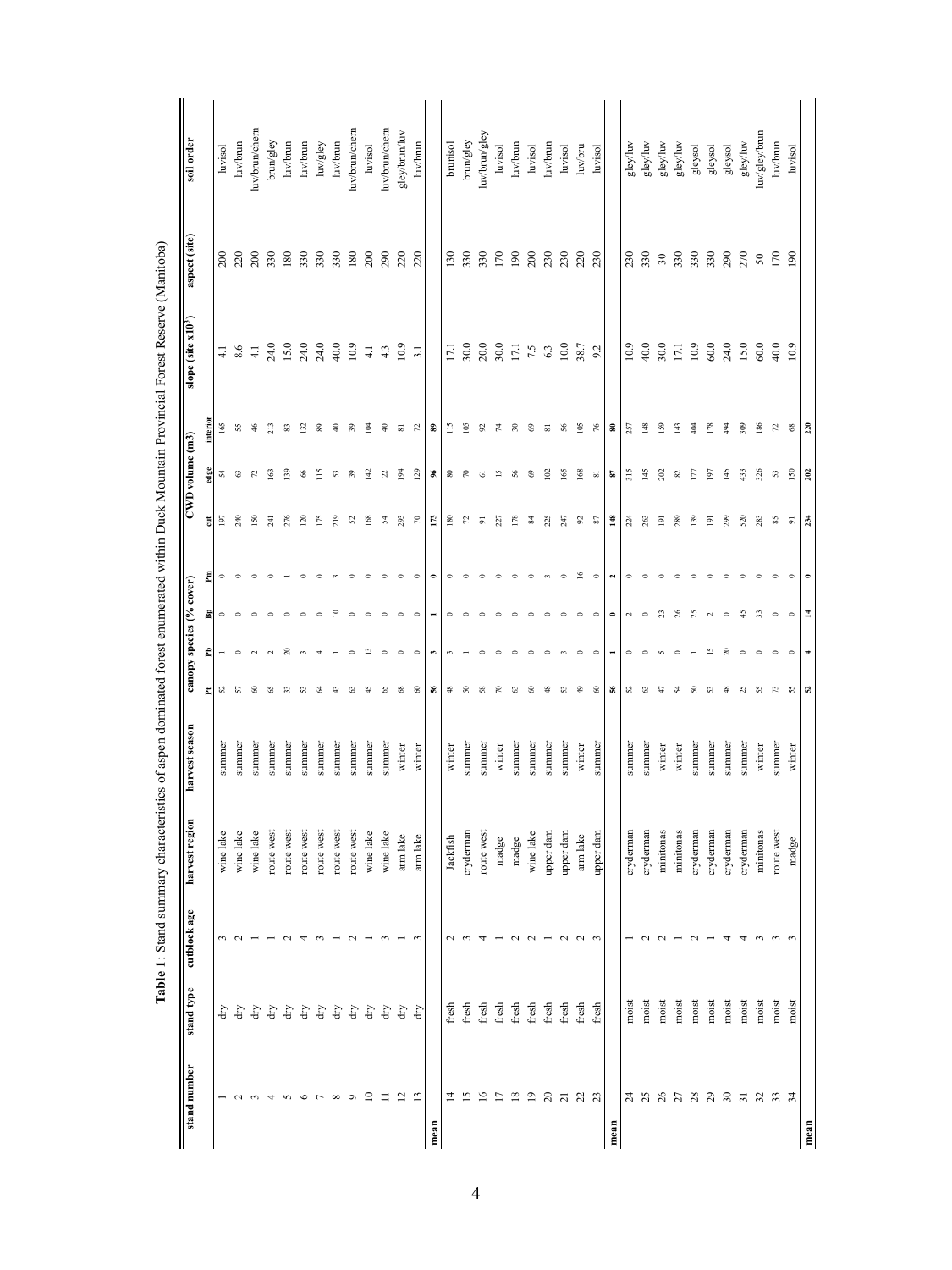| stand number                | stand type       | cutblock age | harvest region | harvest season |                | canopy species (% cover) |                |             |                | CWD volume (m3) |                            | slope (site x10 <sup>3</sup> ) | aspect (site) | soil order                                                                                  |
|-----------------------------|------------------|--------------|----------------|----------------|----------------|--------------------------|----------------|-------------|----------------|-----------------|----------------------------|--------------------------------|---------------|---------------------------------------------------------------------------------------------|
|                             |                  |              |                |                | ᅕ              | £                        | 팋              | Æ           | ă              | edge            | .<br>Interio               |                                |               |                                                                                             |
|                             | £                |              | wine lake      | summer         | S,             |                          | $\circ$        | $\circ$     | 197            | 24              | 165                        | $\overline{4}$                 | 200           | luvisol                                                                                     |
| $\sim$                      | ď                |              | wine lake      | summer         | 5              | $\circ$                  | $\circ$        |             | 240            | $\mathbb{S}^3$  | 55                         | 8.6                            | 220           | luv/brun                                                                                    |
| $\sim$                      | ď                |              | wine lake      | summer         | 8              | $\sim$                   | $\circ$        |             | $\frac{50}{2}$ | 52              | $\frac{4}{5}$              | $\overline{41}$                | 200           | luv/brun/chern                                                                              |
| 4                           | ď                |              | route west     | summe          | S              | $\sim$                   | $\circ$        |             | $\overline{4}$ | $\mathcal{S}$   | 213                        | 24.0                           | 330           | $\ensuremath{\text{brun/gley}}$                                                             |
| $\sim$                      | ď                |              | route west     | summer         | $\mathfrak{D}$ | $\approx$                | $\circ$        |             | 276            | $\overline{39}$ | 33                         | 15.0                           | 180           | luv/brun                                                                                    |
| $\circ$                     | ď                |              | route west     | summer         | ಣ              | $\sim$                   | $\circ$        |             | 120            | 66              | 132                        | 24.0                           | 330           | luv/brun                                                                                    |
| $\overline{ }$              | $\rm{d}{\it{r}}$ |              | route west     | summer         | ₹              | 4                        | $\circ$        |             | 175            | $\approx$       | 89                         | 24.0                           | 330           | $\ensuremath{\text{luv}}\xspace/\ensuremath{\text{g}}\xspace\ensuremath{\text{ley}}\xspace$ |
| $\infty$                    | ď                |              | route west     | summer         |                |                          | $\mathbf{r}$   |             | 219            | S               | $\frac{6}{4}$              | 40.0                           | 330           | luv/brun                                                                                    |
| $\circ$                     | ď                |              | route west     | summer         | ಣ              | $\circ$                  | $\circ$        |             | 25             | 39              | 39                         | 10.9                           | 180           | luv/brun/chern                                                                              |
| $\Xi$                       | ď                |              | wine lake      | summer         |                | S                        | $\circ$        |             | 168            | $\frac{1}{2}$   | 홀                          | $\overline{41}$                | 200           | luvisol                                                                                     |
| $\equiv$                    | ď                |              | wine lake      | summer         | S              | $\circ$                  | $\circ$        |             | 54             | $\mathbb{Z}$    | $\Rightarrow$              | 4.3                            | 290           | luv/brun/chern                                                                              |
| $\frac{2}{1}$ $\frac{2}{3}$ | ď                |              | arm lake       | winter         | $\frac{8}{2}$  | $\circ$                  | $\circ$        | $\epsilon$  | 293            | $\bar{5}$       | 55 R                       | 10.9                           | 220           | gley/brun/luv                                                                               |
|                             | ਚਿ               |              | arm lake       | winter         | 8              | $\circ$                  | $\circ$        | $\circ$     | $\epsilon$     | 29              |                            | 3.1                            | 220           | luv/brun                                                                                    |
| mean                        |                  |              |                |                | æ,             | $\mathbf{r}$             |                |             | 173            | ৼ               | S,                         |                                |               |                                                                                             |
| 4                           | fresh            | $\mathbf 2$  | Jackfish       | winter         | ≇              |                          | $\circ$        | $\circ$     | $^{180}$       | $80^{\circ}$    | $\tilde{=}$                | Ξ                              | 130           | brunisol                                                                                    |
| $\overline{15}$             | fresh            |              | cryderman      | summer         | 8              |                          | $\circ$        |             | 52             | ్గ              | Š                          | 30.0                           | 330           | brun/gley                                                                                   |
| $\overline{16}$             | fresh            |              | route west     | summer         | S8             |                          | $\circ$        |             | $\overline{5}$ | $\overline{6}$  | $\boldsymbol{\mathcal{S}}$ | 20.0                           | 330           | luv/brun/gley                                                                               |
| $\overline{L}$              | fresh            |              | madge          | winter         | R              | $\epsilon$               | $\circ$        |             | 227            | $\overline{5}$  | $\mathcal{L}$              | 30.0                           | 170           | luvisol                                                                                     |
| $\overline{18}$             | fresh            |              | madge          | summer         | ಣ              | $\epsilon$               | $\circ$        |             | 178            | 56              | 50                         | 17.1                           | 190           | luv/brun                                                                                    |
| $\overline{19}$             | fresh            |              | wine lake      | summer         | 8              | $\circ$                  | $\circ$        |             | $\frac{84}{3}$ | $\mathcal{S}$   | 69                         | 7.5                            | 200           | luvisol                                                                                     |
| $20\,$                      | fresh            |              | upper dam      | summer         | ≇              |                          | $\circ$        |             | 225            | $\tilde{c}$     | $\overline{\infty}$        | 6.3                            | 230           | luv/brun                                                                                    |
| $\overline{21}$             | fresh            |              | upper dam      | summer         | ಣ              |                          | $\circ$        | $\circ$     | 247            | iss             | - 56                       | 10.0                           | 230           | luvisol                                                                                     |
| 21 23                       | fresh            | $\sim$       | arm lake       | winter         | ₽              | $\circ$                  | $\circ$        | $\tilde{a}$ | $\mathfrak{S}$ | $\frac{8}{8}$   | $\tilde{e}$                | 38.7                           | 220           | luv/bru                                                                                     |
|                             | fresh            |              | upper dam      | summe          | 8              | $\circ$                  | $\circ$        | $\circ$     | - 29           | ವ               | $\frac{5}{2}$              | 9.2                            | 230           | luvisol                                                                                     |
|                             |                  |              |                |                | জ              |                          | $\bullet$      |             | $\frac{3}{4}$  | s.              | ຘ                          |                                |               |                                                                                             |
| $\mathcal{Z}$               | moist            |              | cryderman      | summer         | S              | $\circ$                  | $\sim$         | $\circ$     | 224            | 315             | 257                        | 10.9                           | 230           | gley/luv                                                                                    |
| 555355                      | moist            |              | cryderman      | summer         | ಣ              | $\circ$                  | $\circ$        |             | 263            | 145             | $\frac{48}{5}$             | 40.0                           | 330           | gley/luv                                                                                    |
|                             | moist            |              | minitonas      | winter         | ₽              | s.                       | $\mathfrak{L}$ |             | $\overline{9}$ | 202             | 59                         | 30.0                           | 30            | gley/luv                                                                                    |
|                             | moist            |              | minitonas      | winter         | ᆽ              | $\circ$                  | $^{26}$        |             | 289            | 82              | 143                        | 17.1                           | 330           | gley/luv                                                                                    |
|                             | moist            |              | cryderman      | summer         | 8              |                          | $^{25}$        |             | 139            | E               | $\frac{3}{2}$              | 10.9                           | 330           | gleysol                                                                                     |
|                             | moist            |              | cryderman      | summer         | S              | $\overline{5}$           | $\sim$         |             | $\overline{9}$ | 197             | 178                        | 60.0                           | 330           | gleysol                                                                                     |
|                             | moist            |              | cryderman      | summer         | ≇              | $\approx$                | $\circ$        |             | 299            | 145             | $\frac{3}{4}$              | 24.0                           | 290           | gleysol                                                                                     |
|                             | moist            |              | cryderman      | summer         | R              | $\circ$                  | $\frac{45}{5}$ |             | 520            | 433             | 509                        | 15.0                           | 270           | gley/luv                                                                                    |
| 5235                        | moist            |              | minitonas      | winter         | S.             | $\circ$                  | $\mathfrak{L}$ |             | 283            | 326             | 186                        | 60.0                           | ${\bf 50}$    | luv/gley/brun                                                                               |
|                             | moist            |              | route west     | summer         | $\mathbb{E}$   | $\circ$                  | $\circ$        |             | SS.            | 53              | 72                         | 40.0                           | 170           | luv/brun                                                                                    |
|                             | moist            |              | madge          | winter         | -SS            | $\bullet$                | $\circ$        |             | 5              | 50              | $\frac{8}{3}$              | 10.9                           | 190           | luvisol                                                                                     |
| mean                        |                  |              |                |                | 2              | F                        | $\overline{1}$ | $\bullet$   | 234            | 202             | 220                        |                                |               |                                                                                             |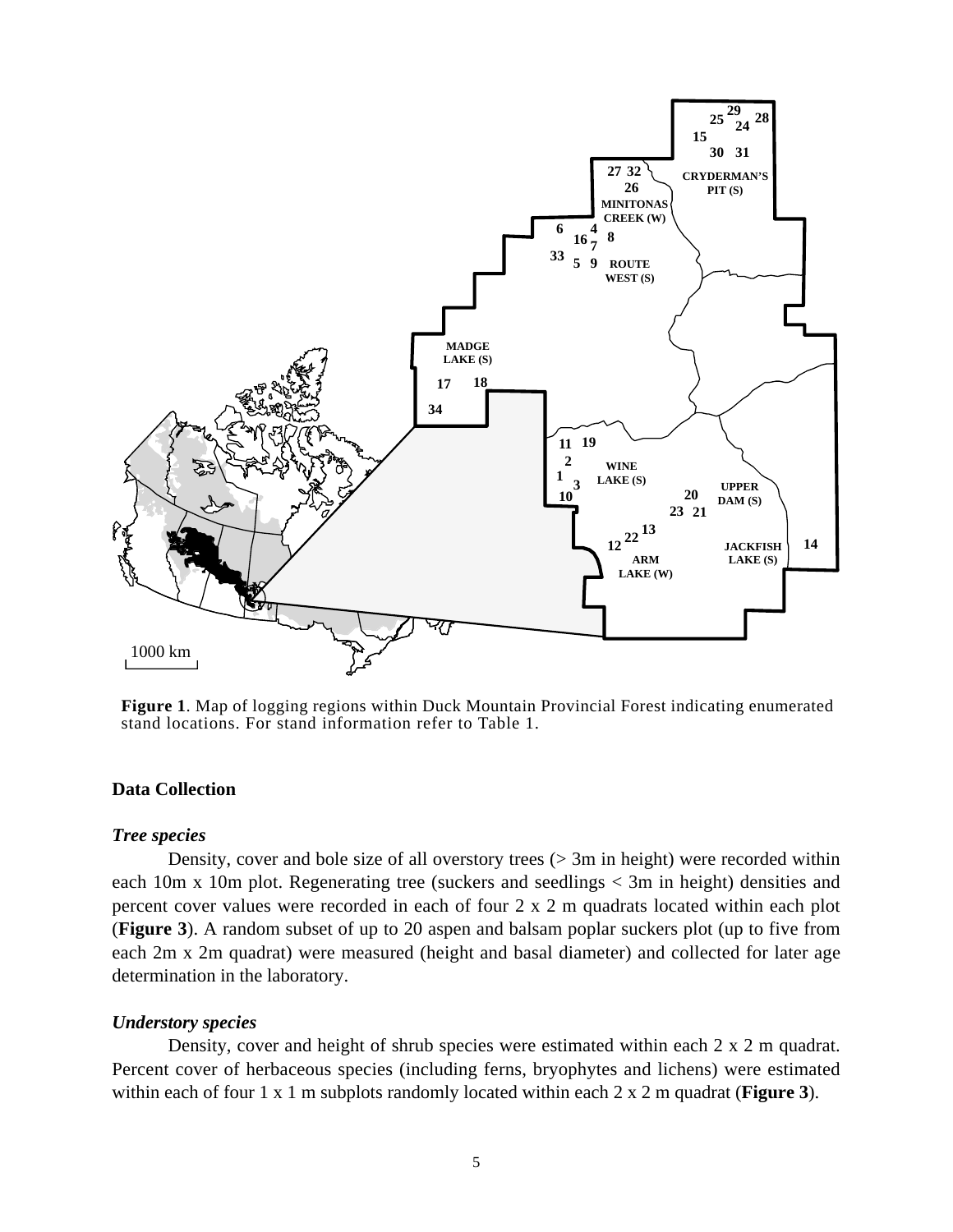

**Figure 1**. Map of logging regions within Duck Mountain Provincial Forest indicating enumerated stand locations. For stand information refer to Table 1.

## **Data Collection**

#### *Tree species*

Density, cover and bole size of all overstory trees (> 3m in height) were recorded within each 10m x 10m plot. Regenerating tree (suckers and seedlings < 3m in height) densities and percent cover values were recorded in each of four 2 x 2 m quadrats located within each plot (**Figure 3**). A random subset of up to 20 aspen and balsam poplar suckers plot (up to five from each 2m x 2m quadrat) were measured (height and basal diameter) and collected for later age determination in the laboratory.

#### *Understory species*

Density, cover and height of shrub species were estimated within each 2 x 2 m quadrat. Percent cover of herbaceous species (including ferns, bryophytes and lichens) were estimated within each of four 1 x 1 m subplots randomly located within each 2 x 2 m quadrat (**Figure 3**).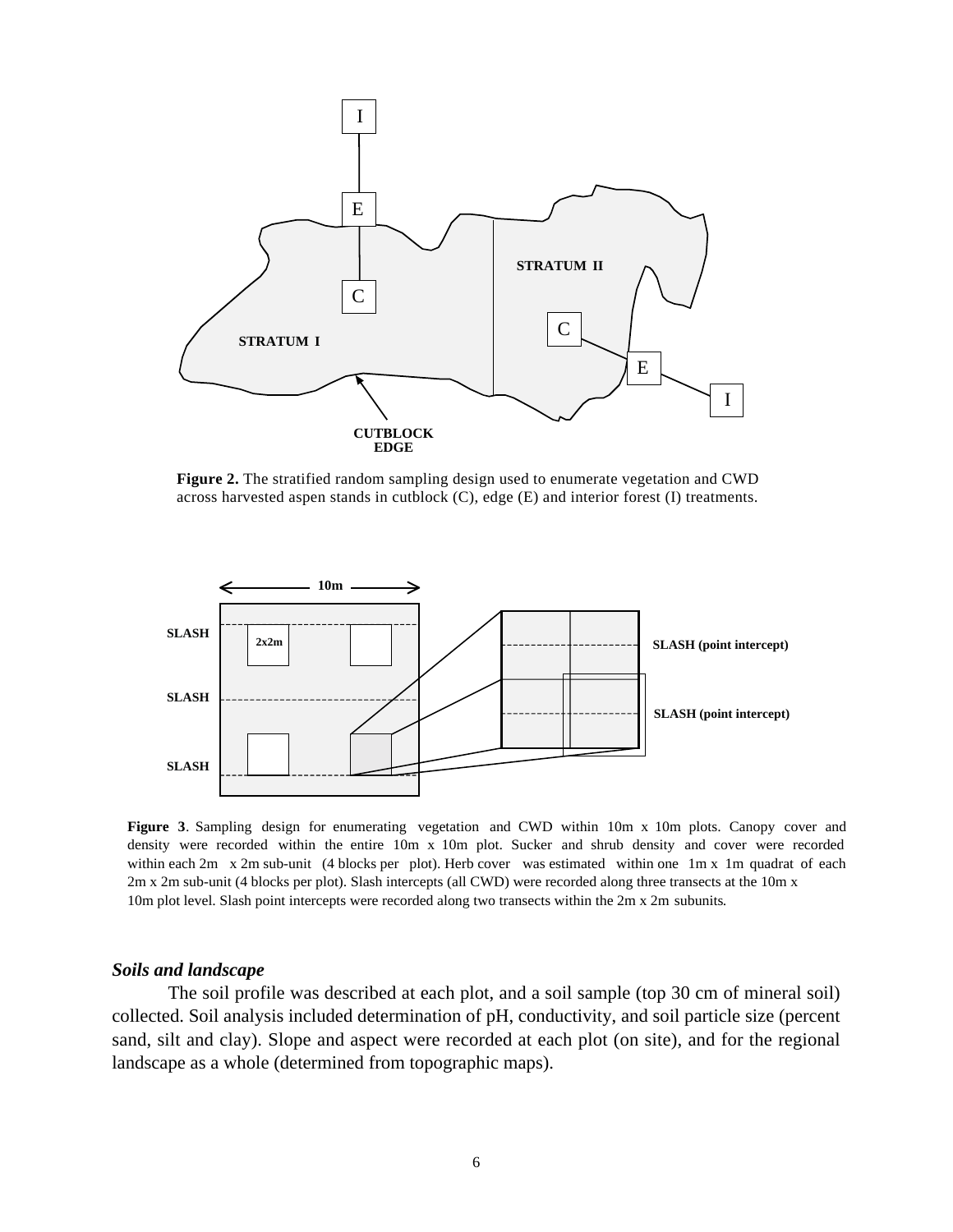

**Figure 2.** The stratified random sampling design used to enumerate vegetation and CWD across harvested aspen stands in cutblock (C), edge (E) and interior forest (I) treatments.



**Figure 3**. Sampling design for enumerating vegetation and CWD within 10m x 10m plots. Canopy cover and density were recorded within the entire 10m x 10m plot. Sucker and shrub density and cover were recorded within each 2m x 2m sub-unit (4 blocks per plot). Herb cover was estimated within one 1m x 1m quadrat of each 2m x 2m sub-unit (4 blocks per plot). Slash intercepts (all CWD) were recorded along three transects at the 10m x 10m plot level. Slash point intercepts were recorded along two transects within the 2m x 2m subunits.

#### *Soils and landscape*

The soil profile was described at each plot, and a soil sample (top 30 cm of mineral soil) collected. Soil analysis included determination of pH, conductivity, and soil particle size (percent sand, silt and clay). Slope and aspect were recorded at each plot (on site), and for the regional landscape as a whole (determined from topographic maps).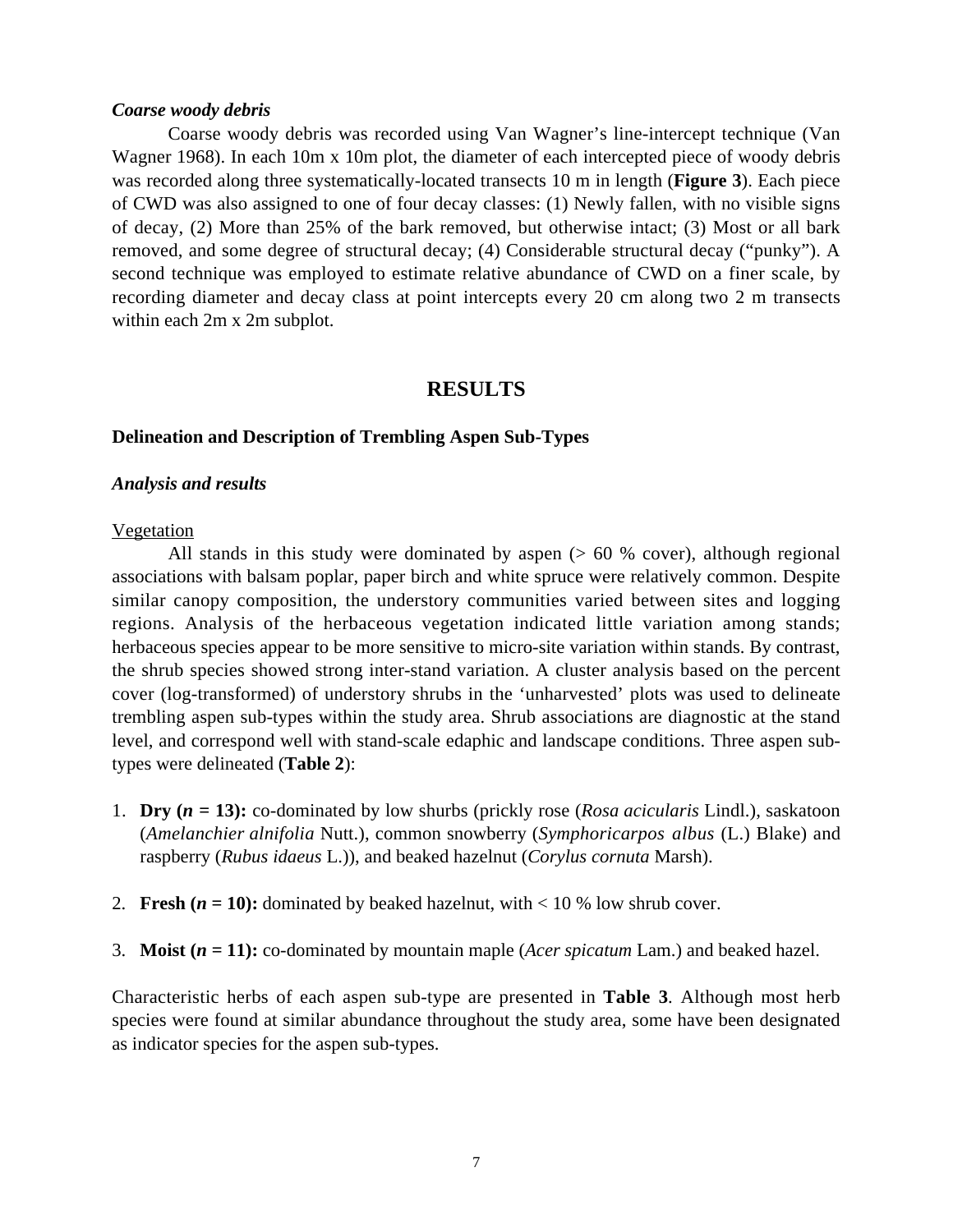#### *Coarse woody debris*

Coarse woody debris was recorded using Van Wagner's line-intercept technique (Van Wagner 1968). In each 10m x 10m plot, the diameter of each intercepted piece of woody debris was recorded along three systematically-located transects 10 m in length (**Figure 3**). Each piece of CWD was also assigned to one of four decay classes: (1) Newly fallen, with no visible signs of decay, (2) More than 25% of the bark removed, but otherwise intact; (3) Most or all bark removed, and some degree of structural decay; (4) Considerable structural decay ("punky"). A second technique was employed to estimate relative abundance of CWD on a finer scale, by recording diameter and decay class at point intercepts every 20 cm along two 2 m transects within each 2m x 2m subplot.

# **RESULTS**

#### **Delineation and Description of Trembling Aspen Sub-Types**

#### *Analysis and results*

#### Vegetation

All stands in this study were dominated by aspen  $($  > 60 % cover), although regional associations with balsam poplar, paper birch and white spruce were relatively common. Despite similar canopy composition, the understory communities varied between sites and logging regions. Analysis of the herbaceous vegetation indicated little variation among stands; herbaceous species appear to be more sensitive to micro-site variation within stands. By contrast, the shrub species showed strong inter-stand variation. A cluster analysis based on the percent cover (log-transformed) of understory shrubs in the 'unharvested' plots was used to delineate trembling aspen sub-types within the study area. Shrub associations are diagnostic at the stand level, and correspond well with stand-scale edaphic and landscape conditions. Three aspen subtypes were delineated (**Table 2**):

- 1. **Dry (***n* **= 13):** co-dominated by low shurbs (prickly rose (*Rosa acicularis* Lindl.), saskatoon (*Amelanchier alnifolia* Nutt.), common snowberry (*Symphoricarpos albus* (L.) Blake) and raspberry (*Rubus idaeus* L.)), and beaked hazelnut (*Corylus cornuta* Marsh).
- 2. **Fresh (** $n = 10$ **):** dominated by beaked hazelnut, with  $< 10\%$  low shrub cover.
- 3. **Moist (***n =* **11):** co-dominated by mountain maple (*Acer spicatum* Lam.) and beaked hazel.

Characteristic herbs of each aspen sub-type are presented in **Table 3**. Although most herb species were found at similar abundance throughout the study area, some have been designated as indicator species for the aspen sub-types.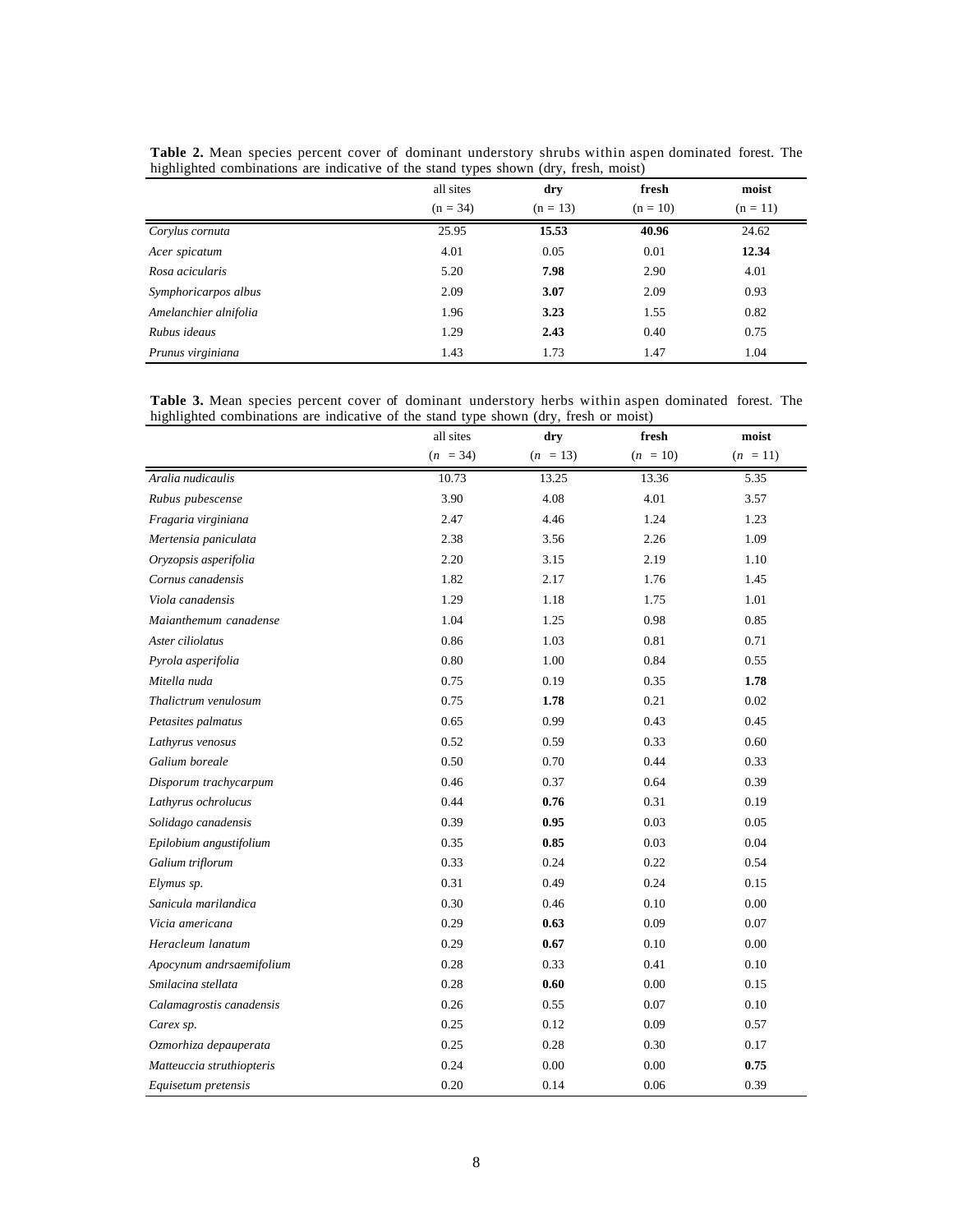|                       | all sites  | dry        | fresh      | moist      |
|-----------------------|------------|------------|------------|------------|
|                       | $(n = 34)$ | $(n = 13)$ | $(n = 10)$ | $(n = 11)$ |
| Corylus cornuta       | 25.95      | 15.53      | 40.96      | 24.62      |
| Acer spicatum         | 4.01       | 0.05       | 0.01       | 12.34      |
| Rosa acicularis       | 5.20       | 7.98       | 2.90       | 4.01       |
| Symphoricarpos albus  | 2.09       | 3.07       | 2.09       | 0.93       |
| Amelanchier alnifolia | 1.96       | 3.23       | 1.55       | 0.82       |
| Rubus ideaus          | 1.29       | 2.43       | 0.40       | 0.75       |
| Prunus virginiana     | 1.43       | 1.73       | 1.47       | 1.04       |

**Table 2.** Mean species percent cover of dominant understory shrubs within aspen dominated forest. The highlighted combinations are indicative of the stand types shown (dry, fresh, moist)

**Table 3.** Mean species percent cover of dominant understory herbs within aspen dominated forest. The highlighted combinations are indicative of the stand type shown (dry, fresh or moist)

|                           | all sites  | dry        | fresh      | moist      |
|---------------------------|------------|------------|------------|------------|
|                           | $(n = 34)$ | $(n = 13)$ | $(n = 10)$ | $(n = 11)$ |
| Aralia nudicaulis         | 10.73      | 13.25      | 13.36      | 5.35       |
| Rubus pubescense          | 3.90       | 4.08       | 4.01       | 3.57       |
| Fragaria virginiana       | 2.47       | 4.46       | 1.24       | 1.23       |
| Mertensia paniculata      | 2.38       | 3.56       | 2.26       | 1.09       |
| Oryzopsis asperifolia     | 2.20       | 3.15       | 2.19       | 1.10       |
| Cornus canadensis         | 1.82       | 2.17       | 1.76       | 1.45       |
| Viola canadensis          | 1.29       | 1.18       | 1.75       | 1.01       |
| Maianthemum canadense     | 1.04       | 1.25       | 0.98       | 0.85       |
| Aster ciliolatus          | 0.86       | 1.03       | 0.81       | 0.71       |
| Pyrola asperifolia        | 0.80       | 1.00       | 0.84       | 0.55       |
| Mitella nuda              | 0.75       | 0.19       | 0.35       | 1.78       |
| Thalictrum venulosum      | 0.75       | 1.78       | 0.21       | 0.02       |
| Petasites palmatus        | 0.65       | 0.99       | 0.43       | 0.45       |
| Lathyrus venosus          | 0.52       | 0.59       | 0.33       | 0.60       |
| Galium boreale            | 0.50       | 0.70       | 0.44       | 0.33       |
| Disporum trachycarpum     | 0.46       | 0.37       | 0.64       | 0.39       |
| Lathyrus ochrolucus       | 0.44       | 0.76       | 0.31       | 0.19       |
| Solidago canadensis       | 0.39       | 0.95       | 0.03       | 0.05       |
| Epilobium angustifolium   | 0.35       | 0.85       | 0.03       | 0.04       |
| Galium triflorum          | 0.33       | 0.24       | 0.22       | 0.54       |
| Elymus sp.                | 0.31       | 0.49       | 0.24       | 0.15       |
| Sanicula marilandica      | 0.30       | 0.46       | 0.10       | 0.00       |
| Vicia americana           | 0.29       | 0.63       | 0.09       | 0.07       |
| Heracleum lanatum         | 0.29       | 0.67       | 0.10       | 0.00       |
| Apocynum andrsaemifolium  | 0.28       | 0.33       | 0.41       | 0.10       |
| Smilacina stellata        | 0.28       | 0.60       | 0.00       | 0.15       |
| Calamagrostis canadensis  | 0.26       | 0.55       | 0.07       | 0.10       |
| Carex sp.                 | 0.25       | 0.12       | 0.09       | 0.57       |
| Ozmorhiza depauperata     | 0.25       | 0.28       | 0.30       | 0.17       |
| Matteuccia struthiopteris | 0.24       | 0.00       | 0.00       | 0.75       |
| Equisetum pretensis       | 0.20       | 0.14       | 0.06       | 0.39       |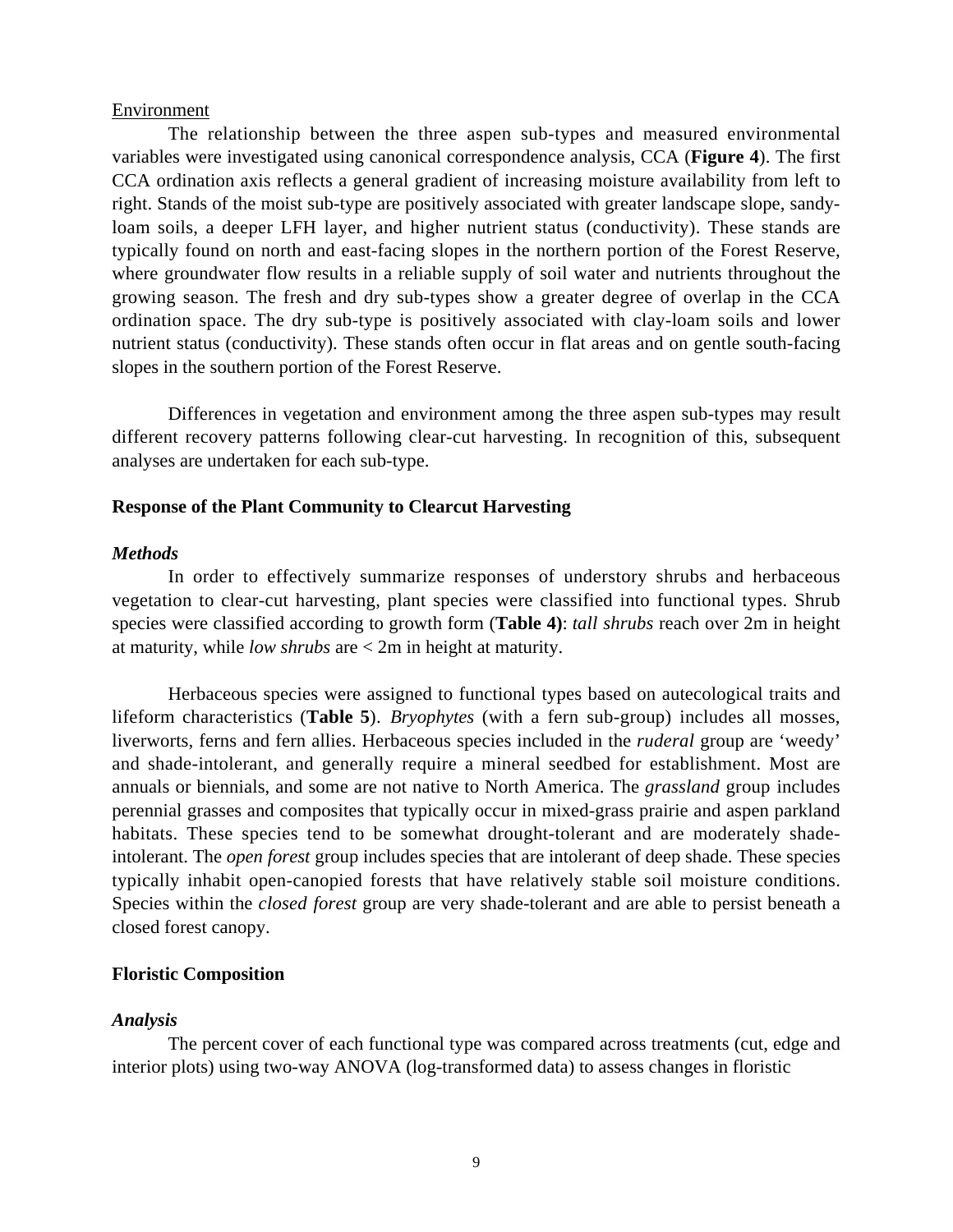#### Environment

The relationship between the three aspen sub-types and measured environmental variables were investigated using canonical correspondence analysis, CCA (**Figure 4**). The first CCA ordination axis reflects a general gradient of increasing moisture availability from left to right. Stands of the moist sub-type are positively associated with greater landscape slope, sandyloam soils, a deeper LFH layer, and higher nutrient status (conductivity). These stands are typically found on north and east-facing slopes in the northern portion of the Forest Reserve, where groundwater flow results in a reliable supply of soil water and nutrients throughout the growing season. The fresh and dry sub-types show a greater degree of overlap in the CCA ordination space. The dry sub-type is positively associated with clay-loam soils and lower nutrient status (conductivity). These stands often occur in flat areas and on gentle south-facing slopes in the southern portion of the Forest Reserve.

Differences in vegetation and environment among the three aspen sub-types may result different recovery patterns following clear-cut harvesting. In recognition of this, subsequent analyses are undertaken for each sub-type.

#### **Response of the Plant Community to Clearcut Harvesting**

#### *Methods*

In order to effectively summarize responses of understory shrubs and herbaceous vegetation to clear-cut harvesting, plant species were classified into functional types. Shrub species were classified according to growth form (**Table 4)**: *tall shrubs* reach over 2m in height at maturity, while *low shrubs* are < 2m in height at maturity.

Herbaceous species were assigned to functional types based on autecological traits and lifeform characteristics (**Table 5**). *Bryophytes* (with a fern sub-group) includes all mosses, liverworts, ferns and fern allies. Herbaceous species included in the *ruderal* group are 'weedy' and shade-intolerant, and generally require a mineral seedbed for establishment. Most are annuals or biennials, and some are not native to North America. The *grassland* group includes perennial grasses and composites that typically occur in mixed-grass prairie and aspen parkland habitats. These species tend to be somewhat drought-tolerant and are moderately shadeintolerant. The *open forest* group includes species that are intolerant of deep shade. These species typically inhabit open-canopied forests that have relatively stable soil moisture conditions. Species within the *closed forest* group are very shade-tolerant and are able to persist beneath a closed forest canopy.

# **Floristic Composition**

#### *Analysis*

The percent cover of each functional type was compared across treatments (cut, edge and interior plots) using two-way ANOVA (log-transformed data) to assess changes in floristic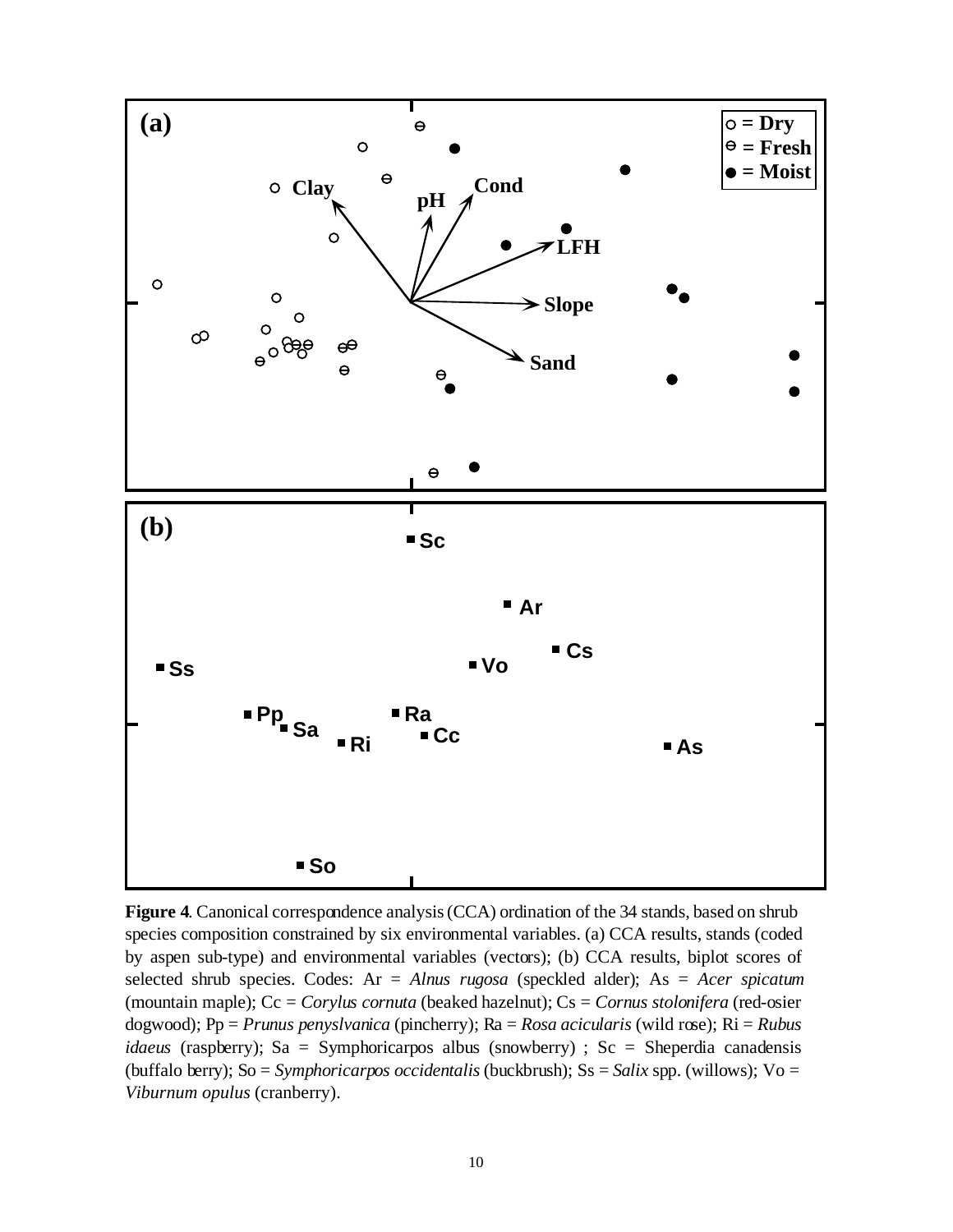

**Figure 4**. Canonical correspondence analysis (CCA) ordination of the 34 stands, based on shrub species composition constrained by six environmental variables. (a) CCA results, stands (coded by aspen sub-type) and environmental variables (vectors); (b) CCA results, biplot scores of selected shrub species. Codes: Ar = *Alnus rugosa* (speckled alder); As = *Acer spicatum* (mountain maple); Cc = *Corylus cornuta* (beaked hazelnut); Cs = *Cornus stolonifera* (red-osier dogwood); Pp = *Prunus penyslvanica* (pincherry); Ra = *Rosa acicularis* (wild rose); Ri = *Rubus idaeus* (raspberry); Sa = Symphoricarpos albus (snowberry) ; Sc = Sheperdia canadensis (buffalo berry); So = *Symphoricarpos occidentalis* (buckbrush); Ss = *Salix* spp. (willows); Vo = *Viburnum opulus* (cranberry).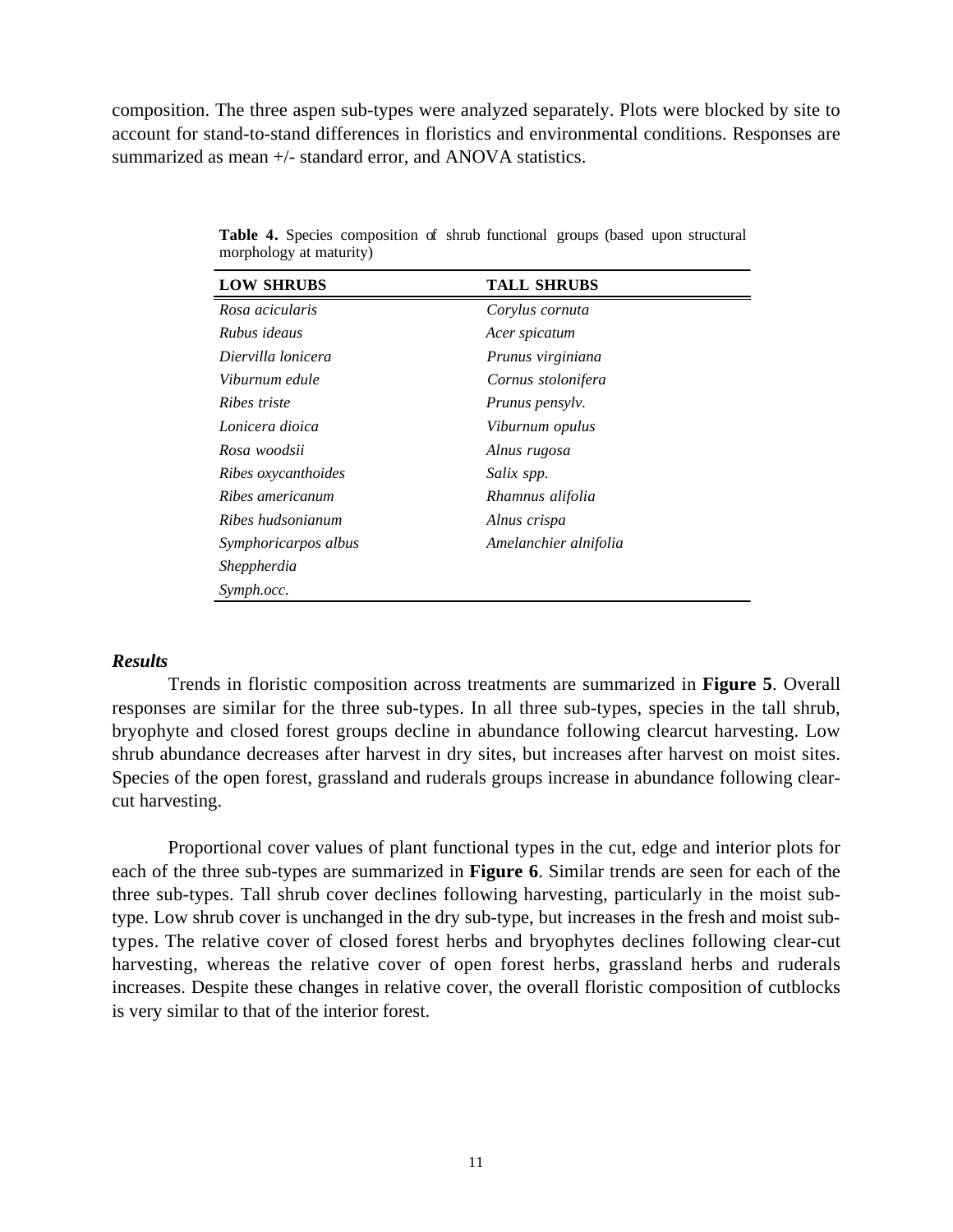composition. The three aspen sub-types were analyzed separately. Plots were blocked by site to account for stand-to-stand differences in floristics and environmental conditions. Responses are summarized as mean +/- standard error, and ANOVA statistics.

| <b>LOW SHRUBS</b>    | <b>TALL SHRUBS</b>    |  |
|----------------------|-----------------------|--|
| Rosa acicularis      | Corylus cornuta       |  |
| Rubus ideaus         | Acer spicatum         |  |
| Diervilla lonicera   | Prunus virginiana     |  |
| Viburnum edule       | Cornus stolonifera    |  |
| Ribes triste         | Prunus pensylv.       |  |
| Lonicera dioica      | Viburnum opulus       |  |
| Rosa woodsii         | Alnus rugosa          |  |
| Ribes oxycanthoides  | Salix spp.            |  |
| Ribes americanum     | Rhamnus alifolia      |  |
| Ribes hudsonianum    | Alnus crispa          |  |
| Symphoricarpos albus | Amelanchier alnifolia |  |
| Sheppherdia          |                       |  |
| Symph.occ.           |                       |  |

**Table 4.** Species composition of shrub functional groups (based upon structural morphology at maturity)

#### *Results*

Trends in floristic composition across treatments are summarized in **Figure 5**. Overall responses are similar for the three sub-types. In all three sub-types, species in the tall shrub, bryophyte and closed forest groups decline in abundance following clearcut harvesting. Low shrub abundance decreases after harvest in dry sites, but increases after harvest on moist sites. Species of the open forest, grassland and ruderals groups increase in abundance following clearcut harvesting.

Proportional cover values of plant functional types in the cut, edge and interior plots for each of the three sub-types are summarized in **Figure 6**. Similar trends are seen for each of the three sub-types. Tall shrub cover declines following harvesting, particularly in the moist subtype. Low shrub cover is unchanged in the dry sub-type, but increases in the fresh and moist subtypes. The relative cover of closed forest herbs and bryophytes declines following clear-cut harvesting, whereas the relative cover of open forest herbs, grassland herbs and ruderals increases. Despite these changes in relative cover, the overall floristic composition of cutblocks is very similar to that of the interior forest.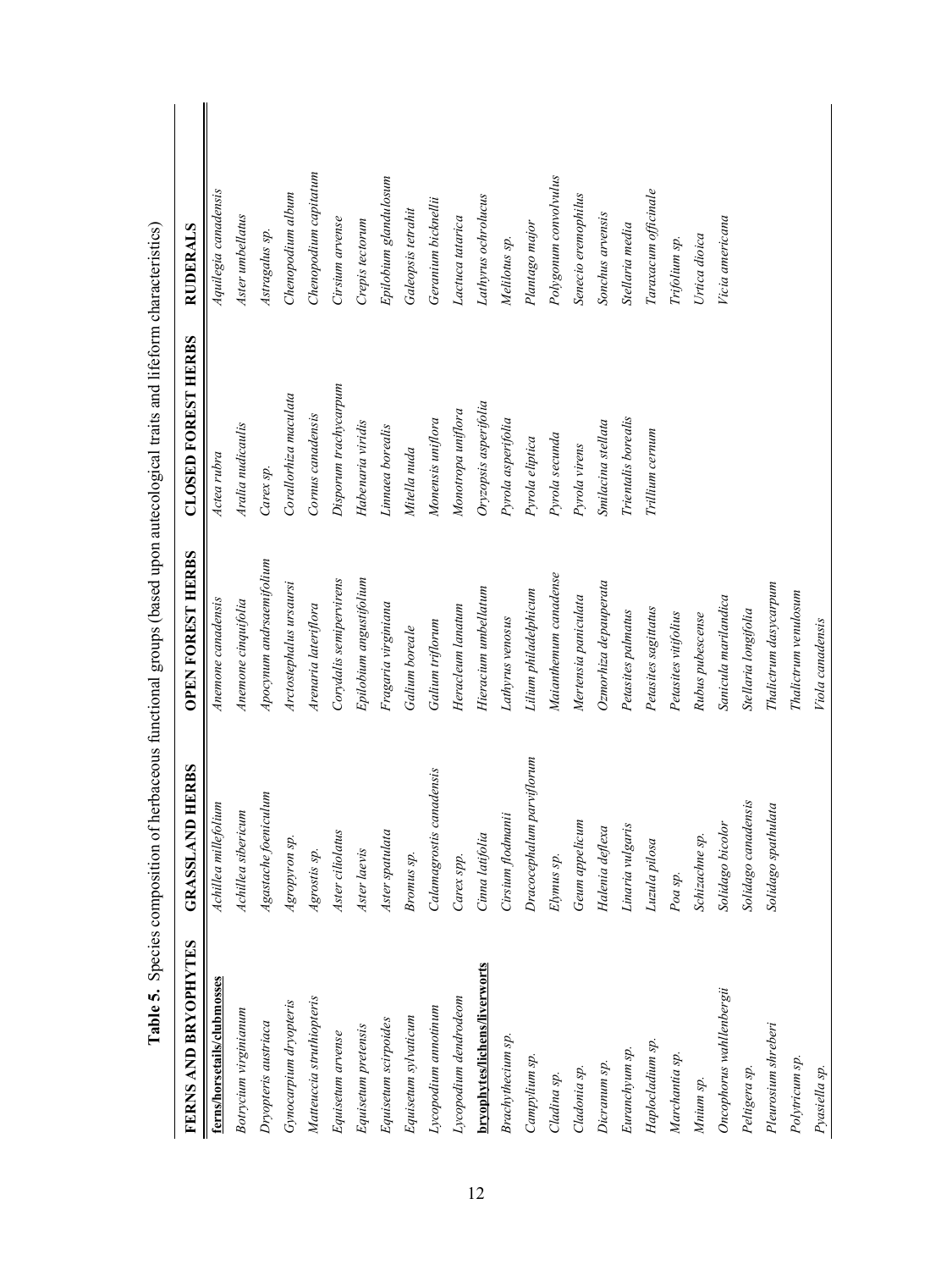| FERNS AND BRYOPHYTES          | <b>GRASSLAND HERBS</b>    | <b>OPEN FOREST HERBS</b> | <b>CLOSED FOREST HERBS</b> | <b>RUDERALS</b>       |
|-------------------------------|---------------------------|--------------------------|----------------------------|-----------------------|
| ferns/horsetails/clubmosses   | Achillea millefolium      | Anemone canadensis       | Actea rubra                | Aquilegia canadensis  |
| Botrycium virginianum         | Achillea sibericum        | Anemone cinquifolia      | Aralia nudicaulis          | Aster umbellatus      |
| Dryopteris austriaca          | Agastache foeniculum      | Apocynum andrsaemifolium | Carex sp.                  | Astragalus sp.        |
| Gynocarpium dryopteris        | Agropyron sp.             | Arctostephalus ursaursi  | Corallorhiza maculata      | Chenopodium album     |
| Matteuccia struthiopteris     | Agrostis sp.              | Arenaria lateriflora     | Cornus canadensis          | Chenopodium capitatum |
| Equisetum arvense             | Aster ciliolatus          | Corydalis semipervirens  | Disporum trachycarpum      | Cirsium arvense       |
| Equisetum pretensis           | Aster laevis              | Epilobium angustifolium  | Habenaria viridis          | Crepis tectorum       |
| Equisetum scirpoides          | Aster spatulata           | Fragaria virginiana      | Linnaea borealis           | Epilobium glandulosum |
| Equisetum sylvaticum          | Bromus sp.                | Galium boreale           | Mitella nuda               | Galeopsis tetrahit    |
| Lycopodium annotinum          | Calamagrostis canadensis  | Galium triflorum         | Monensis uniflora          | Geranium bicknellii   |
| Lycopodium dendrodeom         | Carex spp.                | Heracleum lanatum        | Monotropa uniflora         | Lactuca tatarica      |
| bryophytes/lichens/liverworts | Cinna latifolia           | Hieracium umbellatum     | Oryzopsis asperifolia      | Lathyrus ochrolucus   |
| Brachythecium sp.             | Cirsium flodmanii         | Lathyrus venosus         | Pyrola asperifolia         | Melilotus sp.         |
| Campylium sp.                 | Dracocephalum parviflorum | Lilium philadelphicum    | Pyrola eliptica            | Plantago major        |
| Cladina sp.                   | $Elymus$ sp.              | Maianthemum canadense    | Pyrola secunda             | Polygonum convolvulus |
| Cladonia sp.                  | Geum appelicum            | Mertensia paniculata     | Pyrola virens              | Senecio eremophilus   |
| Dicranum sp.                  | Halenia deflexa           | Ozmorhiza depauperata    | Smilacina stellata         | Sonchus arvensis      |
| Euranchyum sp.                | Linaria vulgaris          | Petasites palmatus       | Trientalis borealis        | Stellaria media       |
| Haplocladium sp.              | Luzula pilosa             | Petasites sagittatus     | Trillium cernum            | Taraxacum officinale  |
| Marchantia sp.                | Poa sp.                   | Petasites vitifolius     |                            | Trifolium sp.         |
| Mnium sp.                     | Schizachne sp.            | Rubus pubescense         |                            | Urtica dioica         |
| Oncophorus wahllenbergii      | Solidago bicolor          | Sanicula marilandica     |                            | Vicia americana       |
| Peltigera sp.                 | Solidago canadensis       | Stellaria longifolia     |                            |                       |
| Pleurosium shreberi           | Solidago spathulata       | Thalictrum dasycarpum    |                            |                       |
| Polytricum sp.                |                           | Thalictrum venulosum     |                            |                       |
| Pyasiella sp.                 |                           | Viola canadensis         |                            |                       |

Table 5. Species composition of herbaceous functional groups (based upon autecological traits and lifeform characteristics) **Table 5.** Species composition of herbaceous functional groups (based upon autecological traits and lifeform characteristics)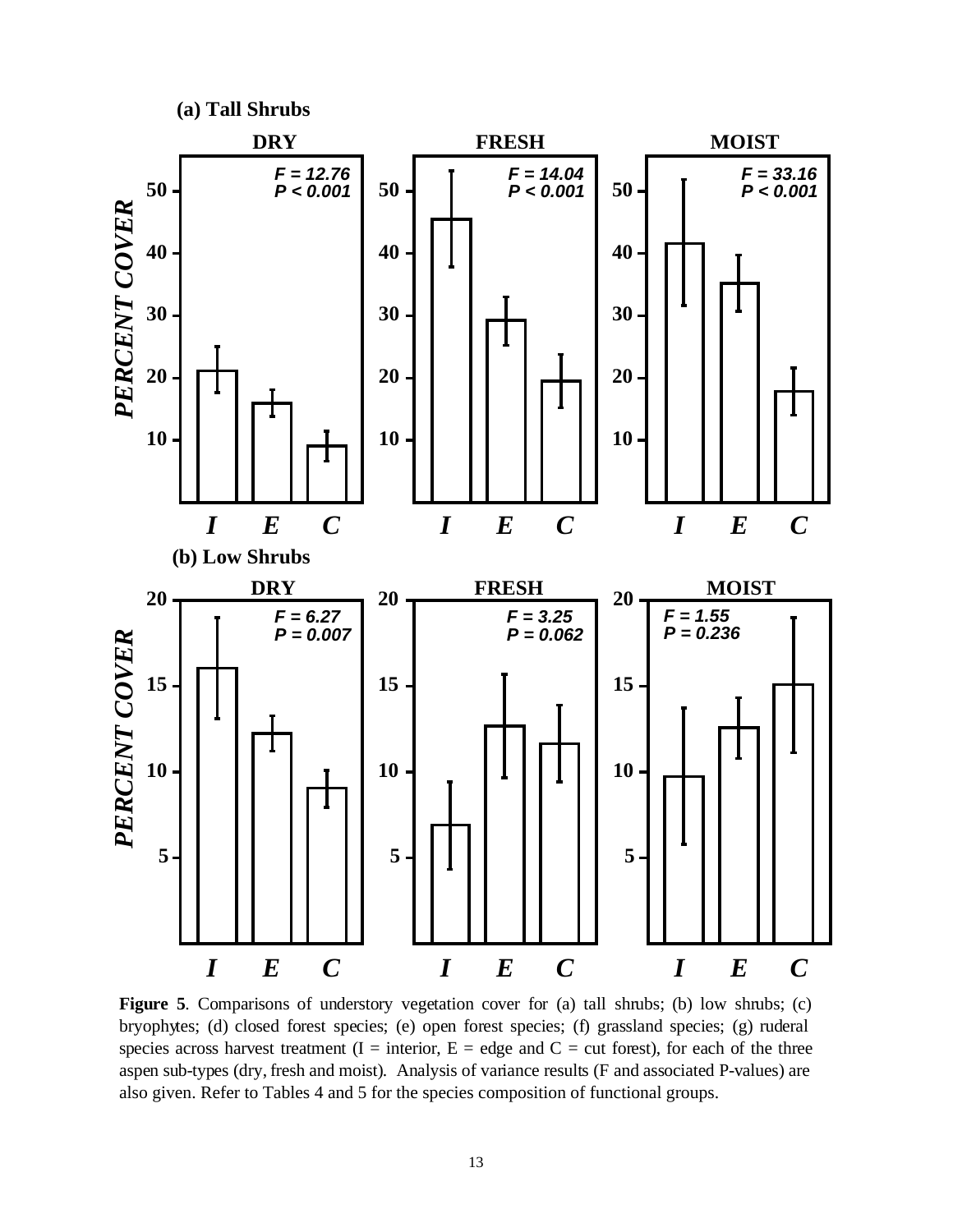

Figure 5. Comparisons of understory vegetation cover for (a) tall shrubs; (b) low shrubs; (c) bryophytes; (d) closed forest species; (e) open forest species; (f) grassland species; (g) ruderal species across harvest treatment (I = interior,  $E =$  edge and  $C =$  cut forest), for each of the three aspen sub-types (dry, fresh and moist). Analysis of variance results (F and associated P-values) are also given. Refer to Tables 4 and 5 for the species composition of functional groups.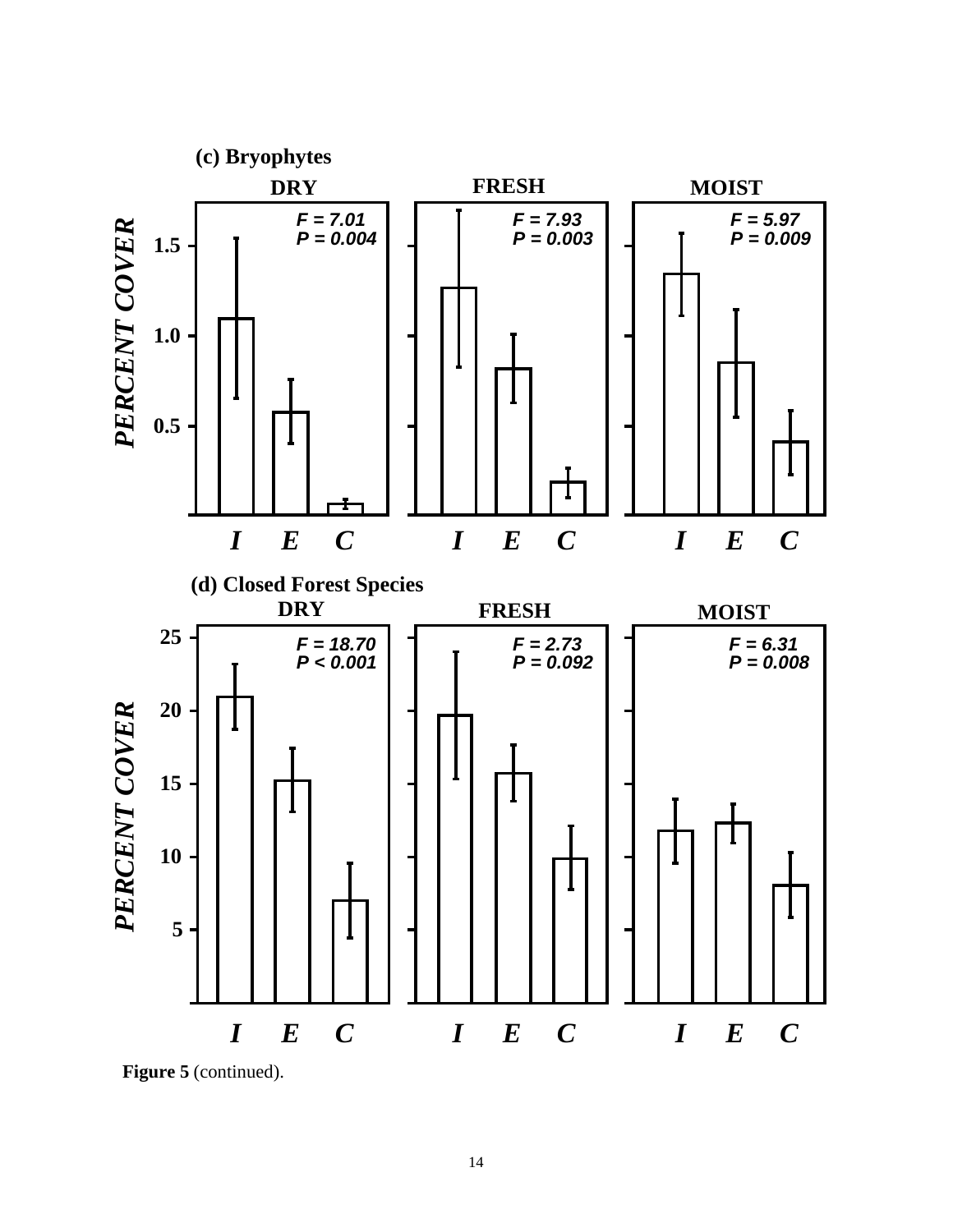

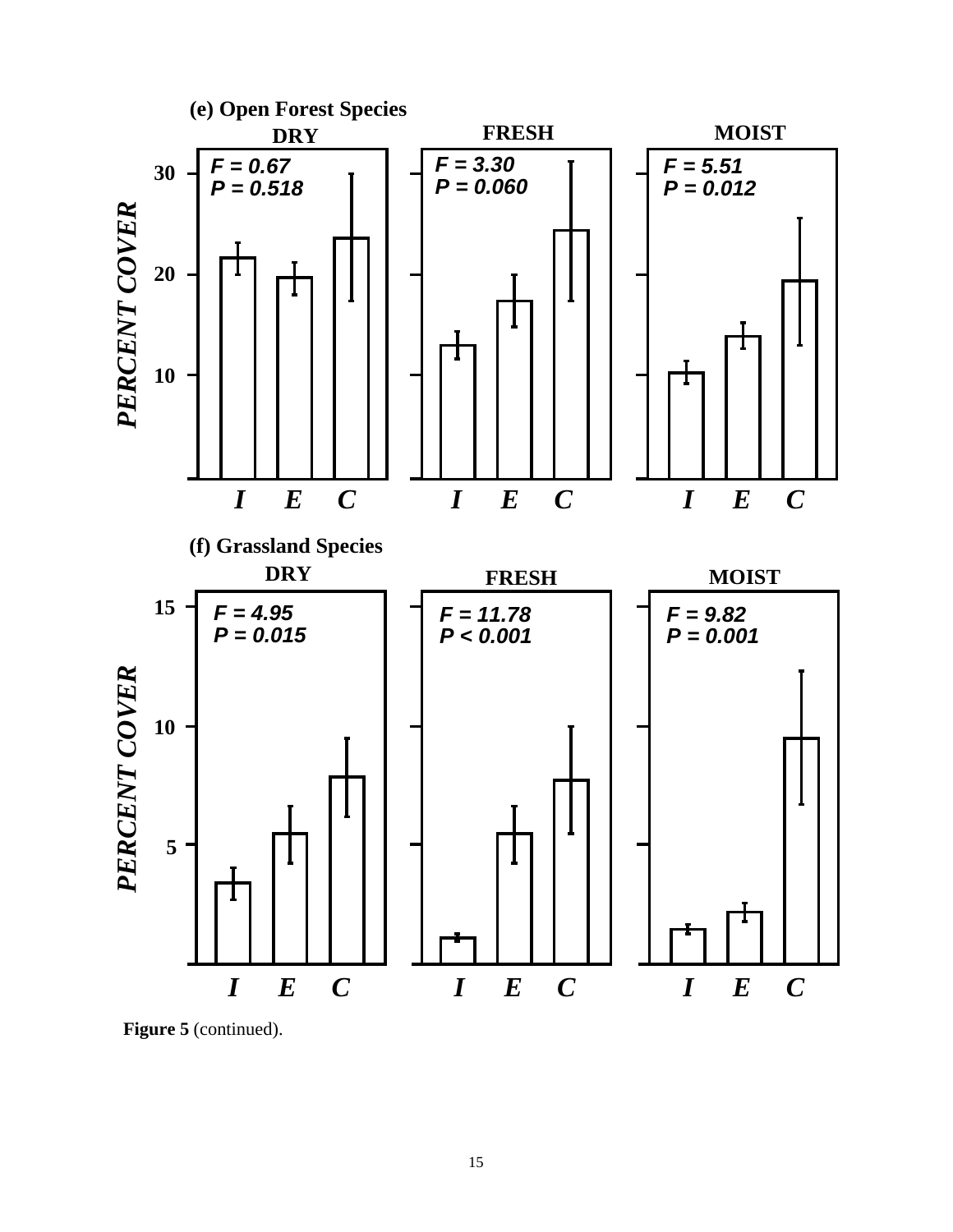

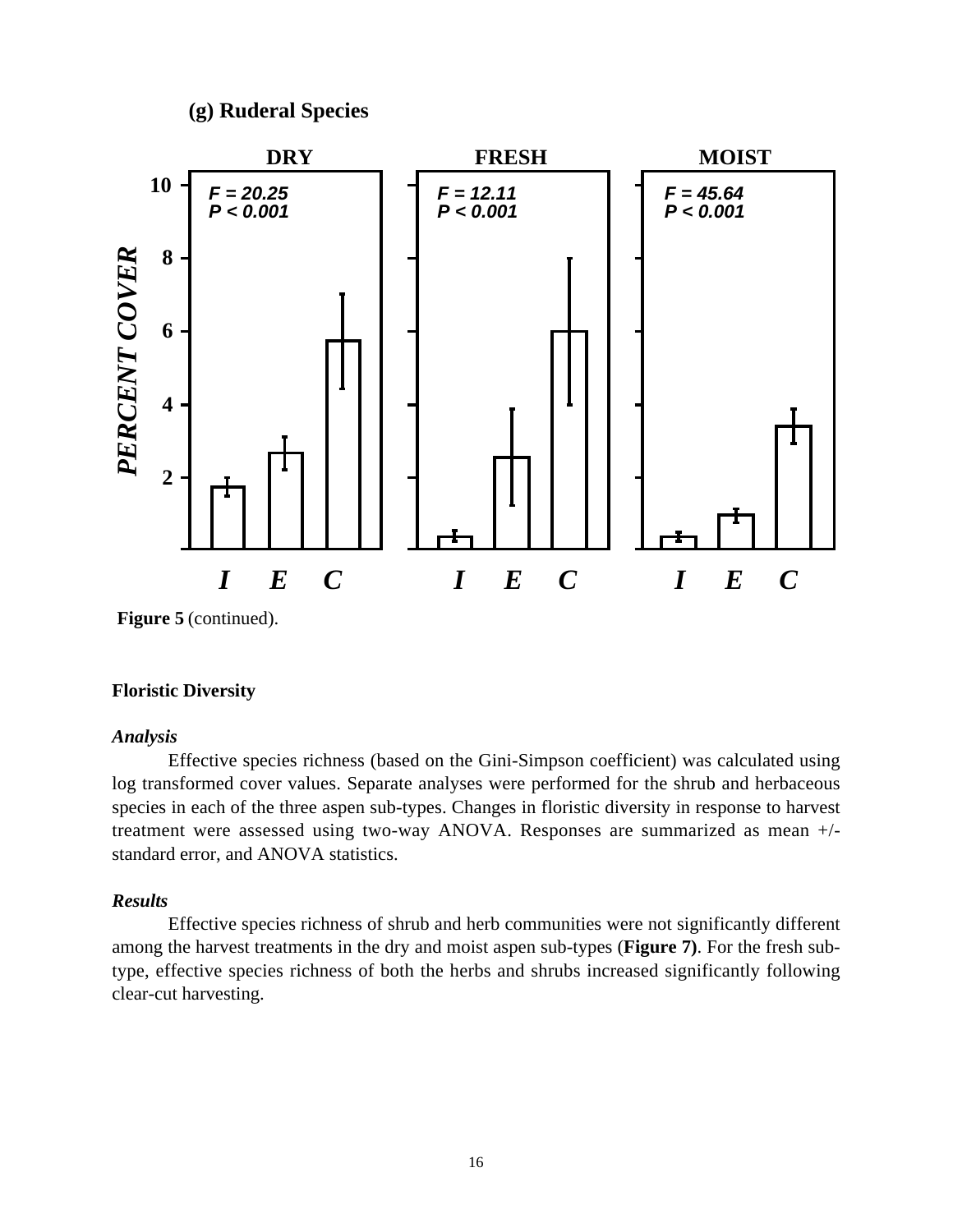# **(g) Ruderal Species**



**Figure 5** (continued).

#### **Floristic Diversity**

#### *Analysis*

Effective species richness (based on the Gini-Simpson coefficient) was calculated using log transformed cover values. Separate analyses were performed for the shrub and herbaceous species in each of the three aspen sub-types. Changes in floristic diversity in response to harvest treatment were assessed using two-way ANOVA. Responses are summarized as mean +/ standard error, and ANOVA statistics.

## *Results*

Effective species richness of shrub and herb communities were not significantly different among the harvest treatments in the dry and moist aspen sub-types (**Figure 7)**. For the fresh subtype, effective species richness of both the herbs and shrubs increased significantly following clear-cut harvesting.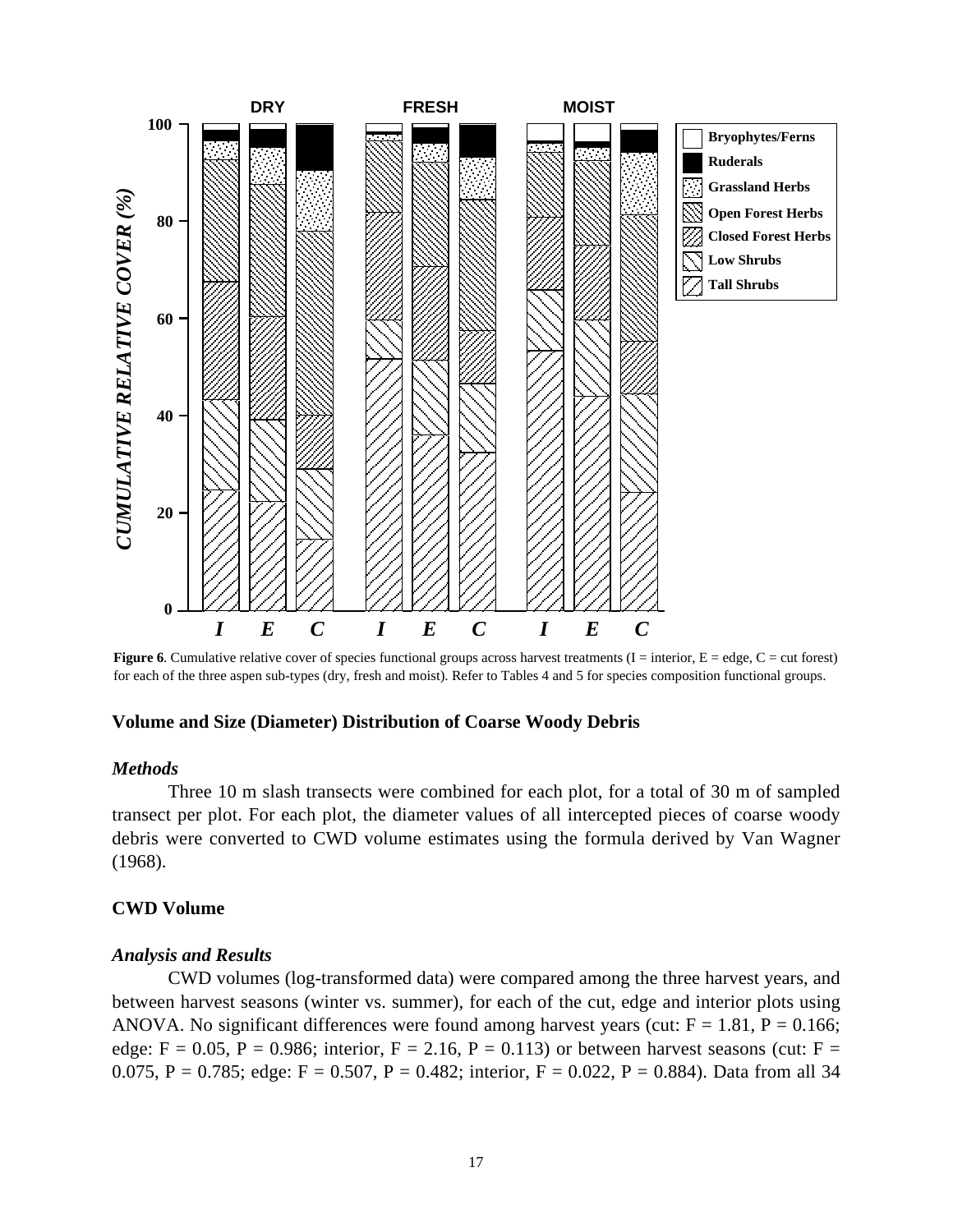

**Figure 6**. Cumulative relative cover of species functional groups across harvest treatments  $(I = interior, E = edge, C = cut forest)$ for each of the three aspen sub-types (dry, fresh and moist). Refer to Tables 4 and 5 for species composition functional groups.

#### **Volume and Size (Diameter) Distribution of Coarse Woody Debris**

#### *Methods*

Three 10 m slash transects were combined for each plot, for a total of 30 m of sampled transect per plot. For each plot, the diameter values of all intercepted pieces of coarse woody debris were converted to CWD volume estimates using the formula derived by Van Wagner (1968).

#### **CWD Volume**

#### *Analysis and Results*

CWD volumes (log-transformed data) were compared among the three harvest years, and between harvest seasons (winter vs. summer), for each of the cut, edge and interior plots using ANOVA. No significant differences were found among harvest years (cut:  $F = 1.81$ ,  $P = 0.166$ ; edge:  $F = 0.05$ ,  $P = 0.986$ ; interior,  $F = 2.16$ ,  $P = 0.113$ ) or between harvest seasons (cut:  $F =$ 0.075, P = 0.785; edge: F = 0.507, P = 0.482; interior, F = 0.022, P = 0.884). Data from all 34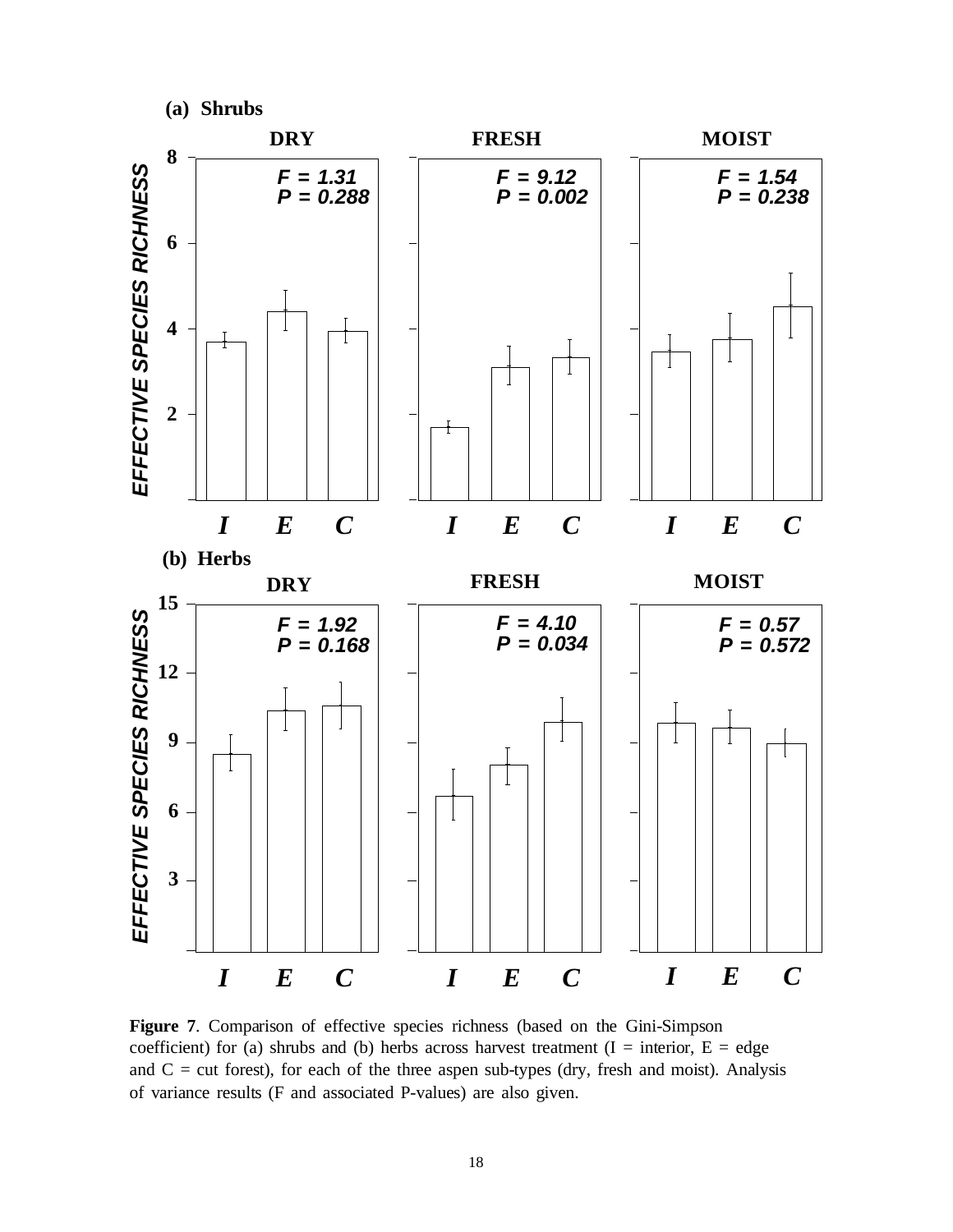

**Figure 7**. Comparison of effective species richness (based on the Gini-Simpson coefficient) for (a) shrubs and (b) herbs across harvest treatment  $(I = interior, E = edge$ and  $C = cut$  forest), for each of the three aspen sub-types (dry, fresh and moist). Analysis of variance results (F and associated P-values) are also given.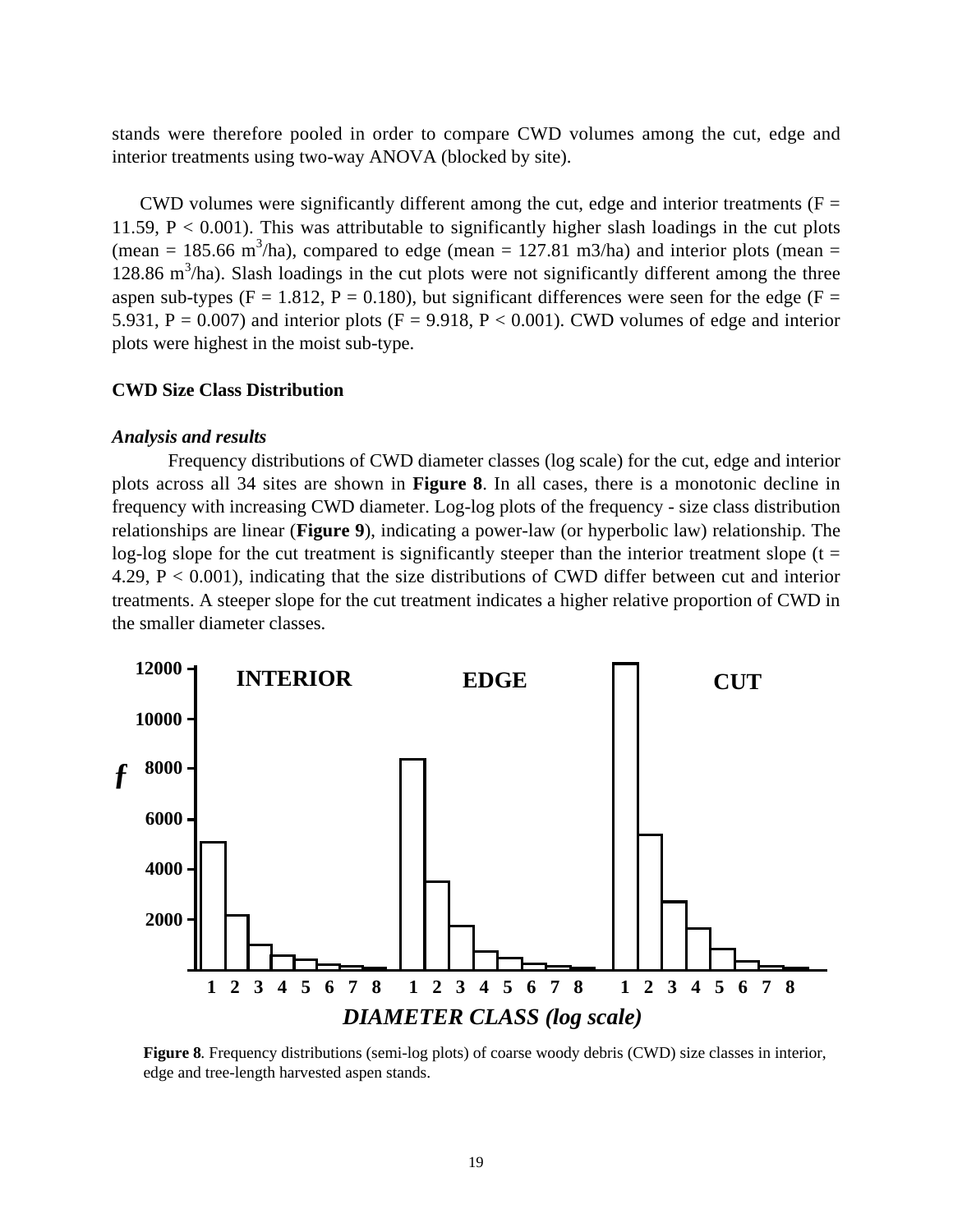stands were therefore pooled in order to compare CWD volumes among the cut, edge and interior treatments using two-way ANOVA (blocked by site).

CWD volumes were significantly different among the cut, edge and interior treatments ( $F =$ 11.59,  $P < 0.001$ ). This was attributable to significantly higher slash loadings in the cut plots (mean = 185.66 m<sup>3</sup>/ha), compared to edge (mean = 127.81 m3/ha) and interior plots (mean = 128.86  $\text{m}^3/\text{ha}$ ). Slash loadings in the cut plots were not significantly different among the three aspen sub-types ( $F = 1.812$ ,  $P = 0.180$ ), but significant differences were seen for the edge ( $F =$ 5.931,  $P = 0.007$ ) and interior plots ( $F = 9.918$ ,  $P < 0.001$ ). CWD volumes of edge and interior plots were highest in the moist sub-type.

#### **CWD Size Class Distribution**

#### *Analysis and results*

Frequency distributions of CWD diameter classes (log scale) for the cut, edge and interior plots across all 34 sites are shown in **Figure 8**. In all cases, there is a monotonic decline in frequency with increasing CWD diameter. Log-log plots of the frequency - size class distribution relationships are linear (**Figure 9**), indicating a power-law (or hyperbolic law) relationship. The log-log slope for the cut treatment is significantly steeper than the interior treatment slope ( $t =$ 4.29,  $P < 0.001$ ), indicating that the size distributions of CWD differ between cut and interior treatments. A steeper slope for the cut treatment indicates a higher relative proportion of CWD in the smaller diameter classes.



**Figure 8**. Frequency distributions (semi-log plots) of coarse woody debris (CWD) size classes in interior, edge and tree-length harvested aspen stands.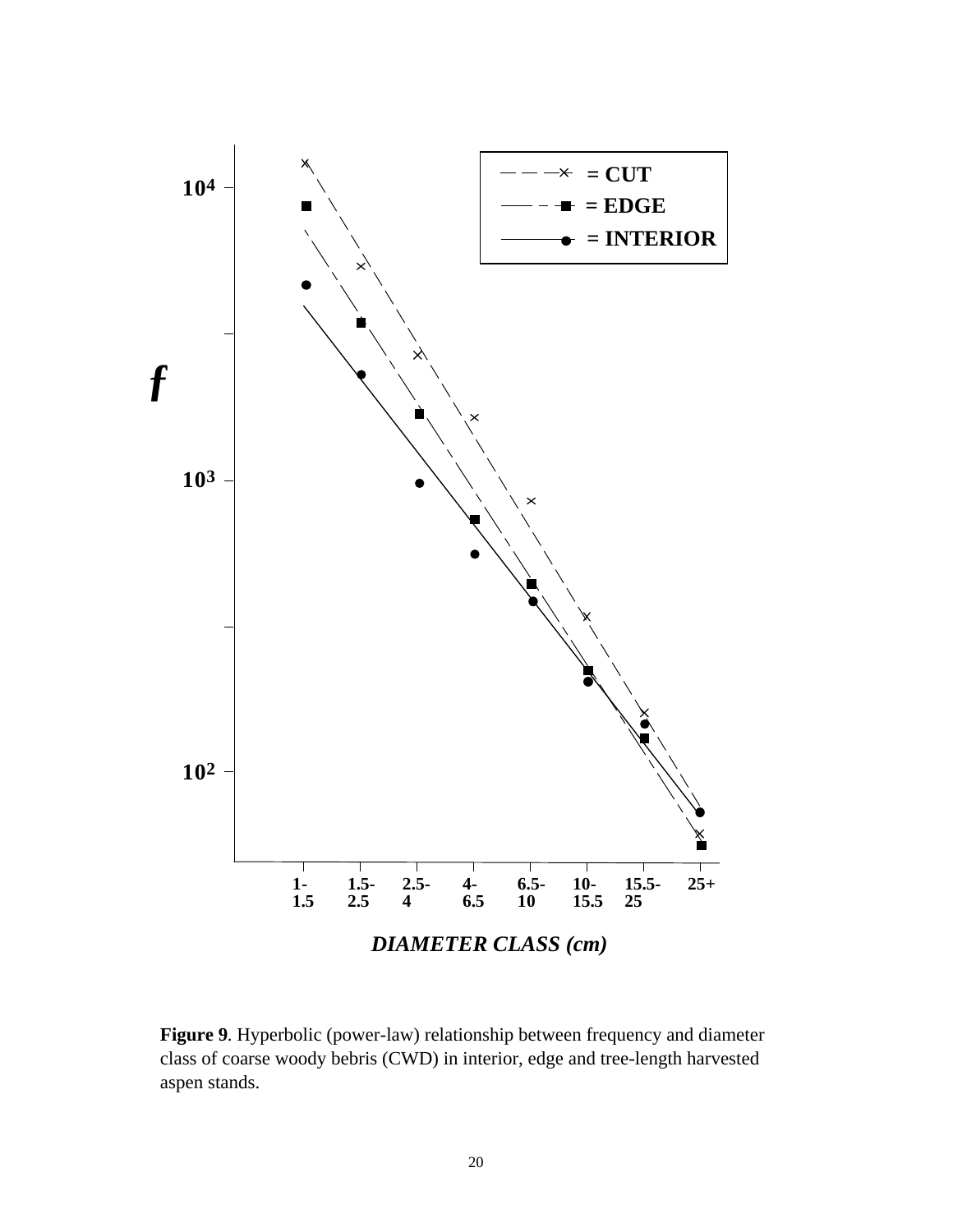

**Figure 9**. Hyperbolic (power-law) relationship between frequency and diameter class of coarse woody bebris (CWD) in interior, edge and tree-length harvested aspen stands.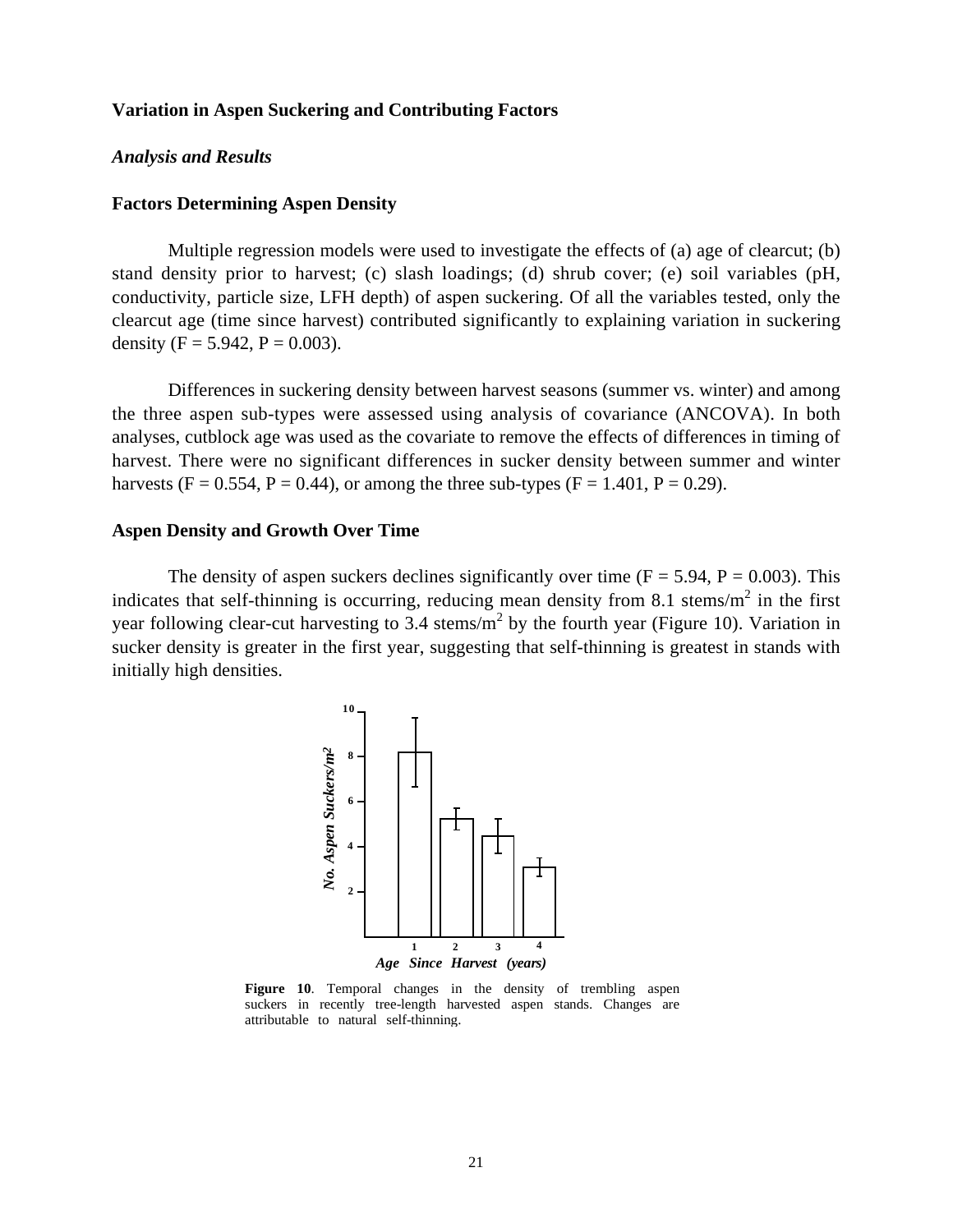#### **Variation in Aspen Suckering and Contributing Factors**

#### *Analysis and Results*

#### **Factors Determining Aspen Density**

Multiple regression models were used to investigate the effects of (a) age of clearcut; (b) stand density prior to harvest; (c) slash loadings; (d) shrub cover; (e) soil variables (pH, conductivity, particle size, LFH depth) of aspen suckering. Of all the variables tested, only the clearcut age (time since harvest) contributed significantly to explaining variation in suckering density (F =  $5.942$ , P = 0.003).

Differences in suckering density between harvest seasons (summer vs. winter) and among the three aspen sub-types were assessed using analysis of covariance (ANCOVA). In both analyses, cutblock age was used as the covariate to remove the effects of differences in timing of harvest. There were no significant differences in sucker density between summer and winter harvests (F = 0.554, P = 0.44), or among the three sub-types (F = 1.401, P = 0.29).

#### **Aspen Density and Growth Over Time**

The density of aspen suckers declines significantly over time  $(F = 5.94, P = 0.003)$ . This indicates that self-thinning is occurring, reducing mean density from 8.1 stems/ $m^2$  in the first year following clear-cut harvesting to 3.4 stems/ $m^2$  by the fourth year (Figure 10). Variation in sucker density is greater in the first year, suggesting that self-thinning is greatest in stands with initially high densities.



**Figure 10**. Temporal changes in the density of trembling aspen suckers in recently tree-length harvested aspen stands. Changes are attributable to natural self-thinning.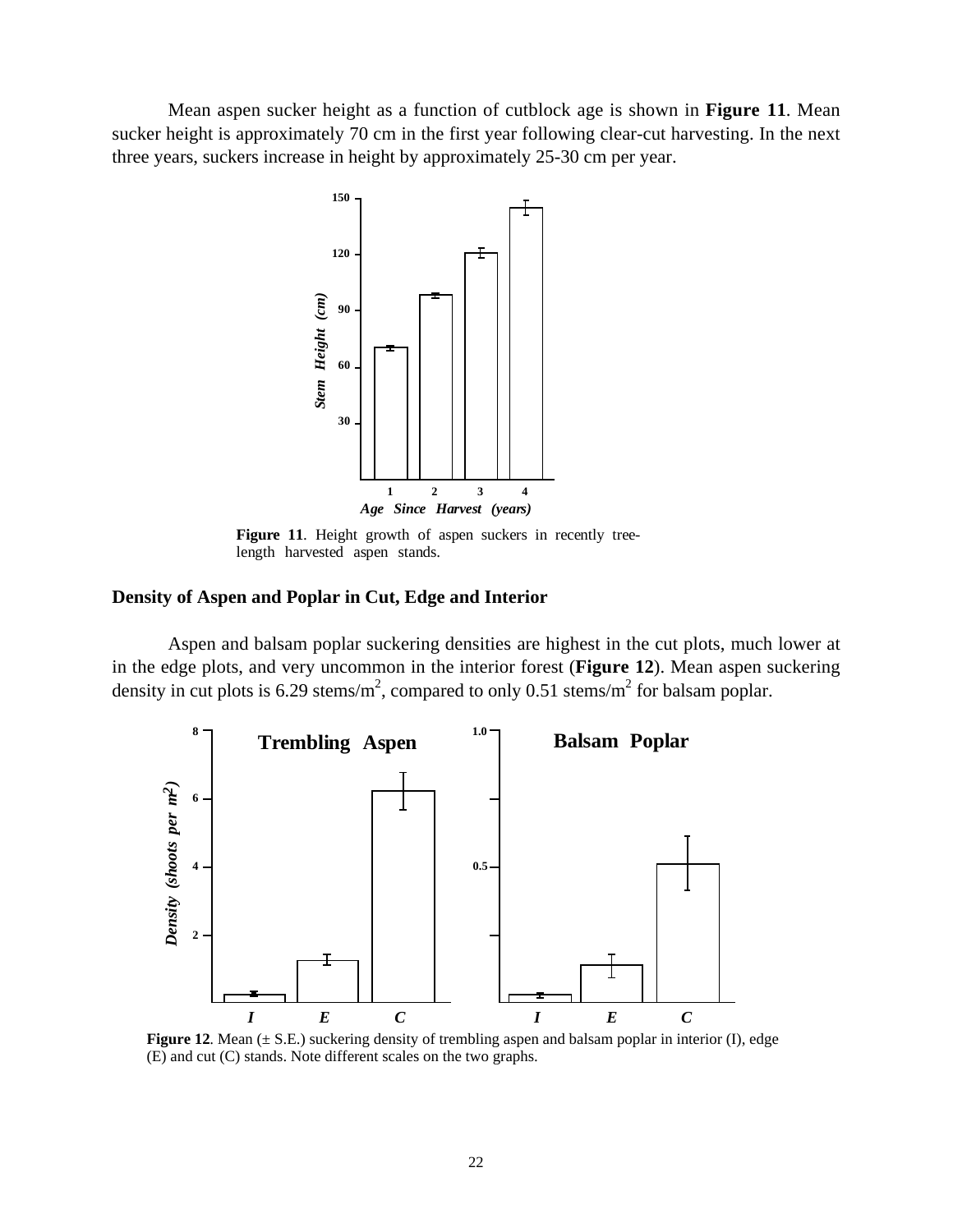Mean aspen sucker height as a function of cutblock age is shown in **Figure 11**. Mean sucker height is approximately 70 cm in the first year following clear-cut harvesting. In the next three years, suckers increase in height by approximately 25-30 cm per year.



Figure 11. Height growth of aspen suckers in recently treelength harvested aspen stands.

#### **Density of Aspen and Poplar in Cut, Edge and Interior**

Aspen and balsam poplar suckering densities are highest in the cut plots, much lower at in the edge plots, and very uncommon in the interior forest (**Figure 12**). Mean aspen suckering density in cut plots is 6.29 stems/m<sup>2</sup>, compared to only 0.51 stems/m<sup>2</sup> for balsam poplar.



**Figure 12.** Mean ( $\pm$  S.E.) suckering density of trembling aspen and balsam poplar in interior (I), edge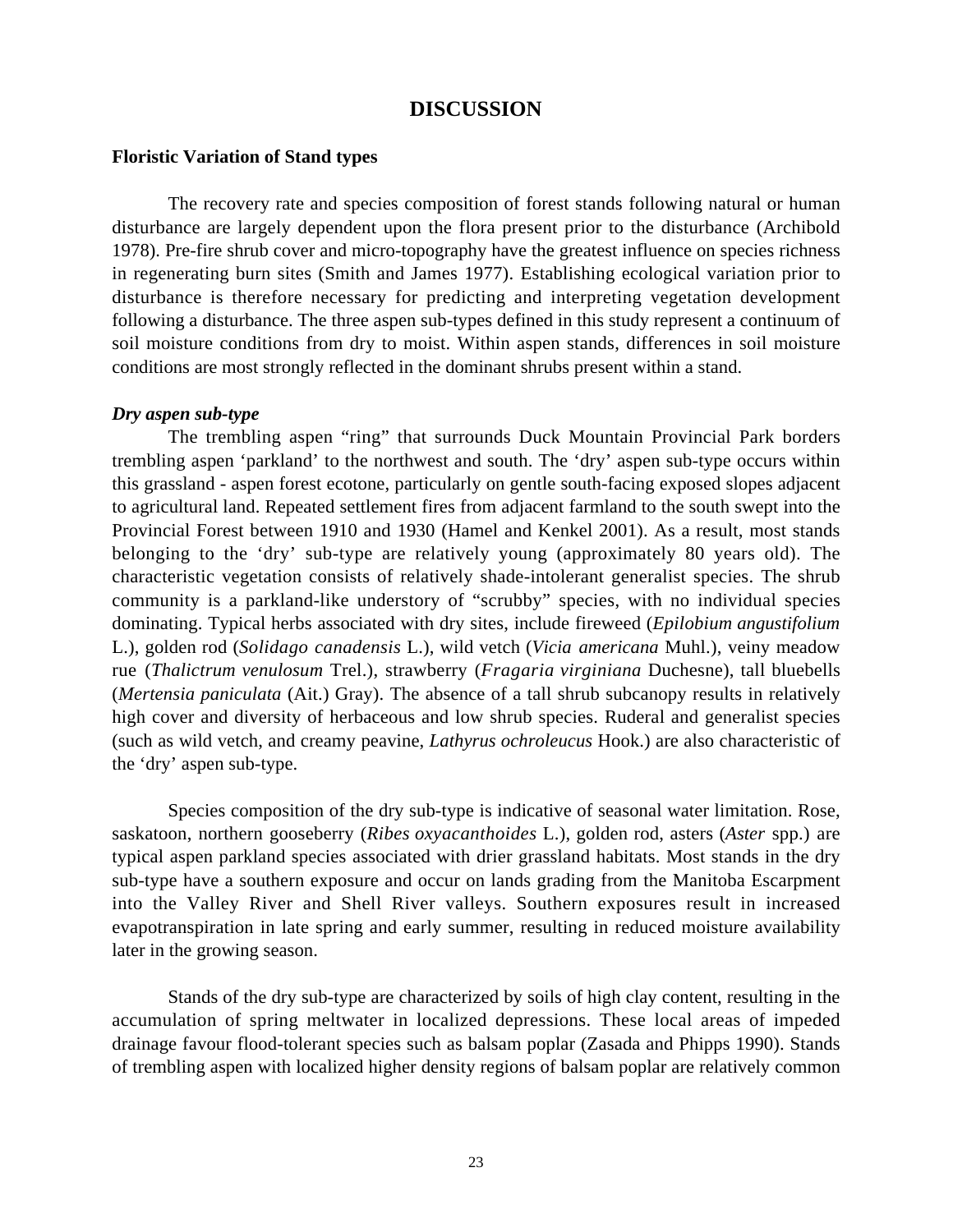# **DISCUSSION**

#### **Floristic Variation of Stand types**

The recovery rate and species composition of forest stands following natural or human disturbance are largely dependent upon the flora present prior to the disturbance (Archibold 1978). Pre-fire shrub cover and micro-topography have the greatest influence on species richness in regenerating burn sites (Smith and James 1977). Establishing ecological variation prior to disturbance is therefore necessary for predicting and interpreting vegetation development following a disturbance. The three aspen sub-types defined in this study represent a continuum of soil moisture conditions from dry to moist. Within aspen stands, differences in soil moisture conditions are most strongly reflected in the dominant shrubs present within a stand.

#### *Dry aspen sub-type*

The trembling aspen "ring" that surrounds Duck Mountain Provincial Park borders trembling aspen 'parkland' to the northwest and south. The 'dry' aspen sub-type occurs within this grassland - aspen forest ecotone, particularly on gentle south-facing exposed slopes adjacent to agricultural land. Repeated settlement fires from adjacent farmland to the south swept into the Provincial Forest between 1910 and 1930 (Hamel and Kenkel 2001). As a result, most stands belonging to the 'dry' sub-type are relatively young (approximately 80 years old). The characteristic vegetation consists of relatively shade-intolerant generalist species. The shrub community is a parkland-like understory of "scrubby" species, with no individual species dominating. Typical herbs associated with dry sites, include fireweed (*Epilobium angustifolium* L.), golden rod (*Solidago canadensis* L.), wild vetch (*Vicia americana* Muhl.), veiny meadow rue (*Thalictrum venulosum* Trel.), strawberry (*Fragaria virginiana* Duchesne), tall bluebells (*Mertensia paniculata* (Ait.) Gray). The absence of a tall shrub subcanopy results in relatively high cover and diversity of herbaceous and low shrub species. Ruderal and generalist species (such as wild vetch, and creamy peavine, *Lathyrus ochroleucus* Hook.) are also characteristic of the 'dry' aspen sub-type.

Species composition of the dry sub-type is indicative of seasonal water limitation. Rose, saskatoon, northern gooseberry (*Ribes oxyacanthoides* L.), golden rod, asters (*Aster* spp.) are typical aspen parkland species associated with drier grassland habitats. Most stands in the dry sub-type have a southern exposure and occur on lands grading from the Manitoba Escarpment into the Valley River and Shell River valleys. Southern exposures result in increased evapotranspiration in late spring and early summer, resulting in reduced moisture availability later in the growing season.

Stands of the dry sub-type are characterized by soils of high clay content, resulting in the accumulation of spring meltwater in localized depressions. These local areas of impeded drainage favour flood-tolerant species such as balsam poplar (Zasada and Phipps 1990). Stands of trembling aspen with localized higher density regions of balsam poplar are relatively common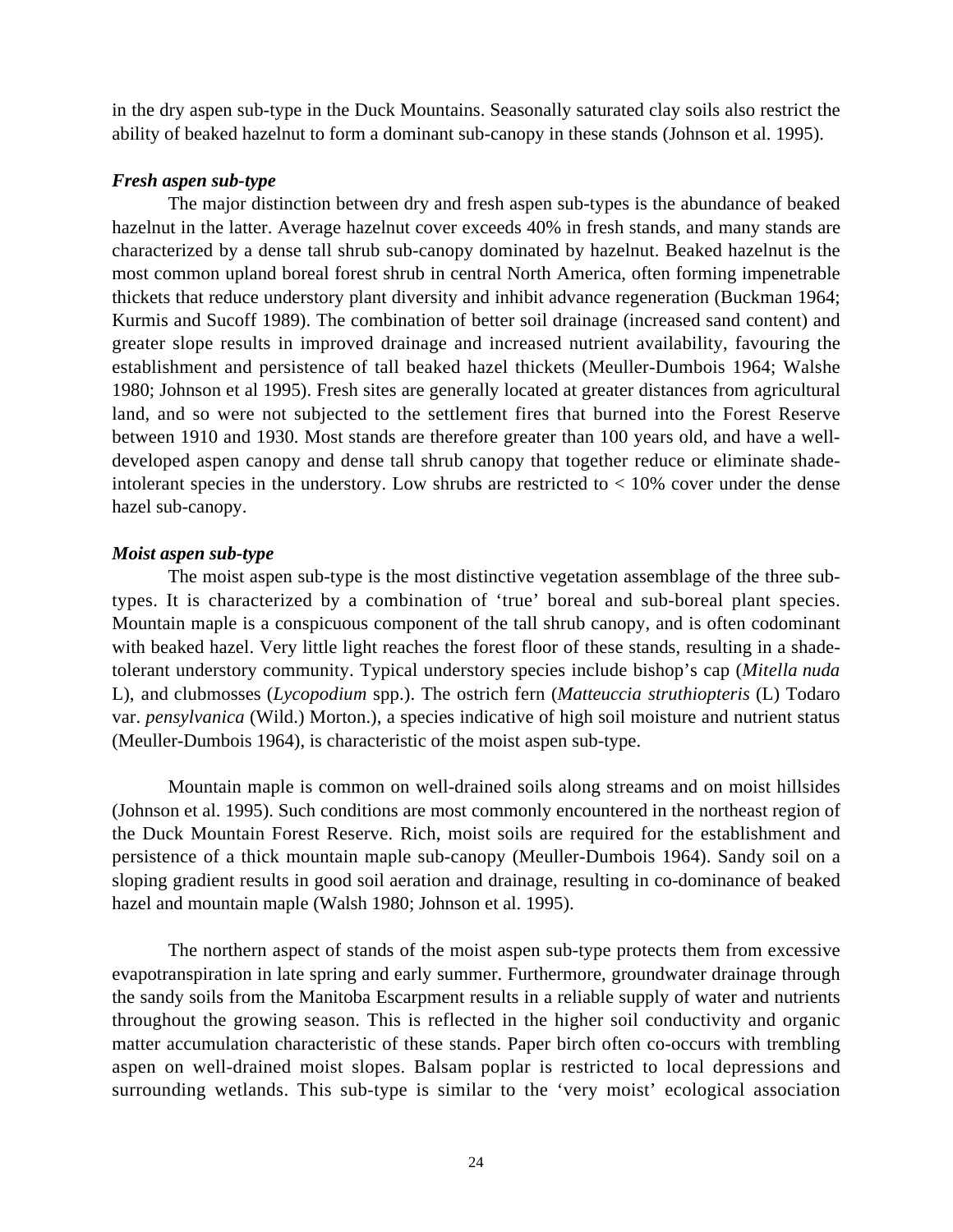in the dry aspen sub-type in the Duck Mountains. Seasonally saturated clay soils also restrict the ability of beaked hazelnut to form a dominant sub-canopy in these stands (Johnson et al. 1995).

# *Fresh aspen sub-type*

The major distinction between dry and fresh aspen sub-types is the abundance of beaked hazelnut in the latter. Average hazelnut cover exceeds 40% in fresh stands, and many stands are characterized by a dense tall shrub sub-canopy dominated by hazelnut. Beaked hazelnut is the most common upland boreal forest shrub in central North America, often forming impenetrable thickets that reduce understory plant diversity and inhibit advance regeneration (Buckman 1964; Kurmis and Sucoff 1989). The combination of better soil drainage (increased sand content) and greater slope results in improved drainage and increased nutrient availability, favouring the establishment and persistence of tall beaked hazel thickets (Meuller-Dumbois 1964; Walshe 1980; Johnson et al 1995). Fresh sites are generally located at greater distances from agricultural land, and so were not subjected to the settlement fires that burned into the Forest Reserve between 1910 and 1930. Most stands are therefore greater than 100 years old, and have a welldeveloped aspen canopy and dense tall shrub canopy that together reduce or eliminate shadeintolerant species in the understory. Low shrubs are restricted to  $< 10\%$  cover under the dense hazel sub-canopy.

# *Moist aspen sub-type*

The moist aspen sub-type is the most distinctive vegetation assemblage of the three subtypes. It is characterized by a combination of 'true' boreal and sub-boreal plant species. Mountain maple is a conspicuous component of the tall shrub canopy, and is often codominant with beaked hazel. Very little light reaches the forest floor of these stands, resulting in a shadetolerant understory community. Typical understory species include bishop's cap (*Mitella nuda* L), and clubmosses (*Lycopodium* spp.). The ostrich fern (*Matteuccia struthiopteris* (L) Todaro var. *pensylvanica* (Wild.) Morton.), a species indicative of high soil moisture and nutrient status (Meuller-Dumbois 1964), is characteristic of the moist aspen sub-type.

Mountain maple is common on well-drained soils along streams and on moist hillsides (Johnson et al. 1995). Such conditions are most commonly encountered in the northeast region of the Duck Mountain Forest Reserve. Rich, moist soils are required for the establishment and persistence of a thick mountain maple sub-canopy (Meuller-Dumbois 1964). Sandy soil on a sloping gradient results in good soil aeration and drainage, resulting in co-dominance of beaked hazel and mountain maple (Walsh 1980; Johnson et al. 1995).

The northern aspect of stands of the moist aspen sub-type protects them from excessive evapotranspiration in late spring and early summer. Furthermore, groundwater drainage through the sandy soils from the Manitoba Escarpment results in a reliable supply of water and nutrients throughout the growing season. This is reflected in the higher soil conductivity and organic matter accumulation characteristic of these stands. Paper birch often co-occurs with trembling aspen on well-drained moist slopes. Balsam poplar is restricted to local depressions and surrounding wetlands. This sub-type is similar to the 'very moist' ecological association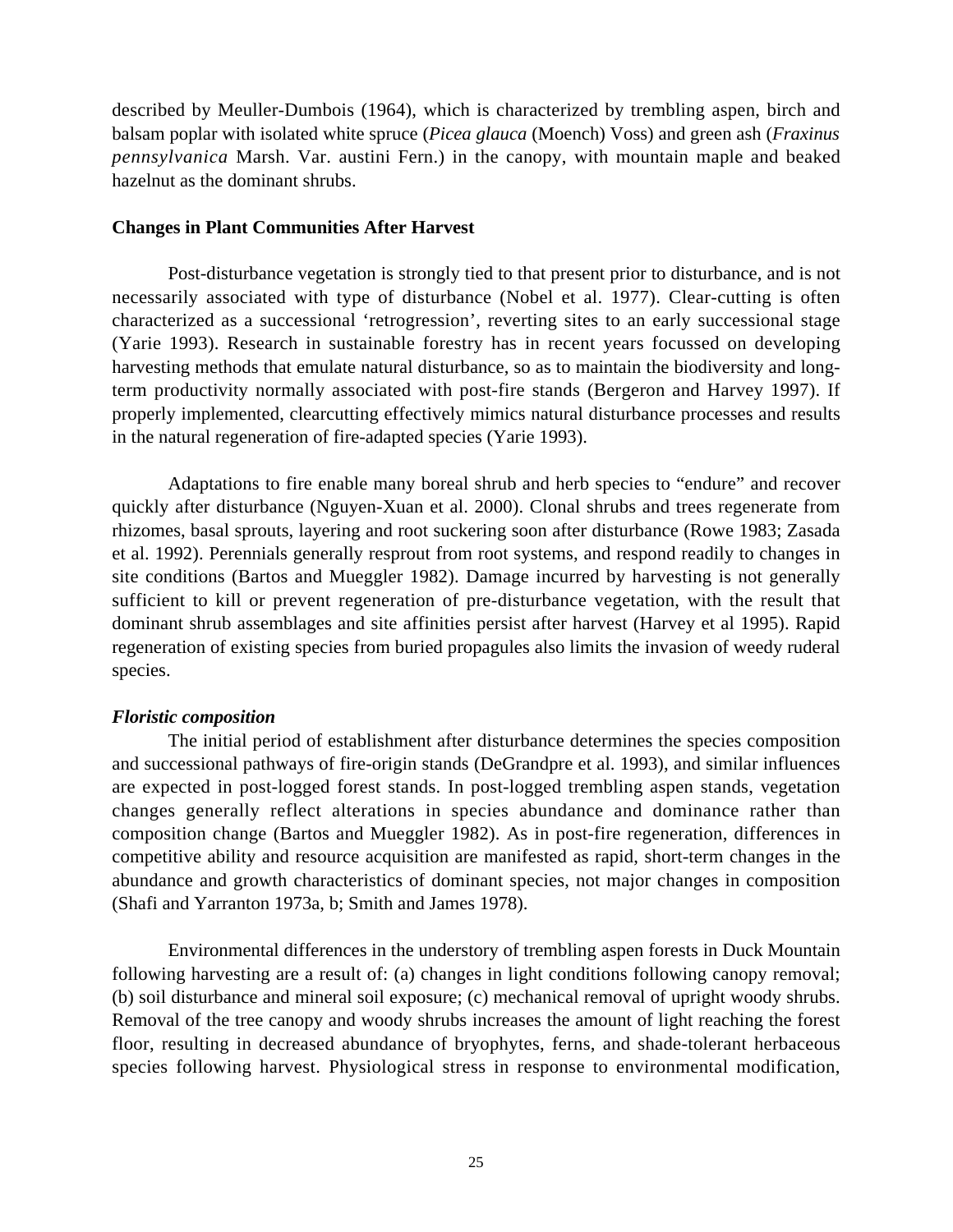described by Meuller-Dumbois (1964), which is characterized by trembling aspen, birch and balsam poplar with isolated white spruce (*Picea glauca* (Moench) Voss) and green ash (*Fraxinus pennsylvanica* Marsh. Var. austini Fern.) in the canopy, with mountain maple and beaked hazelnut as the dominant shrubs.

#### **Changes in Plant Communities After Harvest**

Post-disturbance vegetation is strongly tied to that present prior to disturbance, and is not necessarily associated with type of disturbance (Nobel et al. 1977). Clear-cutting is often characterized as a successional 'retrogression', reverting sites to an early successional stage (Yarie 1993). Research in sustainable forestry has in recent years focussed on developing harvesting methods that emulate natural disturbance, so as to maintain the biodiversity and longterm productivity normally associated with post-fire stands (Bergeron and Harvey 1997). If properly implemented, clearcutting effectively mimics natural disturbance processes and results in the natural regeneration of fire-adapted species (Yarie 1993).

Adaptations to fire enable many boreal shrub and herb species to "endure" and recover quickly after disturbance (Nguyen-Xuan et al. 2000). Clonal shrubs and trees regenerate from rhizomes, basal sprouts, layering and root suckering soon after disturbance (Rowe 1983; Zasada et al. 1992). Perennials generally resprout from root systems, and respond readily to changes in site conditions (Bartos and Mueggler 1982). Damage incurred by harvesting is not generally sufficient to kill or prevent regeneration of pre-disturbance vegetation, with the result that dominant shrub assemblages and site affinities persist after harvest (Harvey et al 1995). Rapid regeneration of existing species from buried propagules also limits the invasion of weedy ruderal species.

# *Floristic composition*

The initial period of establishment after disturbance determines the species composition and successional pathways of fire-origin stands (DeGrandpre et al. 1993), and similar influences are expected in post-logged forest stands. In post-logged trembling aspen stands, vegetation changes generally reflect alterations in species abundance and dominance rather than composition change (Bartos and Mueggler 1982). As in post-fire regeneration, differences in competitive ability and resource acquisition are manifested as rapid, short-term changes in the abundance and growth characteristics of dominant species, not major changes in composition (Shafi and Yarranton 1973a, b; Smith and James 1978).

Environmental differences in the understory of trembling aspen forests in Duck Mountain following harvesting are a result of: (a) changes in light conditions following canopy removal; (b) soil disturbance and mineral soil exposure; (c) mechanical removal of upright woody shrubs. Removal of the tree canopy and woody shrubs increases the amount of light reaching the forest floor, resulting in decreased abundance of bryophytes, ferns, and shade-tolerant herbaceous species following harvest. Physiological stress in response to environmental modification,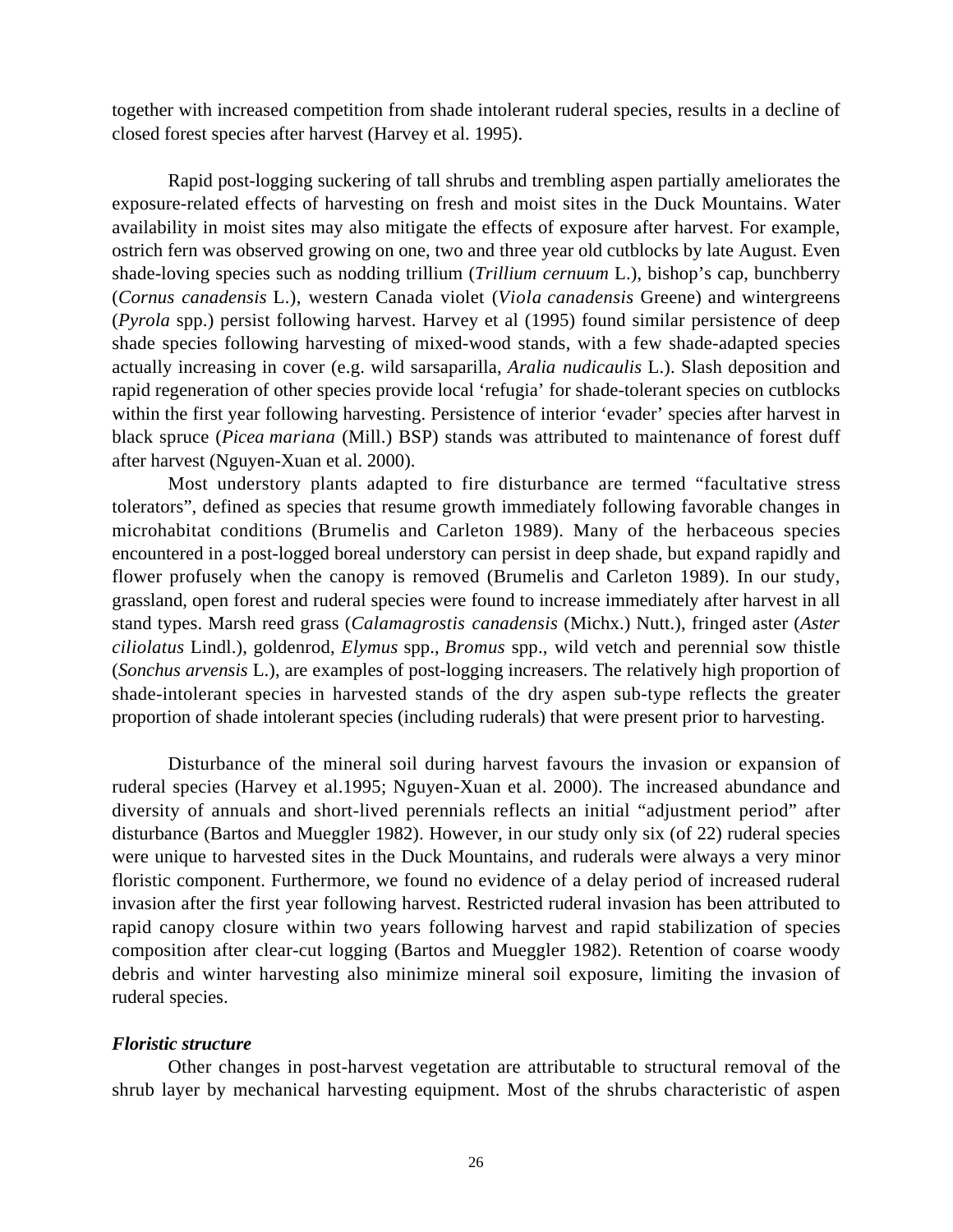together with increased competition from shade intolerant ruderal species, results in a decline of closed forest species after harvest (Harvey et al. 1995).

Rapid post-logging suckering of tall shrubs and trembling aspen partially ameliorates the exposure-related effects of harvesting on fresh and moist sites in the Duck Mountains. Water availability in moist sites may also mitigate the effects of exposure after harvest. For example, ostrich fern was observed growing on one, two and three year old cutblocks by late August. Even shade-loving species such as nodding trillium (*Trillium cernuum* L.), bishop's cap, bunchberry (*Cornus canadensis* L.), western Canada violet (*Viola canadensis* Greene) and wintergreens (*Pyrola* spp.) persist following harvest. Harvey et al (1995) found similar persistence of deep shade species following harvesting of mixed-wood stands, with a few shade-adapted species actually increasing in cover (e.g. wild sarsaparilla, *Aralia nudicaulis* L.). Slash deposition and rapid regeneration of other species provide local 'refugia' for shade-tolerant species on cutblocks within the first year following harvesting. Persistence of interior 'evader' species after harvest in black spruce (*Picea mariana* (Mill.) BSP) stands was attributed to maintenance of forest duff after harvest (Nguyen-Xuan et al. 2000).

Most understory plants adapted to fire disturbance are termed "facultative stress tolerators", defined as species that resume growth immediately following favorable changes in microhabitat conditions (Brumelis and Carleton 1989). Many of the herbaceous species encountered in a post-logged boreal understory can persist in deep shade, but expand rapidly and flower profusely when the canopy is removed (Brumelis and Carleton 1989). In our study, grassland, open forest and ruderal species were found to increase immediately after harvest in all stand types. Marsh reed grass (*Calamagrostis canadensis* (Michx.) Nutt.), fringed aster (*Aster ciliolatus* Lindl.), goldenrod, *Elymus* spp., *Bromus* spp., wild vetch and perennial sow thistle (*Sonchus arvensis* L.), are examples of post-logging increasers. The relatively high proportion of shade-intolerant species in harvested stands of the dry aspen sub-type reflects the greater proportion of shade intolerant species (including ruderals) that were present prior to harvesting.

Disturbance of the mineral soil during harvest favours the invasion or expansion of ruderal species (Harvey et al.1995; Nguyen-Xuan et al. 2000). The increased abundance and diversity of annuals and short-lived perennials reflects an initial "adjustment period" after disturbance (Bartos and Mueggler 1982). However, in our study only six (of 22) ruderal species were unique to harvested sites in the Duck Mountains, and ruderals were always a very minor floristic component. Furthermore, we found no evidence of a delay period of increased ruderal invasion after the first year following harvest. Restricted ruderal invasion has been attributed to rapid canopy closure within two years following harvest and rapid stabilization of species composition after clear-cut logging (Bartos and Mueggler 1982). Retention of coarse woody debris and winter harvesting also minimize mineral soil exposure, limiting the invasion of ruderal species.

# *Floristic structure*

Other changes in post-harvest vegetation are attributable to structural removal of the shrub layer by mechanical harvesting equipment. Most of the shrubs characteristic of aspen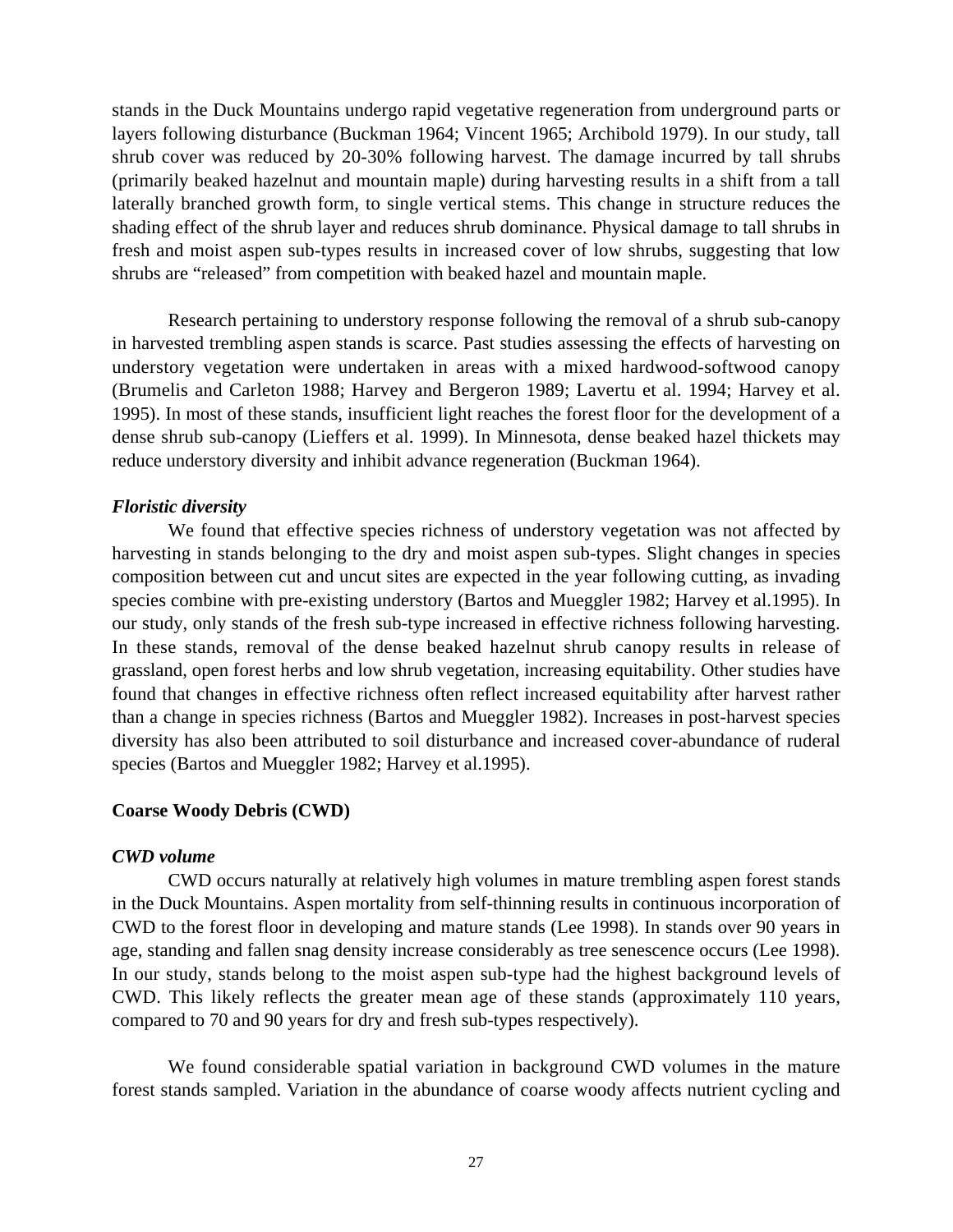stands in the Duck Mountains undergo rapid vegetative regeneration from underground parts or layers following disturbance (Buckman 1964; Vincent 1965; Archibold 1979). In our study, tall shrub cover was reduced by 20-30% following harvest. The damage incurred by tall shrubs (primarily beaked hazelnut and mountain maple) during harvesting results in a shift from a tall laterally branched growth form, to single vertical stems. This change in structure reduces the shading effect of the shrub layer and reduces shrub dominance. Physical damage to tall shrubs in fresh and moist aspen sub-types results in increased cover of low shrubs, suggesting that low shrubs are "released" from competition with beaked hazel and mountain maple.

Research pertaining to understory response following the removal of a shrub sub-canopy in harvested trembling aspen stands is scarce. Past studies assessing the effects of harvesting on understory vegetation were undertaken in areas with a mixed hardwood-softwood canopy (Brumelis and Carleton 1988; Harvey and Bergeron 1989; Lavertu et al. 1994; Harvey et al. 1995). In most of these stands, insufficient light reaches the forest floor for the development of a dense shrub sub-canopy (Lieffers et al. 1999). In Minnesota, dense beaked hazel thickets may reduce understory diversity and inhibit advance regeneration (Buckman 1964).

#### *Floristic diversity*

We found that effective species richness of understory vegetation was not affected by harvesting in stands belonging to the dry and moist aspen sub-types. Slight changes in species composition between cut and uncut sites are expected in the year following cutting, as invading species combine with pre-existing understory (Bartos and Mueggler 1982; Harvey et al.1995). In our study, only stands of the fresh sub-type increased in effective richness following harvesting. In these stands, removal of the dense beaked hazelnut shrub canopy results in release of grassland, open forest herbs and low shrub vegetation, increasing equitability. Other studies have found that changes in effective richness often reflect increased equitability after harvest rather than a change in species richness (Bartos and Mueggler 1982). Increases in post-harvest species diversity has also been attributed to soil disturbance and increased cover-abundance of ruderal species (Bartos and Mueggler 1982; Harvey et al.1995).

#### **Coarse Woody Debris (CWD)**

#### *CWD volume*

CWD occurs naturally at relatively high volumes in mature trembling aspen forest stands in the Duck Mountains. Aspen mortality from self-thinning results in continuous incorporation of CWD to the forest floor in developing and mature stands (Lee 1998). In stands over 90 years in age, standing and fallen snag density increase considerably as tree senescence occurs (Lee 1998). In our study, stands belong to the moist aspen sub-type had the highest background levels of CWD. This likely reflects the greater mean age of these stands (approximately 110 years, compared to 70 and 90 years for dry and fresh sub-types respectively).

We found considerable spatial variation in background CWD volumes in the mature forest stands sampled. Variation in the abundance of coarse woody affects nutrient cycling and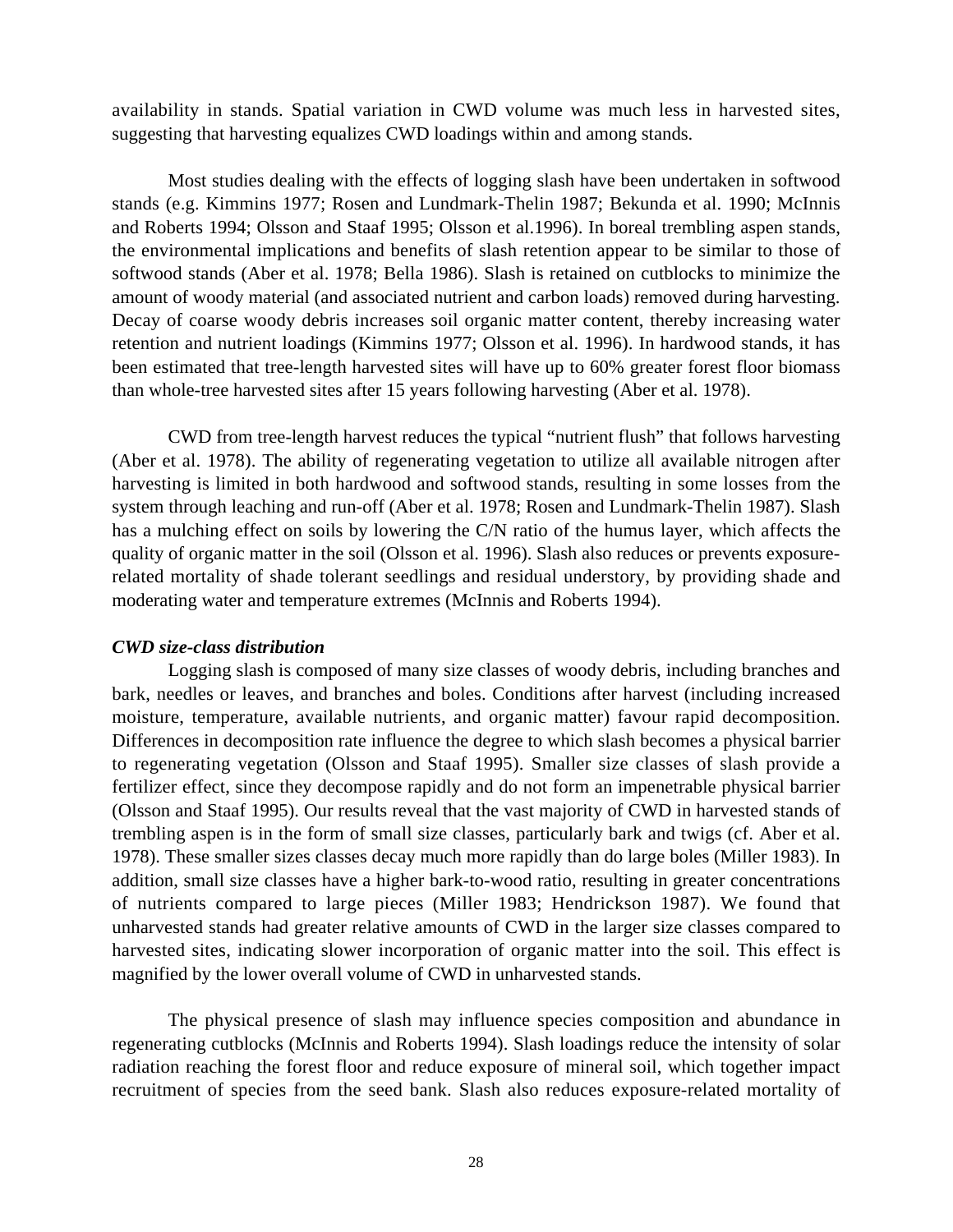availability in stands. Spatial variation in CWD volume was much less in harvested sites, suggesting that harvesting equalizes CWD loadings within and among stands.

Most studies dealing with the effects of logging slash have been undertaken in softwood stands (e.g. Kimmins 1977; Rosen and Lundmark-Thelin 1987; Bekunda et al. 1990; McInnis and Roberts 1994; Olsson and Staaf 1995; Olsson et al.1996). In boreal trembling aspen stands, the environmental implications and benefits of slash retention appear to be similar to those of softwood stands (Aber et al. 1978; Bella 1986). Slash is retained on cutblocks to minimize the amount of woody material (and associated nutrient and carbon loads) removed during harvesting. Decay of coarse woody debris increases soil organic matter content, thereby increasing water retention and nutrient loadings (Kimmins 1977; Olsson et al. 1996). In hardwood stands, it has been estimated that tree-length harvested sites will have up to 60% greater forest floor biomass than whole-tree harvested sites after 15 years following harvesting (Aber et al. 1978).

CWD from tree-length harvest reduces the typical "nutrient flush" that follows harvesting (Aber et al. 1978). The ability of regenerating vegetation to utilize all available nitrogen after harvesting is limited in both hardwood and softwood stands, resulting in some losses from the system through leaching and run-off (Aber et al. 1978; Rosen and Lundmark-Thelin 1987). Slash has a mulching effect on soils by lowering the C/N ratio of the humus layer, which affects the quality of organic matter in the soil (Olsson et al. 1996). Slash also reduces or prevents exposurerelated mortality of shade tolerant seedlings and residual understory, by providing shade and moderating water and temperature extremes (McInnis and Roberts 1994).

# *CWD size-class distribution*

Logging slash is composed of many size classes of woody debris, including branches and bark, needles or leaves, and branches and boles. Conditions after harvest (including increased moisture, temperature, available nutrients, and organic matter) favour rapid decomposition. Differences in decomposition rate influence the degree to which slash becomes a physical barrier to regenerating vegetation (Olsson and Staaf 1995). Smaller size classes of slash provide a fertilizer effect, since they decompose rapidly and do not form an impenetrable physical barrier (Olsson and Staaf 1995). Our results reveal that the vast majority of CWD in harvested stands of trembling aspen is in the form of small size classes, particularly bark and twigs (cf. Aber et al. 1978). These smaller sizes classes decay much more rapidly than do large boles (Miller 1983). In addition, small size classes have a higher bark-to-wood ratio, resulting in greater concentrations of nutrients compared to large pieces (Miller 1983; Hendrickson 1987). We found that unharvested stands had greater relative amounts of CWD in the larger size classes compared to harvested sites, indicating slower incorporation of organic matter into the soil. This effect is magnified by the lower overall volume of CWD in unharvested stands.

The physical presence of slash may influence species composition and abundance in regenerating cutblocks (McInnis and Roberts 1994). Slash loadings reduce the intensity of solar radiation reaching the forest floor and reduce exposure of mineral soil, which together impact recruitment of species from the seed bank. Slash also reduces exposure-related mortality of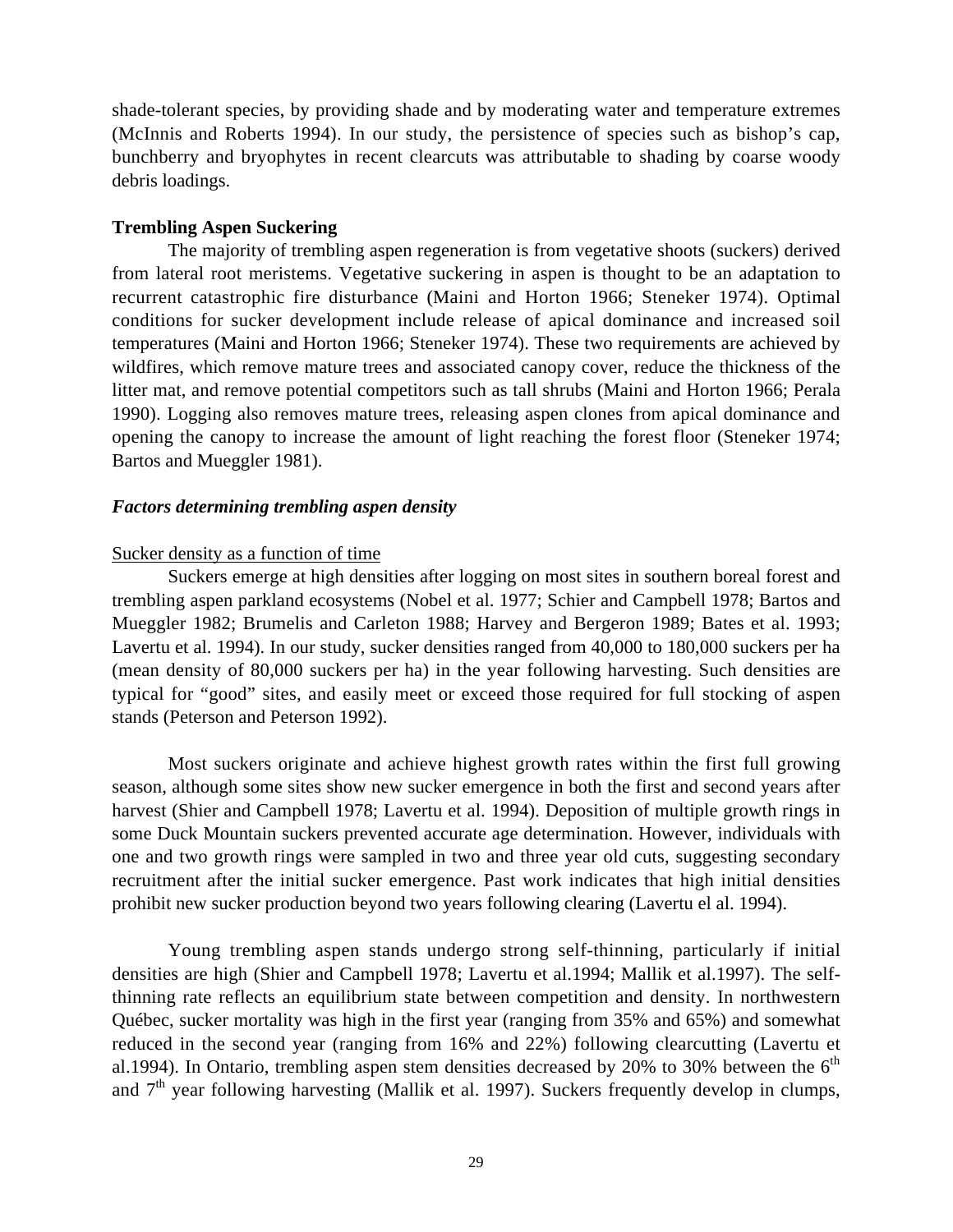shade-tolerant species, by providing shade and by moderating water and temperature extremes (McInnis and Roberts 1994). In our study, the persistence of species such as bishop's cap, bunchberry and bryophytes in recent clearcuts was attributable to shading by coarse woody debris loadings.

# **Trembling Aspen Suckering**

The majority of trembling aspen regeneration is from vegetative shoots (suckers) derived from lateral root meristems. Vegetative suckering in aspen is thought to be an adaptation to recurrent catastrophic fire disturbance (Maini and Horton 1966; Steneker 1974). Optimal conditions for sucker development include release of apical dominance and increased soil temperatures (Maini and Horton 1966; Steneker 1974). These two requirements are achieved by wildfires, which remove mature trees and associated canopy cover, reduce the thickness of the litter mat, and remove potential competitors such as tall shrubs (Maini and Horton 1966; Perala 1990). Logging also removes mature trees, releasing aspen clones from apical dominance and opening the canopy to increase the amount of light reaching the forest floor (Steneker 1974; Bartos and Mueggler 1981).

# *Factors determining trembling aspen density*

# Sucker density as a function of time

Suckers emerge at high densities after logging on most sites in southern boreal forest and trembling aspen parkland ecosystems (Nobel et al. 1977; Schier and Campbell 1978; Bartos and Mueggler 1982; Brumelis and Carleton 1988; Harvey and Bergeron 1989; Bates et al. 1993; Lavertu et al. 1994). In our study, sucker densities ranged from 40,000 to 180,000 suckers per ha (mean density of 80,000 suckers per ha) in the year following harvesting. Such densities are typical for "good" sites, and easily meet or exceed those required for full stocking of aspen stands (Peterson and Peterson 1992).

Most suckers originate and achieve highest growth rates within the first full growing season, although some sites show new sucker emergence in both the first and second years after harvest (Shier and Campbell 1978; Lavertu et al. 1994). Deposition of multiple growth rings in some Duck Mountain suckers prevented accurate age determination. However, individuals with one and two growth rings were sampled in two and three year old cuts, suggesting secondary recruitment after the initial sucker emergence. Past work indicates that high initial densities prohibit new sucker production beyond two years following clearing (Lavertu el al. 1994).

Young trembling aspen stands undergo strong self-thinning, particularly if initial densities are high (Shier and Campbell 1978; Lavertu et al.1994; Mallik et al.1997). The selfthinning rate reflects an equilibrium state between competition and density. In northwestern Québec, sucker mortality was high in the first year (ranging from 35% and 65%) and somewhat reduced in the second year (ranging from 16% and 22%) following clearcutting (Lavertu et al.1994). In Ontario, trembling aspen stem densities decreased by 20% to 30% between the  $6<sup>th</sup>$ and  $7<sup>th</sup>$  year following harvesting (Mallik et al. 1997). Suckers frequently develop in clumps,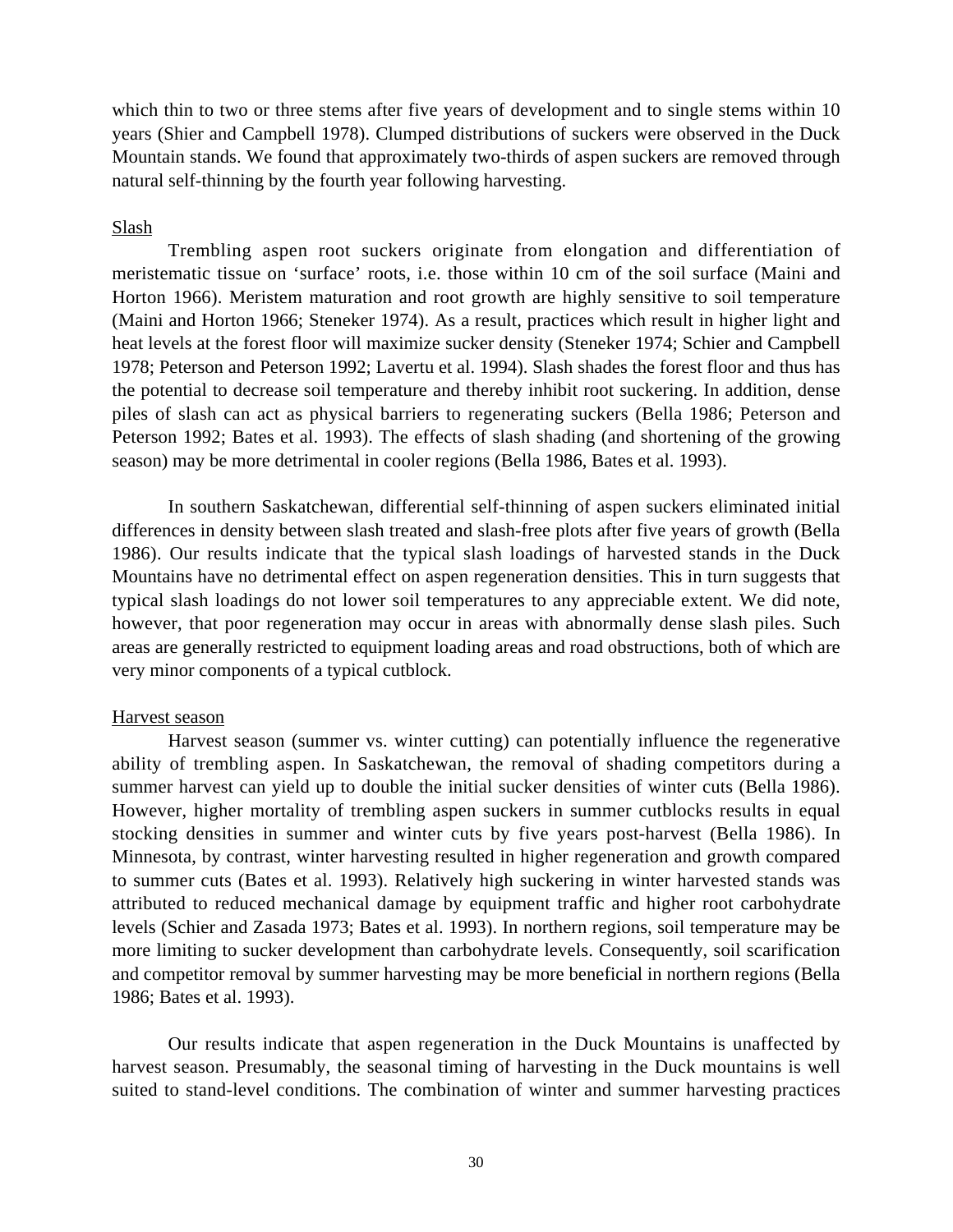which thin to two or three stems after five years of development and to single stems within 10 years (Shier and Campbell 1978). Clumped distributions of suckers were observed in the Duck Mountain stands. We found that approximately two-thirds of aspen suckers are removed through natural self-thinning by the fourth year following harvesting.

# Slash

Trembling aspen root suckers originate from elongation and differentiation of meristematic tissue on 'surface' roots, i.e. those within 10 cm of the soil surface (Maini and Horton 1966). Meristem maturation and root growth are highly sensitive to soil temperature (Maini and Horton 1966; Steneker 1974). As a result, practices which result in higher light and heat levels at the forest floor will maximize sucker density (Steneker 1974; Schier and Campbell 1978; Peterson and Peterson 1992; Lavertu et al. 1994). Slash shades the forest floor and thus has the potential to decrease soil temperature and thereby inhibit root suckering. In addition, dense piles of slash can act as physical barriers to regenerating suckers (Bella 1986; Peterson and Peterson 1992; Bates et al. 1993). The effects of slash shading (and shortening of the growing season) may be more detrimental in cooler regions (Bella 1986, Bates et al. 1993).

In southern Saskatchewan, differential self-thinning of aspen suckers eliminated initial differences in density between slash treated and slash-free plots after five years of growth (Bella 1986). Our results indicate that the typical slash loadings of harvested stands in the Duck Mountains have no detrimental effect on aspen regeneration densities. This in turn suggests that typical slash loadings do not lower soil temperatures to any appreciable extent. We did note, however, that poor regeneration may occur in areas with abnormally dense slash piles. Such areas are generally restricted to equipment loading areas and road obstructions, both of which are very minor components of a typical cutblock.

# Harvest season

Harvest season (summer vs. winter cutting) can potentially influence the regenerative ability of trembling aspen. In Saskatchewan, the removal of shading competitors during a summer harvest can yield up to double the initial sucker densities of winter cuts (Bella 1986). However, higher mortality of trembling aspen suckers in summer cutblocks results in equal stocking densities in summer and winter cuts by five years post-harvest (Bella 1986). In Minnesota, by contrast, winter harvesting resulted in higher regeneration and growth compared to summer cuts (Bates et al. 1993). Relatively high suckering in winter harvested stands was attributed to reduced mechanical damage by equipment traffic and higher root carbohydrate levels (Schier and Zasada 1973; Bates et al. 1993). In northern regions, soil temperature may be more limiting to sucker development than carbohydrate levels. Consequently, soil scarification and competitor removal by summer harvesting may be more beneficial in northern regions (Bella 1986; Bates et al. 1993).

Our results indicate that aspen regeneration in the Duck Mountains is unaffected by harvest season. Presumably, the seasonal timing of harvesting in the Duck mountains is well suited to stand-level conditions. The combination of winter and summer harvesting practices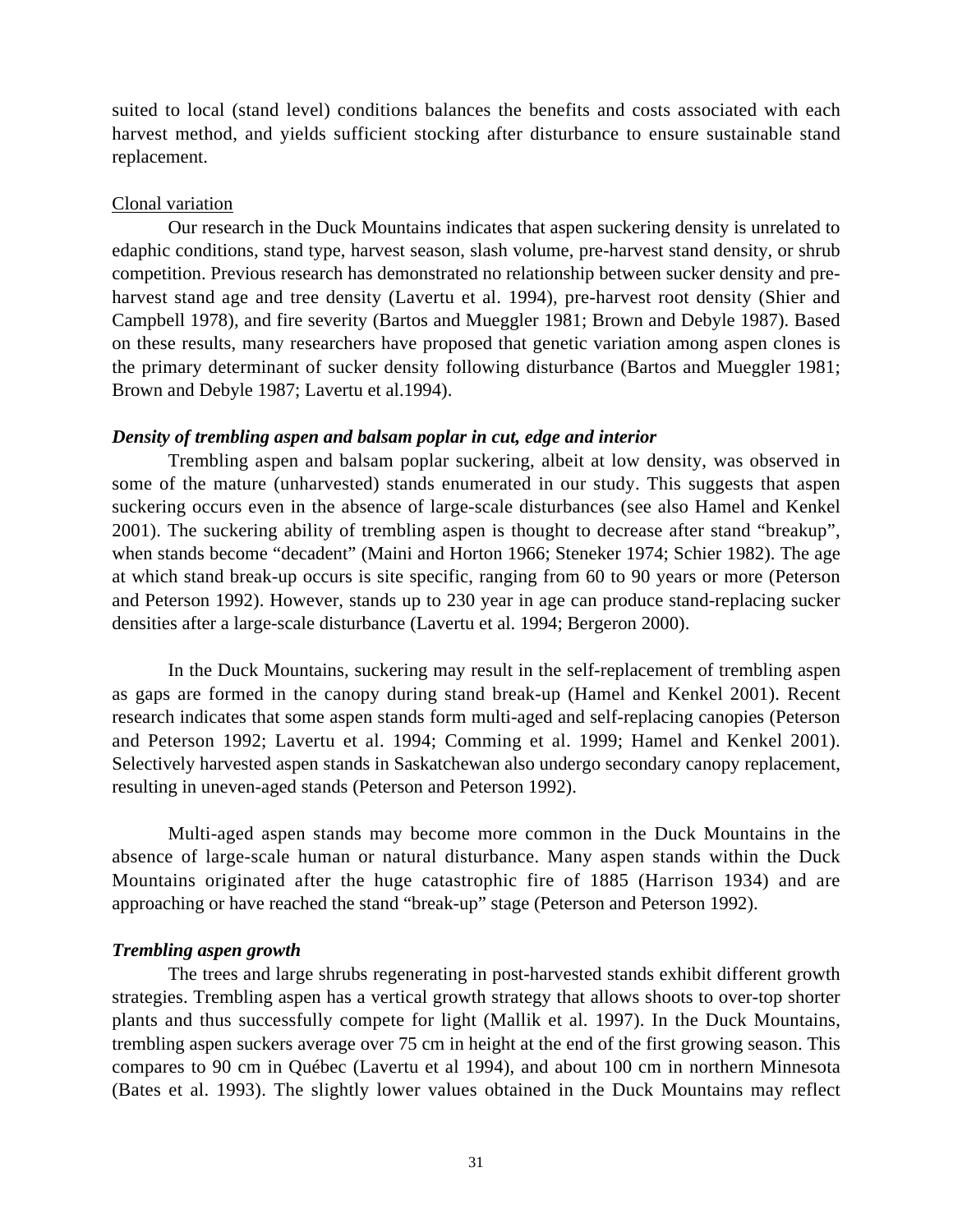suited to local (stand level) conditions balances the benefits and costs associated with each harvest method, and yields sufficient stocking after disturbance to ensure sustainable stand replacement.

# Clonal variation

Our research in the Duck Mountains indicates that aspen suckering density is unrelated to edaphic conditions, stand type, harvest season, slash volume, pre-harvest stand density, or shrub competition. Previous research has demonstrated no relationship between sucker density and preharvest stand age and tree density (Lavertu et al. 1994), pre-harvest root density (Shier and Campbell 1978), and fire severity (Bartos and Mueggler 1981; Brown and Debyle 1987). Based on these results, many researchers have proposed that genetic variation among aspen clones is the primary determinant of sucker density following disturbance (Bartos and Mueggler 1981; Brown and Debyle 1987; Lavertu et al.1994).

# *Density of trembling aspen and balsam poplar in cut, edge and interior*

Trembling aspen and balsam poplar suckering, albeit at low density, was observed in some of the mature (unharvested) stands enumerated in our study. This suggests that aspen suckering occurs even in the absence of large-scale disturbances (see also Hamel and Kenkel 2001). The suckering ability of trembling aspen is thought to decrease after stand "breakup", when stands become "decadent" (Maini and Horton 1966; Steneker 1974; Schier 1982). The age at which stand break-up occurs is site specific, ranging from 60 to 90 years or more (Peterson and Peterson 1992). However, stands up to 230 year in age can produce stand-replacing sucker densities after a large-scale disturbance (Lavertu et al. 1994; Bergeron 2000).

In the Duck Mountains, suckering may result in the self-replacement of trembling aspen as gaps are formed in the canopy during stand break-up (Hamel and Kenkel 2001). Recent research indicates that some aspen stands form multi-aged and self-replacing canopies (Peterson and Peterson 1992; Lavertu et al. 1994; Comming et al. 1999; Hamel and Kenkel 2001). Selectively harvested aspen stands in Saskatchewan also undergo secondary canopy replacement, resulting in uneven-aged stands (Peterson and Peterson 1992).

Multi-aged aspen stands may become more common in the Duck Mountains in the absence of large-scale human or natural disturbance. Many aspen stands within the Duck Mountains originated after the huge catastrophic fire of 1885 (Harrison 1934) and are approaching or have reached the stand "break-up" stage (Peterson and Peterson 1992).

# *Trembling aspen growth*

The trees and large shrubs regenerating in post-harvested stands exhibit different growth strategies. Trembling aspen has a vertical growth strategy that allows shoots to over-top shorter plants and thus successfully compete for light (Mallik et al. 1997). In the Duck Mountains, trembling aspen suckers average over 75 cm in height at the end of the first growing season. This compares to 90 cm in Québec (Lavertu et al 1994), and about 100 cm in northern Minnesota (Bates et al. 1993). The slightly lower values obtained in the Duck Mountains may reflect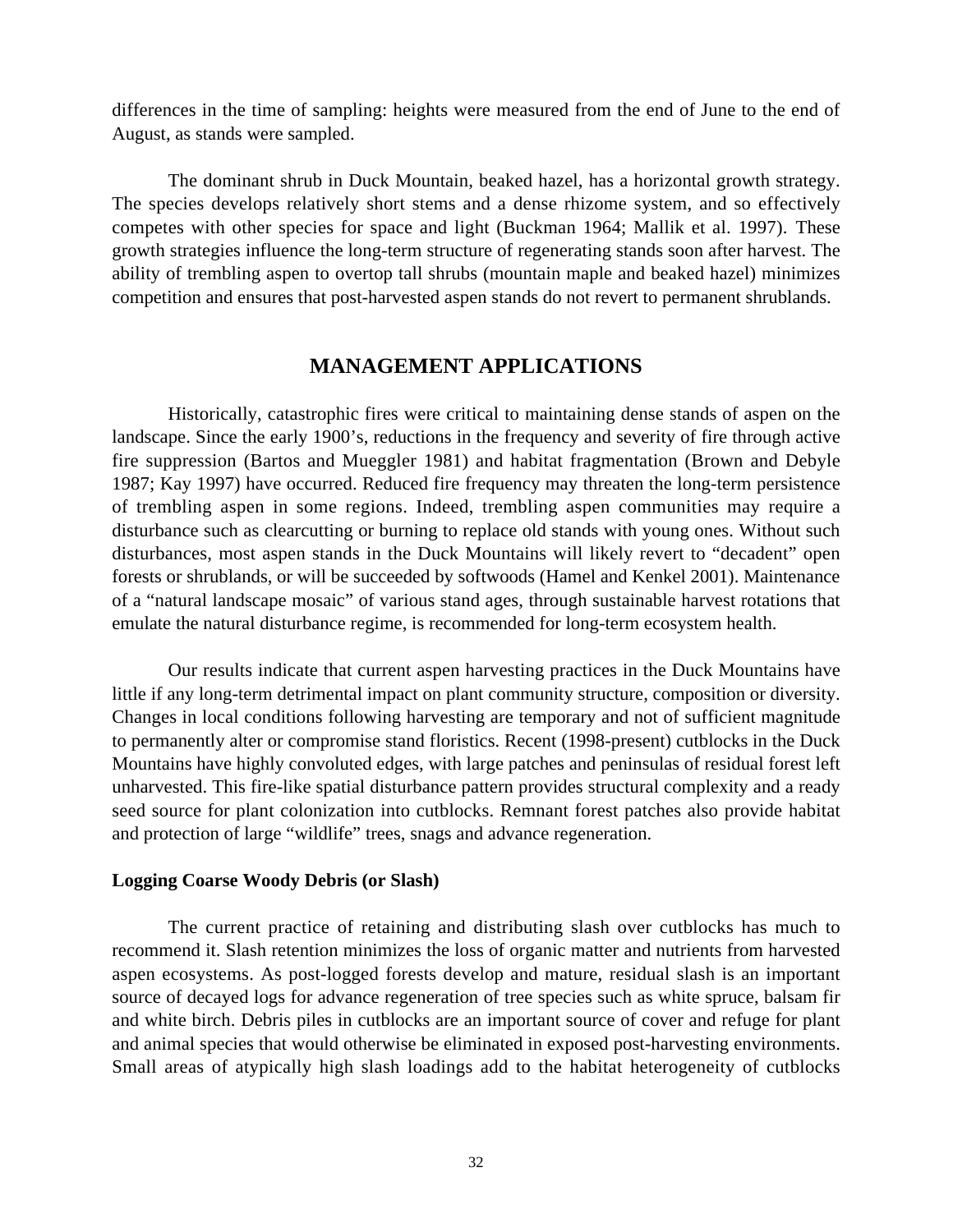differences in the time of sampling: heights were measured from the end of June to the end of August, as stands were sampled.

The dominant shrub in Duck Mountain, beaked hazel, has a horizontal growth strategy. The species develops relatively short stems and a dense rhizome system, and so effectively competes with other species for space and light (Buckman 1964; Mallik et al. 1997). These growth strategies influence the long-term structure of regenerating stands soon after harvest. The ability of trembling aspen to overtop tall shrubs (mountain maple and beaked hazel) minimizes competition and ensures that post-harvested aspen stands do not revert to permanent shrublands.

# **MANAGEMENT APPLICATIONS**

Historically, catastrophic fires were critical to maintaining dense stands of aspen on the landscape. Since the early 1900's, reductions in the frequency and severity of fire through active fire suppression (Bartos and Mueggler 1981) and habitat fragmentation (Brown and Debyle 1987; Kay 1997) have occurred. Reduced fire frequency may threaten the long-term persistence of trembling aspen in some regions. Indeed, trembling aspen communities may require a disturbance such as clearcutting or burning to replace old stands with young ones. Without such disturbances, most aspen stands in the Duck Mountains will likely revert to "decadent" open forests or shrublands, or will be succeeded by softwoods (Hamel and Kenkel 2001). Maintenance of a "natural landscape mosaic" of various stand ages, through sustainable harvest rotations that emulate the natural disturbance regime, is recommended for long-term ecosystem health.

Our results indicate that current aspen harvesting practices in the Duck Mountains have little if any long-term detrimental impact on plant community structure, composition or diversity. Changes in local conditions following harvesting are temporary and not of sufficient magnitude to permanently alter or compromise stand floristics. Recent (1998-present) cutblocks in the Duck Mountains have highly convoluted edges, with large patches and peninsulas of residual forest left unharvested. This fire-like spatial disturbance pattern provides structural complexity and a ready seed source for plant colonization into cutblocks. Remnant forest patches also provide habitat and protection of large "wildlife" trees, snags and advance regeneration.

# **Logging Coarse Woody Debris (or Slash)**

The current practice of retaining and distributing slash over cutblocks has much to recommend it. Slash retention minimizes the loss of organic matter and nutrients from harvested aspen ecosystems. As post-logged forests develop and mature, residual slash is an important source of decayed logs for advance regeneration of tree species such as white spruce, balsam fir and white birch. Debris piles in cutblocks are an important source of cover and refuge for plant and animal species that would otherwise be eliminated in exposed post-harvesting environments. Small areas of atypically high slash loadings add to the habitat heterogeneity of cutblocks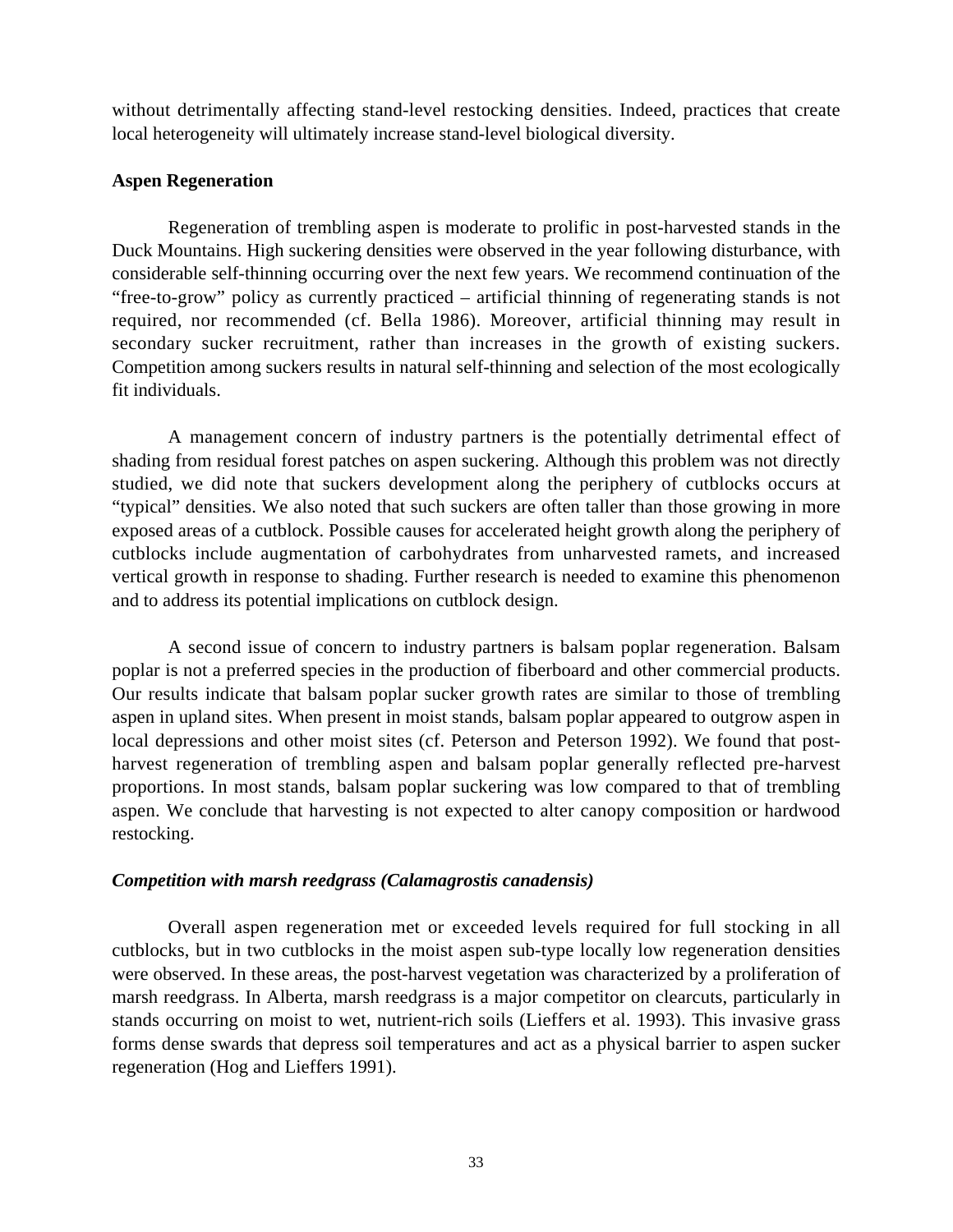without detrimentally affecting stand-level restocking densities. Indeed, practices that create local heterogeneity will ultimately increase stand-level biological diversity.

# **Aspen Regeneration**

Regeneration of trembling aspen is moderate to prolific in post-harvested stands in the Duck Mountains. High suckering densities were observed in the year following disturbance, with considerable self-thinning occurring over the next few years. We recommend continuation of the "free-to-grow" policy as currently practiced – artificial thinning of regenerating stands is not required, nor recommended (cf. Bella 1986). Moreover, artificial thinning may result in secondary sucker recruitment, rather than increases in the growth of existing suckers. Competition among suckers results in natural self-thinning and selection of the most ecologically fit individuals.

A management concern of industry partners is the potentially detrimental effect of shading from residual forest patches on aspen suckering. Although this problem was not directly studied, we did note that suckers development along the periphery of cutblocks occurs at "typical" densities. We also noted that such suckers are often taller than those growing in more exposed areas of a cutblock. Possible causes for accelerated height growth along the periphery of cutblocks include augmentation of carbohydrates from unharvested ramets, and increased vertical growth in response to shading. Further research is needed to examine this phenomenon and to address its potential implications on cutblock design.

A second issue of concern to industry partners is balsam poplar regeneration. Balsam poplar is not a preferred species in the production of fiberboard and other commercial products. Our results indicate that balsam poplar sucker growth rates are similar to those of trembling aspen in upland sites. When present in moist stands, balsam poplar appeared to outgrow aspen in local depressions and other moist sites (cf. Peterson and Peterson 1992). We found that postharvest regeneration of trembling aspen and balsam poplar generally reflected pre-harvest proportions. In most stands, balsam poplar suckering was low compared to that of trembling aspen. We conclude that harvesting is not expected to alter canopy composition or hardwood restocking.

# *Competition with marsh reedgrass (Calamagrostis canadensis)*

Overall aspen regeneration met or exceeded levels required for full stocking in all cutblocks, but in two cutblocks in the moist aspen sub-type locally low regeneration densities were observed. In these areas, the post-harvest vegetation was characterized by a proliferation of marsh reedgrass. In Alberta, marsh reedgrass is a major competitor on clearcuts, particularly in stands occurring on moist to wet, nutrient-rich soils (Lieffers et al. 1993). This invasive grass forms dense swards that depress soil temperatures and act as a physical barrier to aspen sucker regeneration (Hog and Lieffers 1991).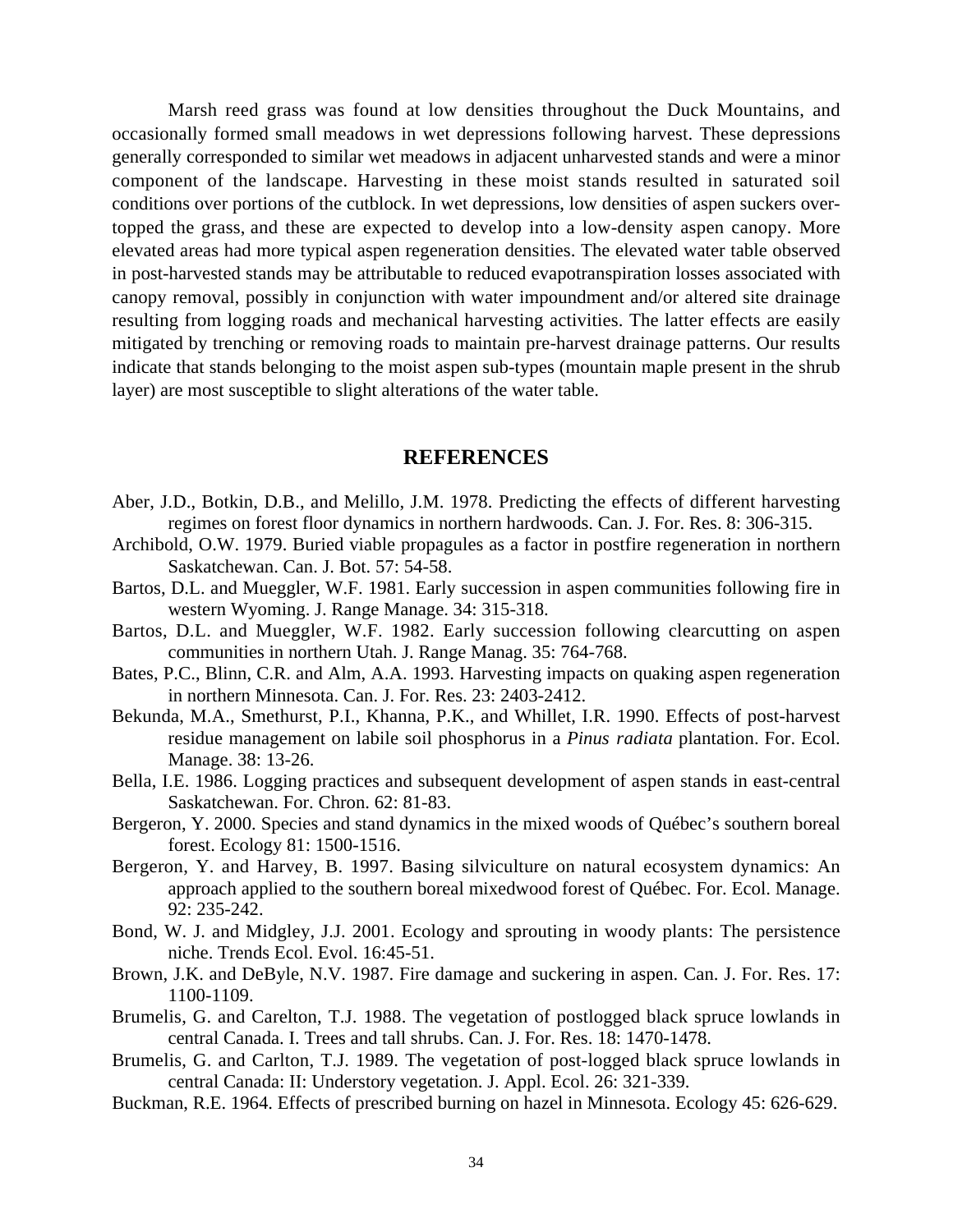Marsh reed grass was found at low densities throughout the Duck Mountains, and occasionally formed small meadows in wet depressions following harvest. These depressions generally corresponded to similar wet meadows in adjacent unharvested stands and were a minor component of the landscape. Harvesting in these moist stands resulted in saturated soil conditions over portions of the cutblock. In wet depressions, low densities of aspen suckers overtopped the grass, and these are expected to develop into a low-density aspen canopy. More elevated areas had more typical aspen regeneration densities. The elevated water table observed in post-harvested stands may be attributable to reduced evapotranspiration losses associated with canopy removal, possibly in conjunction with water impoundment and/or altered site drainage resulting from logging roads and mechanical harvesting activities. The latter effects are easily mitigated by trenching or removing roads to maintain pre-harvest drainage patterns. Our results indicate that stands belonging to the moist aspen sub-types (mountain maple present in the shrub layer) are most susceptible to slight alterations of the water table.

#### **REFERENCES**

- Aber, J.D., Botkin, D.B., and Melillo, J.M. 1978. Predicting the effects of different harvesting regimes on forest floor dynamics in northern hardwoods. Can. J. For. Res. 8: 306-315.
- Archibold, O.W. 1979. Buried viable propagules as a factor in postfire regeneration in northern Saskatchewan. Can. J. Bot. 57: 54-58.
- Bartos, D.L. and Mueggler, W.F. 1981. Early succession in aspen communities following fire in western Wyoming. J. Range Manage. 34: 315-318.
- Bartos, D.L. and Mueggler, W.F. 1982. Early succession following clearcutting on aspen communities in northern Utah. J. Range Manag. 35: 764-768.
- Bates, P.C., Blinn, C.R. and Alm, A.A. 1993. Harvesting impacts on quaking aspen regeneration in northern Minnesota. Can. J. For. Res. 23: 2403-2412.
- Bekunda, M.A., Smethurst, P.I., Khanna, P.K., and Whillet, I.R. 1990. Effects of post-harvest residue management on labile soil phosphorus in a *Pinus radiata* plantation. For. Ecol. Manage. 38: 13-26.
- Bella, I.E. 1986. Logging practices and subsequent development of aspen stands in east-central Saskatchewan. For. Chron. 62: 81-83.
- Bergeron, Y. 2000. Species and stand dynamics in the mixed woods of Québec's southern boreal forest. Ecology 81: 1500-1516.
- Bergeron, Y. and Harvey, B. 1997. Basing silviculture on natural ecosystem dynamics: An approach applied to the southern boreal mixedwood forest of Québec. For. Ecol. Manage. 92: 235-242.
- Bond, W. J. and Midgley, J.J. 2001. Ecology and sprouting in woody plants: The persistence niche. Trends Ecol. Evol. 16:45-51.
- Brown, J.K. and DeByle, N.V. 1987. Fire damage and suckering in aspen. Can. J. For. Res. 17: 1100-1109.
- Brumelis, G. and Carelton, T.J. 1988. The vegetation of postlogged black spruce lowlands in central Canada. I. Trees and tall shrubs. Can. J. For. Res. 18: 1470-1478.
- Brumelis, G. and Carlton, T.J. 1989. The vegetation of post-logged black spruce lowlands in central Canada: II: Understory vegetation. J. Appl. Ecol. 26: 321-339.
- Buckman, R.E. 1964. Effects of prescribed burning on hazel in Minnesota. Ecology 45: 626-629.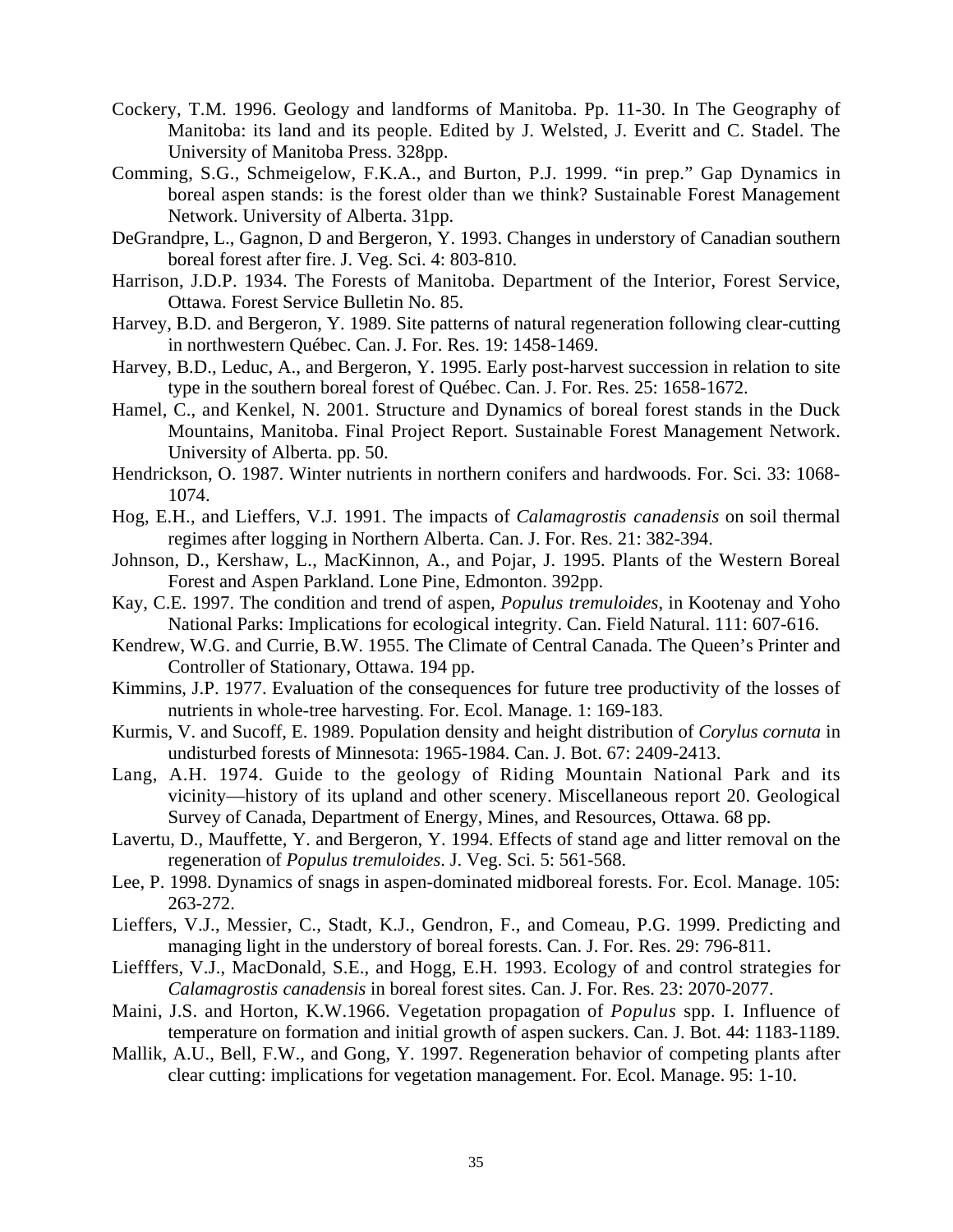- Cockery, T.M. 1996. Geology and landforms of Manitoba. Pp. 11-30. In The Geography of Manitoba: its land and its people. Edited by J. Welsted, J. Everitt and C. Stadel. The University of Manitoba Press. 328pp.
- Comming, S.G., Schmeigelow, F.K.A., and Burton, P.J. 1999. "in prep." Gap Dynamics in boreal aspen stands: is the forest older than we think? Sustainable Forest Management Network. University of Alberta. 31pp.
- DeGrandpre, L., Gagnon, D and Bergeron, Y. 1993. Changes in understory of Canadian southern boreal forest after fire. J. Veg. Sci. 4: 803-810.
- Harrison, J.D.P. 1934. The Forests of Manitoba. Department of the Interior, Forest Service, Ottawa. Forest Service Bulletin No. 85.
- Harvey, B.D. and Bergeron, Y. 1989. Site patterns of natural regeneration following clear-cutting in northwestern Québec. Can. J. For. Res. 19: 1458-1469.
- Harvey, B.D., Leduc, A., and Bergeron, Y. 1995. Early post-harvest succession in relation to site type in the southern boreal forest of Québec. Can. J. For. Res. 25: 1658-1672.
- Hamel, C., and Kenkel, N. 2001. Structure and Dynamics of boreal forest stands in the Duck Mountains, Manitoba. Final Project Report. Sustainable Forest Management Network. University of Alberta. pp. 50.
- Hendrickson, O. 1987. Winter nutrients in northern conifers and hardwoods. For. Sci. 33: 1068- 1074.
- Hog, E.H., and Lieffers, V.J. 1991. The impacts of *Calamagrostis canadensis* on soil thermal regimes after logging in Northern Alberta. Can. J. For. Res. 21: 382-394.
- Johnson, D., Kershaw, L., MacKinnon, A., and Pojar, J. 1995. Plants of the Western Boreal Forest and Aspen Parkland. Lone Pine, Edmonton. 392pp.
- Kay, C.E. 1997. The condition and trend of aspen, *Populus tremuloides*, in Kootenay and Yoho National Parks: Implications for ecological integrity. Can. Field Natural. 111: 607-616.
- Kendrew, W.G. and Currie, B.W. 1955. The Climate of Central Canada. The Queen's Printer and Controller of Stationary, Ottawa. 194 pp.
- Kimmins, J.P. 1977. Evaluation of the consequences for future tree productivity of the losses of nutrients in whole-tree harvesting. For. Ecol. Manage. 1: 169-183.
- Kurmis, V. and Sucoff, E. 1989. Population density and height distribution of *Corylus cornuta* in undisturbed forests of Minnesota: 1965-1984. Can. J. Bot. 67: 2409-2413.
- Lang, A.H. 1974. Guide to the geology of Riding Mountain National Park and its vicinity—history of its upland and other scenery. Miscellaneous report 20. Geological Survey of Canada, Department of Energy, Mines, and Resources, Ottawa. 68 pp.
- Lavertu, D., Mauffette, Y. and Bergeron, Y. 1994. Effects of stand age and litter removal on the regeneration of *Populus tremuloides*. J. Veg. Sci. 5: 561-568.
- Lee, P. 1998. Dynamics of snags in aspen-dominated midboreal forests. For. Ecol. Manage. 105: 263-272.
- Lieffers, V.J., Messier, C., Stadt, K.J., Gendron, F., and Comeau, P.G. 1999. Predicting and managing light in the understory of boreal forests. Can. J. For. Res. 29: 796-811.
- Liefffers, V.J., MacDonald, S.E., and Hogg, E.H. 1993. Ecology of and control strategies for *Calamagrostis canadensis* in boreal forest sites. Can. J. For. Res. 23: 2070-2077.
- Maini, J.S. and Horton, K.W.1966. Vegetation propagation of *Populus* spp. I. Influence of temperature on formation and initial growth of aspen suckers. Can. J. Bot. 44: 1183-1189.
- Mallik, A.U., Bell, F.W., and Gong, Y. 1997. Regeneration behavior of competing plants after clear cutting: implications for vegetation management. For. Ecol. Manage. 95: 1-10.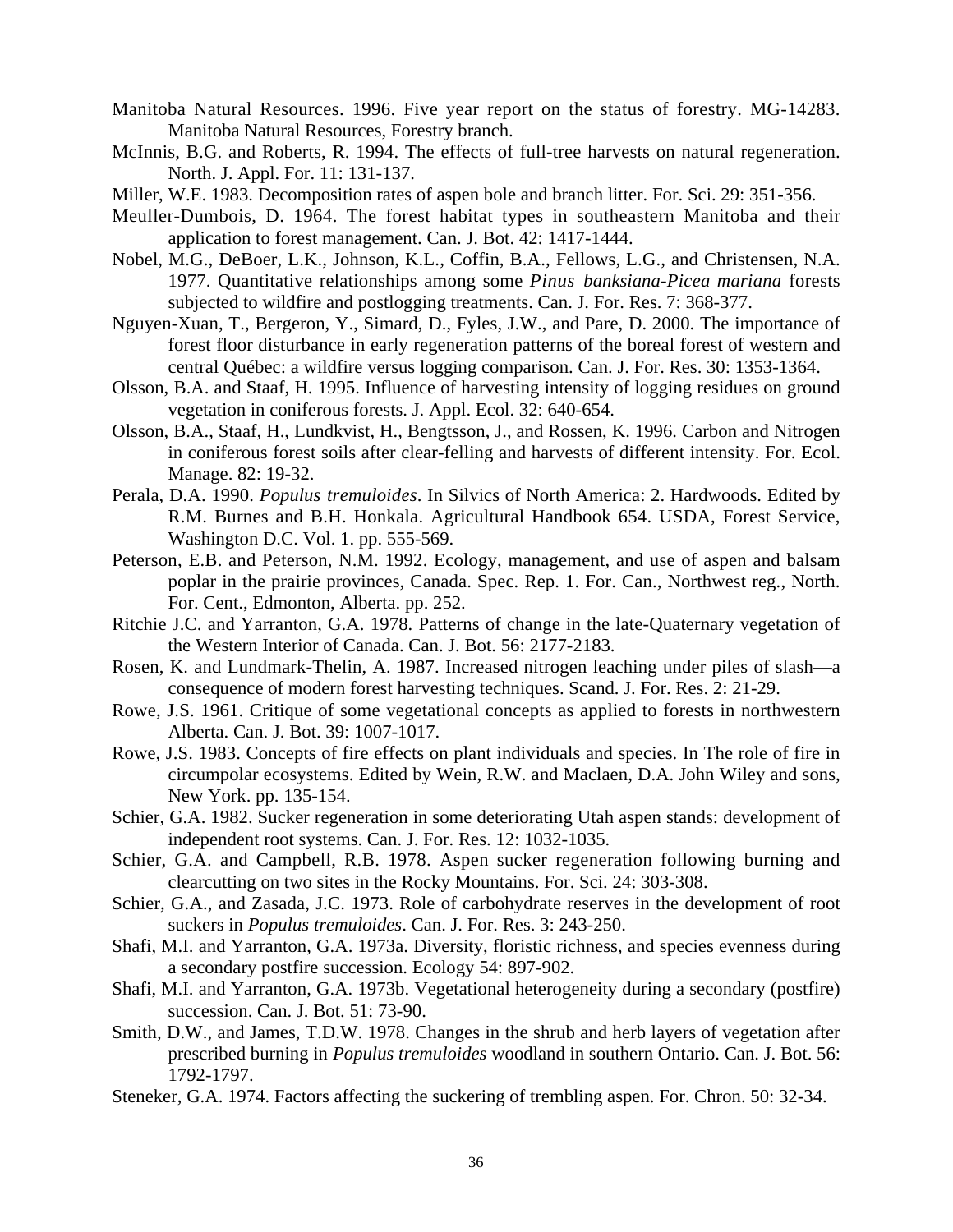- Manitoba Natural Resources. 1996. Five year report on the status of forestry. MG-14283. Manitoba Natural Resources, Forestry branch.
- McInnis, B.G. and Roberts, R. 1994. The effects of full-tree harvests on natural regeneration. North. J. Appl. For. 11: 131-137.

Miller, W.E. 1983. Decomposition rates of aspen bole and branch litter. For. Sci. 29: 351-356.

- Meuller-Dumbois, D. 1964. The forest habitat types in southeastern Manitoba and their application to forest management. Can. J. Bot. 42: 1417-1444.
- Nobel, M.G., DeBoer, L.K., Johnson, K.L., Coffin, B.A., Fellows, L.G., and Christensen, N.A. 1977. Quantitative relationships among some *Pinus banksiana*-*Picea mariana* forests subjected to wildfire and postlogging treatments. Can. J. For. Res. 7: 368-377.
- Nguyen-Xuan, T., Bergeron, Y., Simard, D., Fyles, J.W., and Pare, D. 2000. The importance of forest floor disturbance in early regeneration patterns of the boreal forest of western and central Québec: a wildfire versus logging comparison. Can. J. For. Res. 30: 1353-1364.
- Olsson, B.A. and Staaf, H. 1995. Influence of harvesting intensity of logging residues on ground vegetation in coniferous forests. J. Appl. Ecol. 32: 640-654.
- Olsson, B.A., Staaf, H., Lundkvist, H., Bengtsson, J., and Rossen, K. 1996. Carbon and Nitrogen in coniferous forest soils after clear-felling and harvests of different intensity. For. Ecol. Manage. 82: 19-32.
- Perala, D.A. 1990. *Populus tremuloides*. In Silvics of North America: 2. Hardwoods. Edited by R.M. Burnes and B.H. Honkala. Agricultural Handbook 654. USDA, Forest Service, Washington D.C. Vol. 1. pp. 555-569.
- Peterson, E.B. and Peterson, N.M. 1992. Ecology, management, and use of aspen and balsam poplar in the prairie provinces, Canada. Spec. Rep. 1. For. Can., Northwest reg., North. For. Cent., Edmonton, Alberta. pp. 252.
- Ritchie J.C. and Yarranton, G.A. 1978. Patterns of change in the late-Quaternary vegetation of the Western Interior of Canada. Can. J. Bot. 56: 2177-2183.
- Rosen, K. and Lundmark-Thelin, A. 1987. Increased nitrogen leaching under piles of slash—a consequence of modern forest harvesting techniques. Scand. J. For. Res. 2: 21-29.
- Rowe, J.S. 1961. Critique of some vegetational concepts as applied to forests in northwestern Alberta. Can. J. Bot. 39: 1007-1017.
- Rowe, J.S. 1983. Concepts of fire effects on plant individuals and species. In The role of fire in circumpolar ecosystems. Edited by Wein, R.W. and Maclaen, D.A. John Wiley and sons, New York. pp. 135-154.
- Schier, G.A. 1982. Sucker regeneration in some deteriorating Utah aspen stands: development of independent root systems. Can. J. For. Res. 12: 1032-1035.
- Schier, G.A. and Campbell, R.B. 1978. Aspen sucker regeneration following burning and clearcutting on two sites in the Rocky Mountains. For. Sci. 24: 303-308.
- Schier, G.A., and Zasada, J.C. 1973. Role of carbohydrate reserves in the development of root suckers in *Populus tremuloides*. Can. J. For. Res. 3: 243-250.
- Shafi, M.I. and Yarranton, G.A. 1973a. Diversity, floristic richness, and species evenness during a secondary postfire succession. Ecology 54: 897-902.
- Shafi, M.I. and Yarranton, G.A. 1973b. Vegetational heterogeneity during a secondary (postfire) succession. Can. J. Bot. 51: 73-90.
- Smith, D.W., and James, T.D.W. 1978. Changes in the shrub and herb layers of vegetation after prescribed burning in *Populus tremuloides* woodland in southern Ontario. Can. J. Bot. 56: 1792-1797.
- Steneker, G.A. 1974. Factors affecting the suckering of trembling aspen. For. Chron. 50: 32-34.